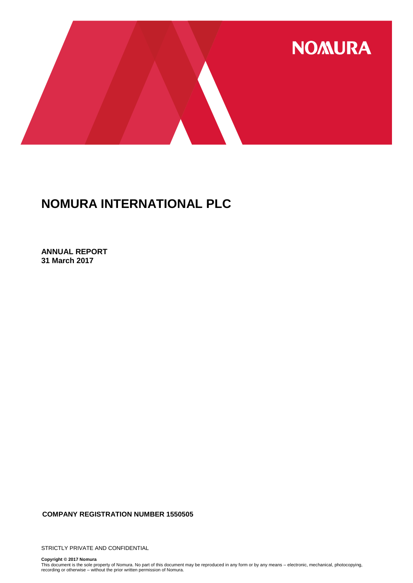

**ANNUAL REPORT 31 March 2017**

**COMPANY REGISTRATION NUMBER 1550505**

STRICTLY PRIVATE AND CONFIDENTIAL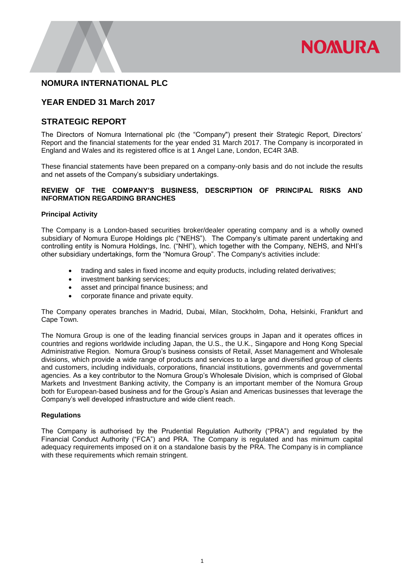

# **YEAR ENDED 31 March 2017**

### **STRATEGIC REPORT**

The Directors of Nomura International plc (the "Company") present their Strategic Report, Directors' Report and the financial statements for the year ended 31 March 2017. The Company is incorporated in England and Wales and its registered office is at 1 Angel Lane, London, EC4R 3AB.

These financial statements have been prepared on a company-only basis and do not include the results and net assets of the Company's subsidiary undertakings.

#### **REVIEW OF THE COMPANY'S BUSINESS, DESCRIPTION OF PRINCIPAL RISKS AND INFORMATION REGARDING BRANCHES**

#### **Principal Activity**

The Company is a London-based securities broker/dealer operating company and is a wholly owned subsidiary of Nomura Europe Holdings plc ("NEHS"). The Company's ultimate parent undertaking and controlling entity is Nomura Holdings, Inc. ("NHI"), which together with the Company, NEHS, and NHI's other subsidiary undertakings, form the "Nomura Group". The Company's activities include:

- trading and sales in fixed income and equity products, including related derivatives;
- investment banking services;
- asset and principal finance business; and
- corporate finance and private equity.

The Company operates branches in Madrid, Dubai, Milan, Stockholm, Doha, Helsinki, Frankfurt and Cape Town.

The Nomura Group is one of the leading financial services groups in Japan and it operates offices in countries and regions worldwide including Japan, the U.S., the U.K., Singapore and Hong Kong Special Administrative Region. Nomura Group's business consists of Retail, Asset Management and Wholesale divisions, which provide a wide range of products and services to a large and diversified group of clients and customers, including individuals, corporations, financial institutions, governments and governmental agencies. As a key contributor to the Nomura Group's Wholesale Division, which is comprised of Global Markets and Investment Banking activity, the Company is an important member of the Nomura Group both for European-based business and for the Group's Asian and Americas businesses that leverage the Company's well developed infrastructure and wide client reach.

#### **Regulations**

The Company is authorised by the Prudential Regulation Authority ("PRA") and regulated by the Financial Conduct Authority ("FCA") and PRA. The Company is regulated and has minimum capital adequacy requirements imposed on it on a standalone basis by the PRA. The Company is in compliance with these requirements which remain stringent.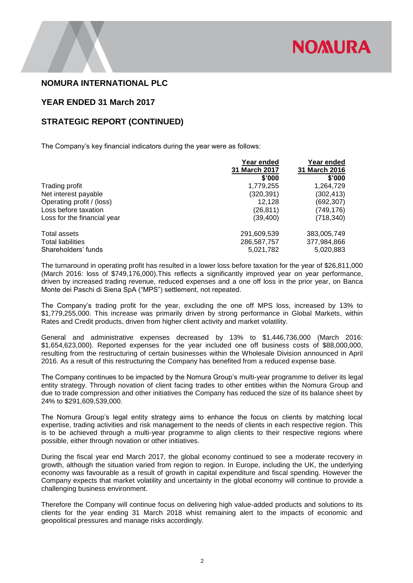

### **YEAR ENDED 31 March 2017**

### **STRATEGIC REPORT (CONTINUED)**

The Company's key financial indicators during the year were as follows:

|                             | Year ended           | Year ended    |
|-----------------------------|----------------------|---------------|
|                             | <b>31 March 2017</b> | 31 March 2016 |
|                             | \$'000               | \$'000        |
| Trading profit              | 1,779,255            | 1,264,729     |
| Net interest payable        | (320, 391)           | (302, 413)    |
| Operating profit / (loss)   | 12.128               | (692,307)     |
| Loss before taxation        | (26, 811)            | (749,176)     |
| Loss for the financial year | (39, 400)            | (718, 340)    |
| Total assets                | 291,609,539          | 383,005,749   |
| <b>Total liabilities</b>    | 286,587,757          | 377,984,866   |
| Shareholders' funds         | 5,021,782            | 5,020,883     |

The turnaround in operating profit has resulted in a lower loss before taxation for the year of \$26,811,000 (March 2016: loss of \$749,176,000).This reflects a significantly improved year on year performance, driven by increased trading revenue, reduced expenses and a one off loss in the prior year, on Banca Monte dei Paschi di Siena SpA ("MPS") settlement, not repeated.

The Company's trading profit for the year, excluding the one off MPS loss, increased by 13% to \$1,779,255,000. This increase was primarily driven by strong performance in Global Markets, within Rates and Credit products, driven from higher client activity and market volatility.

General and administrative expenses decreased by 13% to \$1,446,736,000 (March 2016: \$1,654,623,000). Reported expenses for the year included one off business costs of \$88,000,000, resulting from the restructuring of certain businesses within the Wholesale Division announced in April 2016. As a result of this restructuring the Company has benefited from a reduced expense base.

The Company continues to be impacted by the Nomura Group's multi-year programme to deliver its legal entity strategy. Through novation of client facing trades to other entities within the Nomura Group and due to trade compression and other initiatives the Company has reduced the size of its balance sheet by 24% to \$291,609,539,000.

The Nomura Group's legal entity strategy aims to enhance the focus on clients by matching local expertise, trading activities and risk management to the needs of clients in each respective region. This is to be achieved through a multi-year programme to align clients to their respective regions where possible, either through novation or other initiatives.

During the fiscal year end March 2017, the global economy continued to see a moderate recovery in growth, although the situation varied from region to region. In Europe, including the UK, the underlying economy was favourable as a result of growth in capital expenditure and fiscal spending. However the Company expects that market volatility and uncertainty in the global economy will continue to provide a challenging business environment.

Therefore the Company will continue focus on delivering high value-added products and solutions to its clients for the year ending 31 March 2018 whist remaining alert to the impacts of economic and geopolitical pressures and manage risks accordingly.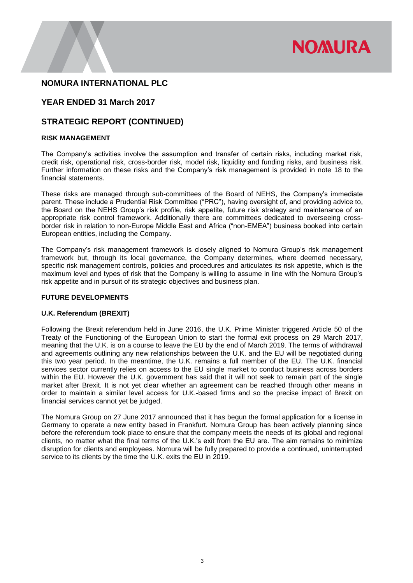

# **YEAR ENDED 31 March 2017**

### **STRATEGIC REPORT (CONTINUED)**

#### **RISK MANAGEMENT**

The Company's activities involve the assumption and transfer of certain risks, including market risk, credit risk, operational risk, cross-border risk, model risk, liquidity and funding risks, and business risk. Further information on these risks and the Company's risk management is provided in note 18 to the financial statements.

These risks are managed through sub-committees of the Board of NEHS, the Company's immediate parent. These include a Prudential Risk Committee ("PRC"), having oversight of, and providing advice to, the Board on the NEHS Group's risk profile, risk appetite, future risk strategy and maintenance of an appropriate risk control framework. Additionally there are committees dedicated to overseeing crossborder risk in relation to non-Europe Middle East and Africa ("non-EMEA") business booked into certain European entities, including the Company.

The Company's risk management framework is closely aligned to Nomura Group's risk management framework but, through its local governance, the Company determines, where deemed necessary, specific risk management controls, policies and procedures and articulates its risk appetite, which is the maximum level and types of risk that the Company is willing to assume in line with the Nomura Group's risk appetite and in pursuit of its strategic objectives and business plan.

#### **FUTURE DEVELOPMENTS**

#### **U.K. Referendum (BREXIT)**

Following the Brexit referendum held in June 2016, the U.K. Prime Minister triggered Article 50 of the Treaty of the Functioning of the European Union to start the formal exit process on 29 March 2017, meaning that the U.K. is on a course to leave the EU by the end of March 2019. The terms of withdrawal and agreements outlining any new relationships between the U.K. and the EU will be negotiated during this two year period. In the meantime, the U.K. remains a full member of the EU. The U.K. financial services sector currently relies on access to the EU single market to conduct business across borders within the EU. However the U.K. government has said that it will not seek to remain part of the single market after Brexit. It is not yet clear whether an agreement can be reached through other means in order to maintain a similar level access for U.K.-based firms and so the precise impact of Brexit on financial services cannot yet be judged.

The Nomura Group on 27 June 2017 announced that it has begun the formal application for a license in Germany to operate a new entity based in Frankfurt. Nomura Group has been actively planning since before the referendum took place to ensure that the company meets the needs of its global and regional clients, no matter what the final terms of the U.K.'s exit from the EU are. The aim remains to minimize disruption for clients and employees. Nomura will be fully prepared to provide a continued, uninterrupted service to its clients by the time the U.K. exits the EU in 2019.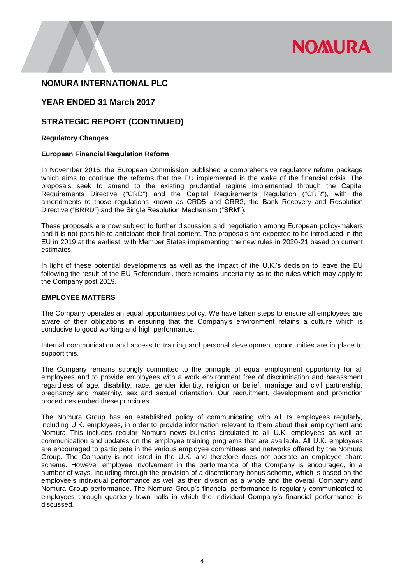

# **YEAR ENDED 31 March 2017**

### **STRATEGIC REPORT (CONTINUED)**

#### **Regulatory Changes**

#### **European Financial Regulation Reform**

In November 2016, the European Commission published a comprehensive regulatory reform package which aims to continue the reforms that the EU implemented in the wake of the financial crisis. The proposals seek to amend to the existing prudential regime implemented through the Capital Requirements Directive ("CRD") and the Capital Requirements Regulation ("CRR"), with the amendments to those regulations known as CRD5 and CRR2, the Bank Recovery and Resolution Directive ("BRRD") and the Single Resolution Mechanism ("SRM").

These proposals are now subject to further discussion and negotiation among European policy-makers and it is not possible to anticipate their final content. The proposals are expected to be introduced in the EU in 2019 at the earliest, with Member States implementing the new rules in 2020-21 based on current estimates.

In light of these potential developments as well as the impact of the U.K.'s decision to leave the EU following the result of the EU Referendum, there remains uncertainty as to the rules which may apply to the Company post 2019.

#### **EMPLOYEE MATTERS**

The Company operates an equal opportunities policy. We have taken steps to ensure all employees are aware of their obligations in ensuring that the Company's environment retains a culture which is conducive to good working and high performance.

Internal communication and access to training and personal development opportunities are in place to support this.

The Company remains strongly committed to the principle of equal employment opportunity for all employees and to provide employees with a work environment free of discrimination and harassment regardless of age, disability, race, gender identity, religion or belief, marriage and civil partnership, pregnancy and maternity, sex and sexual orientation. Our recruitment, development and promotion procedures embed these principles.

The Nomura Group has an established policy of communicating with all its employees regularly, including U.K. employees, in order to provide information relevant to them about their employment and Nomura. This includes regular Nomura news bulletins circulated to all U.K. employees as well as communication and updates on the employee training programs that are available. All U.K. employees are encouraged to participate in the various employee committees and networks offered by the Nomura Group. The Company is not listed in the U.K. and therefore does not operate an employee share scheme. However employee involvement in the performance of the Company is encouraged, in a number of ways, including through the provision of a discretionary bonus scheme, which is based on the employee's individual performance as well as their division as a whole and the overall Company and Nomura Group performance. The Nomura Group's financial performance is regularly communicated to employees through quarterly town halls in which the individual Company's financial performance is discussed.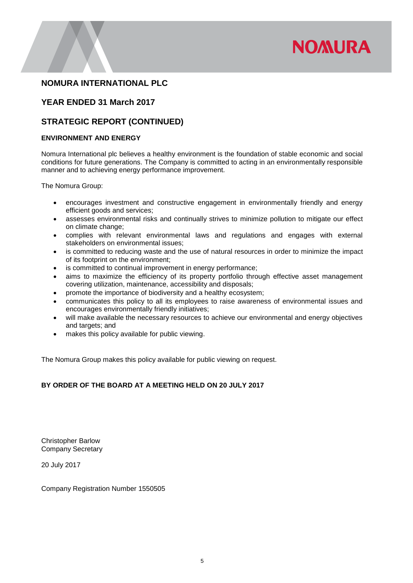

# **YEAR ENDED 31 March 2017**

# **STRATEGIC REPORT (CONTINUED)**

#### **ENVIRONMENT AND ENERGY**

Nomura International plc believes a healthy environment is the foundation of stable economic and social conditions for future generations. The Company is committed to acting in an environmentally responsible manner and to achieving energy performance improvement.

The Nomura Group:

- encourages investment and constructive engagement in environmentally friendly and energy efficient goods and services;
- assesses environmental risks and continually strives to minimize pollution to mitigate our effect on climate change;
- complies with relevant environmental laws and regulations and engages with external stakeholders on environmental issues;
- is committed to reducing waste and the use of natural resources in order to minimize the impact of its footprint on the environment;
- is committed to continual improvement in energy performance;
- aims to maximize the efficiency of its property portfolio through effective asset management covering utilization, maintenance, accessibility and disposals;
- promote the importance of biodiversity and a healthy ecosystem;
- communicates this policy to all its employees to raise awareness of environmental issues and encourages environmentally friendly initiatives;
- will make available the necessary resources to achieve our environmental and energy objectives and targets; and
- makes this policy available for public viewing.

The Nomura Group makes this policy available for public viewing on request.

#### **BY ORDER OF THE BOARD AT A MEETING HELD ON 20 JULY 2017**

Christopher Barlow Company Secretary

20 July 2017

Company Registration Number 1550505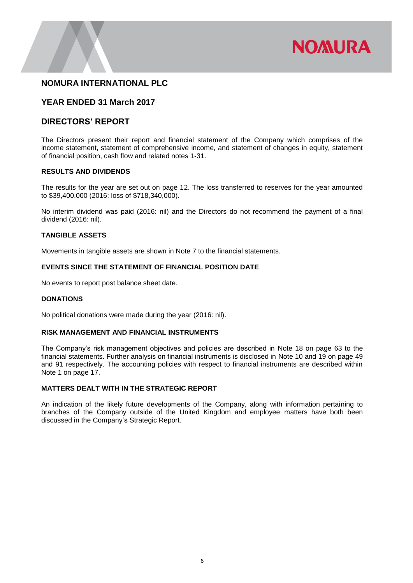

### **YEAR ENDED 31 March 2017**

### **DIRECTORS' REPORT**

The Directors present their report and financial statement of the Company which comprises of the income statement, statement of comprehensive income, and statement of changes in equity, statement of financial position, cash flow and related notes 1-31.

#### **RESULTS AND DIVIDENDS**

The results for the year are set out on page 12. The loss transferred to reserves for the year amounted to \$39,400,000 (2016: loss of \$718,340,000).

No interim dividend was paid (2016: nil) and the Directors do not recommend the payment of a final dividend (2016: nil).

#### **TANGIBLE ASSETS**

Movements in tangible assets are shown in Note 7 to the financial statements.

#### **EVENTS SINCE THE STATEMENT OF FINANCIAL POSITION DATE**

No events to report post balance sheet date.

#### **DONATIONS**

No political donations were made during the year (2016: nil).

#### **RISK MANAGEMENT AND FINANCIAL INSTRUMENTS**

The Company's risk management objectives and policies are described in Note 18 on page 63 to the financial statements. Further analysis on financial instruments is disclosed in Note 10 and 19 on page 49 and 91 respectively. The accounting policies with respect to financial instruments are described within Note 1 on page 17.

#### **MATTERS DEALT WITH IN THE STRATEGIC REPORT**

An indication of the likely future developments of the Company, along with information pertaining to branches of the Company outside of the United Kingdom and employee matters have both been discussed in the Company's Strategic Report.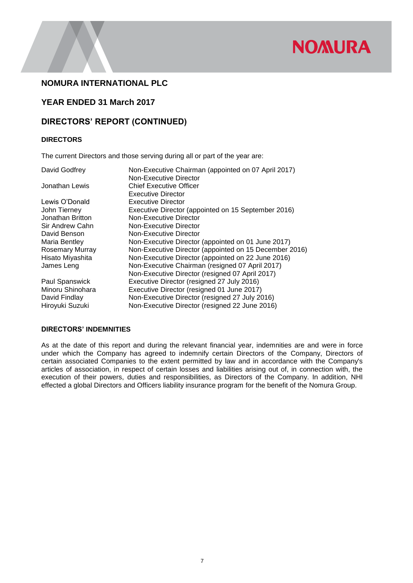

# **YEAR ENDED 31 March 2017**

# **DIRECTORS' REPORT (CONTINUED)**

#### **DIRECTORS**

The current Directors and those serving during all or part of the year are:

| David Godfrey          | Non-Executive Chairman (appointed on 07 April 2017)    |
|------------------------|--------------------------------------------------------|
|                        | <b>Non-Executive Director</b>                          |
| Jonathan Lewis         | <b>Chief Executive Officer</b>                         |
|                        | <b>Executive Director</b>                              |
| Lewis O'Donald         | Executive Director                                     |
| John Tierney           | Executive Director (appointed on 15 September 2016)    |
| Jonathan Britton       | Non-Executive Director                                 |
| Sir Andrew Cahn        | Non-Executive Director                                 |
| David Benson           | Non-Executive Director                                 |
| Maria Bentley          | Non-Executive Director (appointed on 01 June 2017)     |
| <b>Rosemary Murray</b> | Non-Executive Director (appointed on 15 December 2016) |
| Hisato Miyashita       | Non-Executive Director (appointed on 22 June 2016)     |
| James Leng             | Non-Executive Chairman (resigned 07 April 2017)        |
|                        | Non-Executive Director (resigned 07 April 2017)        |
| Paul Spanswick         | Executive Director (resigned 27 July 2016)             |
| Minoru Shinohara       | Executive Director (resigned 01 June 2017)             |
| David Findlay          | Non-Executive Director (resigned 27 July 2016)         |
| Hiroyuki Suzuki        | Non-Executive Director (resigned 22 June 2016)         |

#### **DIRECTORS' INDEMNITIES**

As at the date of this report and during the relevant financial year, indemnities are and were in force under which the Company has agreed to indemnify certain Directors of the Company, Directors of certain associated Companies to the extent permitted by law and in accordance with the Company's articles of association, in respect of certain losses and liabilities arising out of, in connection with, the execution of their powers, duties and responsibilities, as Directors of the Company. In addition, NHI effected a global Directors and Officers liability insurance program for the benefit of the Nomura Group.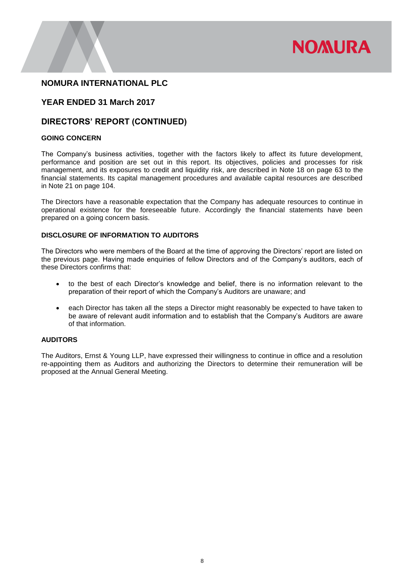

# **YEAR ENDED 31 March 2017**

### **DIRECTORS' REPORT (CONTINUED)**

#### **GOING CONCERN**

The Company's business activities, together with the factors likely to affect its future development, performance and position are set out in this report. Its objectives, policies and processes for risk management, and its exposures to credit and liquidity risk, are described in Note 18 on page 63 to the financial statements. Its capital management procedures and available capital resources are described in Note 21 on page 104.

The Directors have a reasonable expectation that the Company has adequate resources to continue in operational existence for the foreseeable future. Accordingly the financial statements have been prepared on a going concern basis.

#### **DISCLOSURE OF INFORMATION TO AUDITORS**

The Directors who were members of the Board at the time of approving the Directors' report are listed on the previous page. Having made enquiries of fellow Directors and of the Company's auditors, each of these Directors confirms that:

- to the best of each Director's knowledge and belief, there is no information relevant to the preparation of their report of which the Company's Auditors are unaware; and
- each Director has taken all the steps a Director might reasonably be expected to have taken to be aware of relevant audit information and to establish that the Company's Auditors are aware of that information.

#### **AUDITORS**

The Auditors, Ernst & Young LLP, have expressed their willingness to continue in office and a resolution re-appointing them as Auditors and authorizing the Directors to determine their remuneration will be proposed at the Annual General Meeting.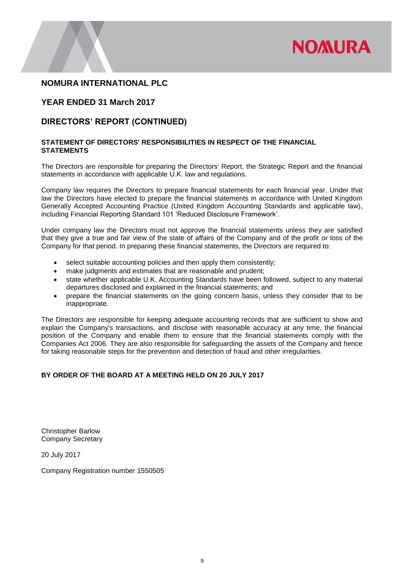

# **YEAR ENDED 31 March 2017**

# **DIRECTORS' REPORT (CONTINUED)**

#### **STATEMENT OF DIRECTORS' RESPONSIBILITIES IN RESPECT OF THE FINANCIAL STATEMENTS**

The Directors are responsible for preparing the Directors' Report, the Strategic Report and the financial statements in accordance with applicable U.K. law and regulations.

Company law requires the Directors to prepare financial statements for each financial year. Under that law the Directors have elected to prepare the financial statements in accordance with United Kingdom Generally Accepted Accounting Practice (United Kingdom Accounting Standards and applicable law), including Financial Reporting Standard 101 'Reduced Disclosure Framework'.

Under company law the Directors must not approve the financial statements unless they are satisfied that they give a true and fair view of the state of affairs of the Company and of the profit or loss of the Company for that period. In preparing these financial statements, the Directors are required to:

- select suitable accounting policies and then apply them consistently;
- make judgments and estimates that are reasonable and prudent;
- state whether applicable U.K. Accounting Standards have been followed, subject to any material departures disclosed and explained in the financial statements; and
- prepare the financial statements on the going concern basis, unless they consider that to be inappropriate.

The Directors are responsible for keeping adequate accounting records that are sufficient to show and explain the Company's transactions, and disclose with reasonable accuracy at any time, the financial position of the Company and enable them to ensure that the financial statements comply with the Companies Act 2006. They are also responsible for safeguarding the assets of the Company and hence for taking reasonable steps for the prevention and detection of fraud and other irregularities.

#### **BY ORDER OF THE BOARD AT A MEETING HELD ON 20 JULY 2017**

Christopher Barlow Company Secretary

20 July 2017

Company Registration number 1550505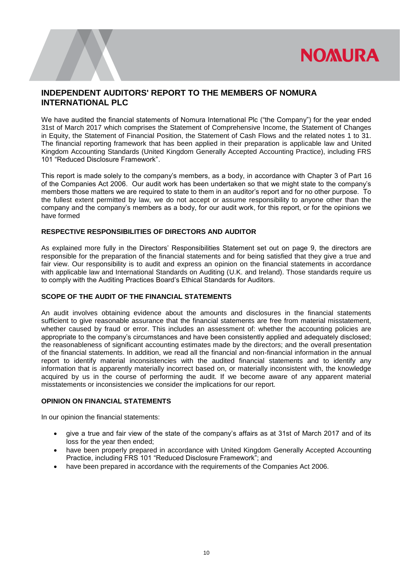

# **INDEPENDENT AUDITORS' REPORT TO THE MEMBERS OF NOMURA INTERNATIONAL PLC**

We have audited the financial statements of Nomura International Plc ("the Company") for the year ended 31st of March 2017 which comprises the Statement of Comprehensive Income, the Statement of Changes in Equity, the Statement of Financial Position, the Statement of Cash Flows and the related notes 1 to 31. The financial reporting framework that has been applied in their preparation is applicable law and United Kingdom Accounting Standards (United Kingdom Generally Accepted Accounting Practice), including FRS 101 "Reduced Disclosure Framework".

This report is made solely to the company's members, as a body, in accordance with Chapter 3 of Part 16 of the Companies Act 2006. Our audit work has been undertaken so that we might state to the company's members those matters we are required to state to them in an auditor's report and for no other purpose. To the fullest extent permitted by law, we do not accept or assume responsibility to anyone other than the company and the company's members as a body, for our audit work, for this report, or for the opinions we have formed

#### **RESPECTIVE RESPONSIBILITIES OF DIRECTORS AND AUDITOR**

As explained more fully in the Directors' Responsibilities Statement set out on page 9, the directors are responsible for the preparation of the financial statements and for being satisfied that they give a true and fair view. Our responsibility is to audit and express an opinion on the financial statements in accordance with applicable law and International Standards on Auditing (U.K. and Ireland). Those standards require us to comply with the Auditing Practices Board's Ethical Standards for Auditors.

#### **SCOPE OF THE AUDIT OF THE FINANCIAL STATEMENTS**

An audit involves obtaining evidence about the amounts and disclosures in the financial statements sufficient to give reasonable assurance that the financial statements are free from material misstatement, whether caused by fraud or error. This includes an assessment of: whether the accounting policies are appropriate to the company's circumstances and have been consistently applied and adequately disclosed; the reasonableness of significant accounting estimates made by the directors; and the overall presentation of the financial statements. In addition, we read all the financial and non-financial information in the annual report to identify material inconsistencies with the audited financial statements and to identify any information that is apparently materially incorrect based on, or materially inconsistent with, the knowledge acquired by us in the course of performing the audit. If we become aware of any apparent material misstatements or inconsistencies we consider the implications for our report.

### **OPINION ON FINANCIAL STATEMENTS**

In our opinion the financial statements:

**Department name**

- give a true and fair view of the state of the company's affairs as at 31st of March 2017 and of its loss for the year then ended;
- have been properly prepared in accordance with United Kingdom Generally Accepted Accounting Practice, including FRS 101 "Reduced Disclosure Framework"; and
- have been prepared in accordance with the requirements of the Companies Act 2006.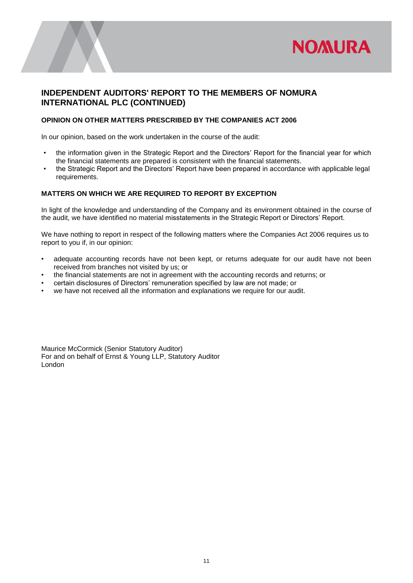

# **INDEPENDENT AUDITORS' REPORT TO THE MEMBERS OF NOMURA INTERNATIONAL PLC (CONTINUED)**

#### **OPINION ON OTHER MATTERS PRESCRIBED BY THE COMPANIES ACT 2006**

In our opinion, based on the work undertaken in the course of the audit:

- the information given in the Strategic Report and the Directors' Report for the financial year for which the financial statements are prepared is consistent with the financial statements.
- the Strategic Report and the Directors' Report have been prepared in accordance with applicable legal requirements.

### **MATTERS ON WHICH WE ARE REQUIRED TO REPORT BY EXCEPTION**

In light of the knowledge and understanding of the Company and its environment obtained in the course of the audit, we have identified no material misstatements in the Strategic Report or Directors' Report.

We have nothing to report in respect of the following matters where the Companies Act 2006 requires us to report to you if, in our opinion:

- adequate accounting records have not been kept, or returns adequate for our audit have not been received from branches not visited by us; or
- the financial statements are not in agreement with the accounting records and returns; or
- certain disclosures of Directors' remuneration specified by law are not made; or
- we have not received all the information and explanations we require for our audit.

Maurice McCormick (Senior Statutory Auditor) For and on behalf of Ernst & Young LLP, Statutory Auditor London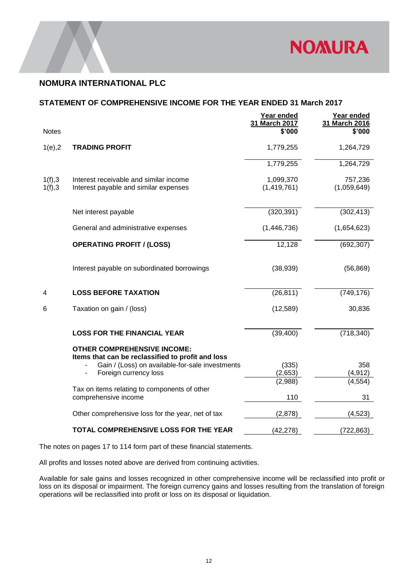

### **STATEMENT OF COMPREHENSIVE INCOME FOR THE YEAR ENDED 31 March 2017**

|              |                                                                                         | Year ended<br>31 March 2017 | Year ended<br>31 March 2016 |
|--------------|-----------------------------------------------------------------------------------------|-----------------------------|-----------------------------|
| <b>Notes</b> |                                                                                         | \$'000                      | \$'000                      |
| $1(e)$ , $2$ | <b>TRADING PROFIT</b>                                                                   | 1,779,255                   | 1,264,729                   |
|              |                                                                                         | 1,779,255                   | 1,264,729                   |
| 1(f), 3      | Interest receivable and similar income                                                  | 1,099,370                   | 757,236                     |
| 1(f), 3      | Interest payable and similar expenses                                                   | (1,419,761)                 | (1,059,649)                 |
|              | Net interest payable                                                                    | (320, 391)                  | (302, 413)                  |
|              | General and administrative expenses                                                     | (1,446,736)                 | (1,654,623)                 |
|              | <b>OPERATING PROFIT / (LOSS)</b>                                                        | 12,128                      | (692, 307)                  |
|              | Interest payable on subordinated borrowings                                             | (38,939)                    | (56, 869)                   |
| 4            | <b>LOSS BEFORE TAXATION</b>                                                             | (26, 811)                   | (749, 176)                  |
| 6            | Taxation on gain / (loss)                                                               | (12,589)                    | 30,836                      |
|              | <b>LOSS FOR THE FINANCIAL YEAR</b>                                                      | (39, 400)                   | (718, 340)                  |
|              | <b>OTHER COMPREHENSIVE INCOME:</b><br>Items that can be reclassified to profit and loss |                             |                             |
|              | Gain / (Loss) on available-for-sale investments                                         | (335)                       | 358                         |
|              | Foreign currency loss                                                                   | (2,653)<br>(2,988)          | (4, 912)<br>(4, 554)        |
|              | Tax on items relating to components of other<br>comprehensive income                    | 110                         | 31                          |
|              | Other comprehensive loss for the year, net of tax                                       | (2,878)                     | (4, 523)                    |
|              | TOTAL COMPREHENSIVE LOSS FOR THE YEAR                                                   | (42, 278)                   | (722, 863)                  |

The notes on pages 17 to 114 form part of these financial statements.

All profits and losses noted above are derived from continuing activities.

Available for sale gains and losses recognized in other comprehensive income will be reclassified into profit or loss on its disposal or impairment. The foreign currency gains and losses resulting from the translation of foreign operations will be reclassified into profit or loss on its disposal or liquidation.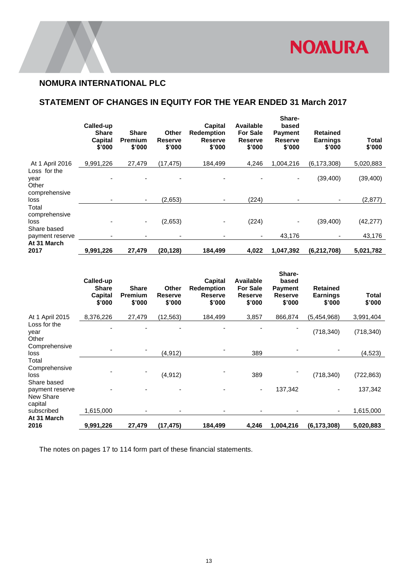# **STATEMENT OF CHANGES IN EQUITY FOR THE YEAR ENDED 31 March 2017**

|                                                | Called-up<br><b>Share</b><br>Capital<br>\$'000 | <b>Share</b><br>Premium<br>\$'000 | Other<br><b>Reserve</b><br>\$'000 | <b>Capital</b><br><b>Redemption</b><br><b>Reserve</b><br>\$'000 | Available<br><b>For Sale</b><br><b>Reserve</b><br>\$'000 | Share-<br>based<br><b>Payment</b><br><b>Reserve</b><br>\$'000 | <b>Retained</b><br><b>Earnings</b><br>\$'000 | <b>Total</b><br>\$'000 |
|------------------------------------------------|------------------------------------------------|-----------------------------------|-----------------------------------|-----------------------------------------------------------------|----------------------------------------------------------|---------------------------------------------------------------|----------------------------------------------|------------------------|
| At 1 April 2016                                | 9,991,226                                      | 27,479                            | (17, 475)                         | 184,499                                                         | 4,246                                                    | 1,004,216                                                     | (6, 173, 308)                                | 5,020,883              |
| Loss for the<br>year<br>Other<br>comprehensive |                                                |                                   |                                   |                                                                 |                                                          | ٠                                                             | (39, 400)                                    | (39, 400)              |
| loss                                           |                                                | ۰                                 | (2,653)                           |                                                                 | (224)                                                    |                                                               | $\overline{\phantom{0}}$                     | (2,877)                |
| Total<br>comprehensive<br>loss<br>Share based  |                                                | ۰                                 | (2,653)                           |                                                                 | (224)                                                    | $\overline{\phantom{a}}$                                      | (39, 400)                                    | (42, 277)              |
| payment reserve                                |                                                |                                   |                                   |                                                                 |                                                          | 43,176                                                        |                                              | 43,176                 |
| At 31 March<br>2017                            | 9,991,226                                      | 27,479                            | (20,128)                          | 184,499                                                         | 4,022                                                    | 1,047,392                                                     | (6, 212, 708)                                | 5,021,782              |

|                                               | Called-up<br><b>Share</b><br>Capital<br>\$'000 | <b>Share</b><br>Premium<br>\$'000 | <b>Other</b><br><b>Reserve</b><br>\$'000 | Capital<br><b>Redemption</b><br><b>Reserve</b><br>\$'000 | Available<br><b>For Sale</b><br><b>Reserve</b><br>\$'000 | Share-<br>based<br><b>Payment</b><br><b>Reserve</b><br>\$'000 | <b>Retained</b><br><b>Earnings</b><br>\$'000 | Total<br>\$'000 |
|-----------------------------------------------|------------------------------------------------|-----------------------------------|------------------------------------------|----------------------------------------------------------|----------------------------------------------------------|---------------------------------------------------------------|----------------------------------------------|-----------------|
| At 1 April 2015                               | 8,376,226                                      | 27,479                            | (12, 563)                                | 184,499                                                  | 3,857                                                    | 866,874                                                       | (5,454,968)                                  | 3,991,404       |
| Loss for the<br>year<br>Other                 |                                                |                                   |                                          |                                                          |                                                          |                                                               | (718, 340)                                   | (718, 340)      |
| Comprehensive<br>loss                         |                                                |                                   | (4, 912)                                 |                                                          | 389                                                      |                                                               |                                              | (4, 523)        |
| Total<br>Comprehensive<br>loss<br>Share based |                                                |                                   | (4, 912)                                 |                                                          | 389                                                      |                                                               | (718, 340)                                   | (722, 863)      |
| payment reserve<br>New Share                  |                                                |                                   |                                          |                                                          |                                                          | 137,342                                                       |                                              | 137,342         |
| capital<br>subscribed<br>At 31 March          | 1,615,000                                      |                                   |                                          |                                                          |                                                          |                                                               |                                              | 1,615,000       |
| 2016                                          | 9,991,226                                      | 27,479                            | (17, 475)                                | 184,499                                                  | 4,246                                                    | 1,004,216                                                     | (6, 173, 308)                                | 5,020,883       |

The notes on pages 17 to 114 form part of these financial statements.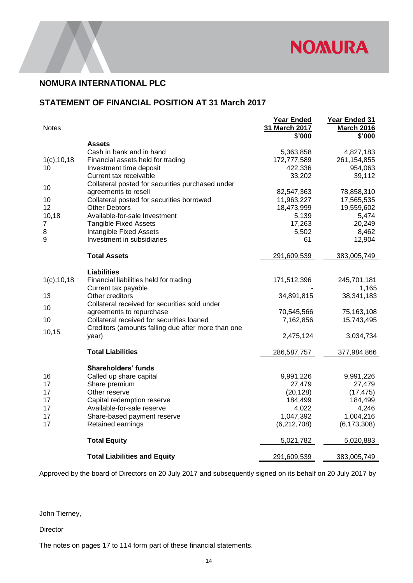

# **STATEMENT OF FINANCIAL POSITION AT 31 March 2017**

| <b>Notes</b>    |                                                       | Year Ended<br>31 March 2017<br>\$'000 | Year Ended 31<br><b>March 2016</b><br>\$'000 |
|-----------------|-------------------------------------------------------|---------------------------------------|----------------------------------------------|
|                 | Assets                                                |                                       |                                              |
|                 | Cash in bank and in hand                              | 5,363,858                             | 4,827,183                                    |
| $1(c)$ , 10, 18 | Financial assets held for trading                     | 172,777,589                           | 261, 154, 855                                |
| 10              | Investment time deposit                               | 422,336                               | 954,063                                      |
|                 | Current tax receivable                                | 33,202                                | 39,112                                       |
| 10              | Collateral posted for securities purchased under      |                                       |                                              |
|                 | agreements to resell                                  | 82,547,363                            | 78,858,310                                   |
| 10              | Collateral posted for securities borrowed             | 11,963,227                            | 17,565,535                                   |
| 12              | Other Debtors                                         | 18,473,999                            | 19,559,602                                   |
| 10,18           | Available-for-sale Investment                         | 5,139                                 | 5,474                                        |
| 7<br>8          | <b>Tangible Fixed Assets</b>                          | 17,263                                | 20,249                                       |
| 9               | Intangible Fixed Assets<br>Investment in subsidiaries | 5,502<br>61                           | 8,462<br>12,904                              |
|                 |                                                       |                                       |                                              |
|                 | <b>Total Assets</b>                                   | 291,609,539                           | 383,005,749                                  |
|                 | <b>Liabilities</b>                                    |                                       |                                              |
| $1(c)$ , 10, 18 | Financial liabilities held for trading                | 171,512,396                           | 245,701,181                                  |
|                 | Current tax payable                                   |                                       | 1,165                                        |
| 13              | Other creditors                                       | 34,891,815                            | 38,341,183                                   |
| 10              | Collateral received for securities sold under         |                                       |                                              |
|                 | agreements to repurchase                              | 70,545,566                            | 75,163,108                                   |
| 10              | Collateral received for securities loaned             | 7,162,856                             | 15,743,495                                   |
| 10,15           | Creditors (amounts falling due after more than one    |                                       |                                              |
|                 | year)                                                 | 2,475,124                             | 3,034,734                                    |
|                 | <b>Total Liabilities</b>                              | 286,587,757                           | 377,984,866                                  |
|                 | <b>Shareholders' funds</b>                            |                                       |                                              |
| 16              | Called up share capital                               | 9,991,226                             | 9,991,226                                    |
| 17              | Share premium                                         | 27,479                                | 27,479                                       |
| 17              | Other reserve                                         | (20, 128)                             | (17, 475)                                    |
| 17              | Capital redemption reserve                            | 184,499                               | 184,499                                      |
| 17              | Available-for-sale reserve                            | 4,022                                 | 4,246                                        |
| 17              | Share-based payment reserve                           | 1,047,392                             | 1,004,216                                    |
| 17              | Retained earnings                                     | (6, 212, 708)                         | (6, 173, 308)                                |
|                 | <b>Total Equity</b>                                   | 5,021,782                             | 5,020,883                                    |
|                 |                                                       |                                       |                                              |
|                 | <b>Total Liabilities and Equity</b>                   | 291,609,539                           | 383,005,749                                  |

Approved by the board of Directors on 20 July 2017 and subsequently signed on its behalf on 20 July 2017 by

John Tierney,

Director

The notes on pages 17 to 114 form part of these financial statements.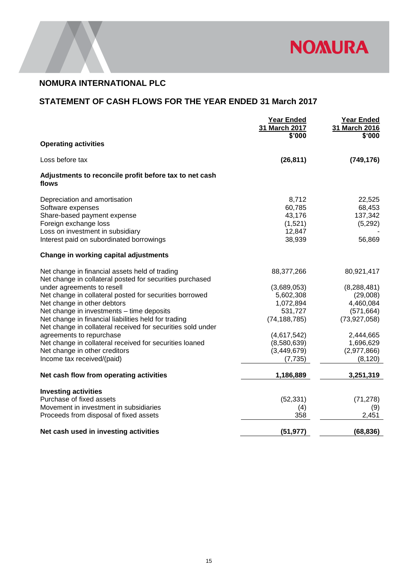

# **STATEMENT OF CASH FLOWS FOR THE YEAR ENDED 31 March 2017**

|                                                                                                                                                                                                                           | <b>Year Ended</b><br>31 March 2017<br>\$'000                       | <b>Year Ended</b><br>31 March 2016<br>\$'000                           |
|---------------------------------------------------------------------------------------------------------------------------------------------------------------------------------------------------------------------------|--------------------------------------------------------------------|------------------------------------------------------------------------|
| <b>Operating activities</b>                                                                                                                                                                                               |                                                                    |                                                                        |
| Loss before tax                                                                                                                                                                                                           | (26, 811)                                                          | (749, 176)                                                             |
| Adjustments to reconcile profit before tax to net cash<br>flows                                                                                                                                                           |                                                                    |                                                                        |
| Depreciation and amortisation<br>Software expenses<br>Share-based payment expense<br>Foreign exchange loss<br>Loss on investment in subsidiary<br>Interest paid on subordinated borrowings                                | 8,712<br>60,785<br>43,176<br>(1,521)<br>12,847<br>38,939           | 22,525<br>68,453<br>137,342<br>(5,292)<br>56,869                       |
| Change in working capital adjustments                                                                                                                                                                                     |                                                                    |                                                                        |
| Net change in financial assets held of trading<br>Net change in collateral posted for securities purchased                                                                                                                | 88,377,266                                                         | 80,921,417                                                             |
| under agreements to resell<br>Net change in collateral posted for securities borrowed<br>Net change in other debtors<br>Net change in investments - time deposits<br>Net change in financial liabilities held for trading | (3,689,053)<br>5,602,308<br>1,072,894<br>531,727<br>(74, 188, 785) | (8, 288, 481)<br>(29,008)<br>4,460,084<br>(571, 664)<br>(73, 927, 058) |
| Net change in collateral received for securities sold under<br>agreements to repurchase<br>Net change in collateral received for securities loaned<br>Net change in other creditors<br>Income tax received/(paid)         | (4,617,542)<br>(8,580,639)<br>(3, 449, 679)<br>(7, 735)            | 2,444,665<br>1,696,629<br>(2,977,866)<br>(8, 120)                      |
| Net cash flow from operating activities                                                                                                                                                                                   | 1,186,889                                                          | 3,251,319                                                              |
| <b>Investing activities</b><br>Purchase of fixed assets<br>Movement in investment in subsidiaries<br>Proceeds from disposal of fixed assets                                                                               | (52, 331)<br>(4)<br>358                                            | (71, 278)<br>(9)<br>2,451                                              |
| Net cash used in investing activities                                                                                                                                                                                     | (51, 977)                                                          | (68, 836)                                                              |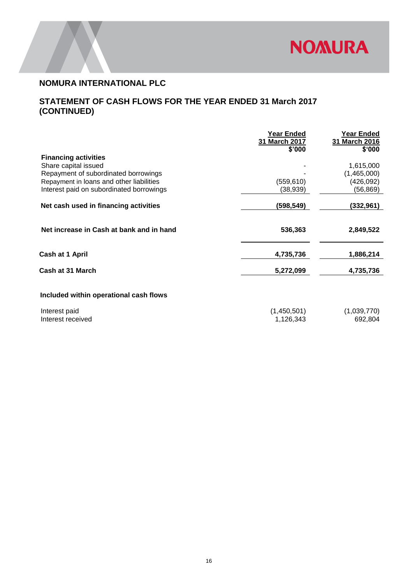

# **STATEMENT OF CASH FLOWS FOR THE YEAR ENDED 31 March 2017 (CONTINUED)**

|                                          | Year Ended<br>31 March 2017<br>\$'000 | Year Ended<br>31 March 2016<br>\$'000 |
|------------------------------------------|---------------------------------------|---------------------------------------|
| <b>Financing activities</b>              |                                       |                                       |
| Share capital issued                     |                                       | 1,615,000                             |
| Repayment of subordinated borrowings     |                                       | (1,465,000)                           |
| Repayment in loans and other liabilities | (559, 610)                            | (426, 092)                            |
| Interest paid on subordinated borrowings | (38,939)                              | (56,869)                              |
| Net cash used in financing activities    | (598,549)                             | (332,961)                             |
| Net increase in Cash at bank and in hand | 536,363                               | 2,849,522                             |
| Cash at 1 April                          | 4,735,736                             | 1,886,214                             |
| Cash at 31 March                         | 5,272,099                             | 4,735,736                             |
| Included within operational cash flows   |                                       |                                       |

| Interest paid     | (1,450,501) | (1,039,770) |
|-------------------|-------------|-------------|
| Interest received | 1,126,343   | 692,804     |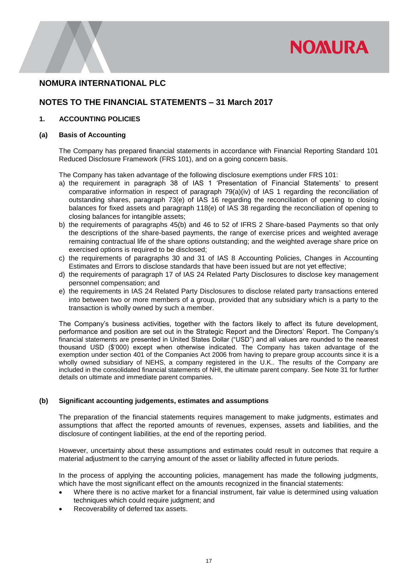

# **NOTES TO THE FINANCIAL STATEMENTS – 31 March 2017**

#### **1. ACCOUNTING POLICIES**

#### **(a) Basis of Accounting**

The Company has prepared financial statements in accordance with Financial Reporting Standard 101 Reduced Disclosure Framework (FRS 101), and on a going concern basis.

The Company has taken advantage of the following disclosure exemptions under FRS 101:

- a) the requirement in paragraph 38 of IAS 1 'Presentation of Financial Statements' to present comparative information in respect of paragraph 79(a)(iv) of IAS 1 regarding the reconciliation of outstanding shares, paragraph 73(e) of IAS 16 regarding the reconciliation of opening to closing balances for fixed assets and paragraph 118(e) of IAS 38 regarding the reconciliation of opening to closing balances for intangible assets;
- b) the requirements of paragraphs 45(b) and 46 to 52 of IFRS 2 Share-based Payments so that only the descriptions of the share-based payments, the range of exercise prices and weighted average remaining contractual life of the share options outstanding; and the weighted average share price on exercised options is required to be disclosed;
- c) the requirements of paragraphs 30 and 31 of IAS 8 Accounting Policies, Changes in Accounting Estimates and Errors to disclose standards that have been issued but are not yet effective;
- d) the requirements of paragraph 17 of IAS 24 Related Party Disclosures to disclose key management personnel compensation; and
- e) the requirements in IAS 24 Related Party Disclosures to disclose related party transactions entered into between two or more members of a group, provided that any subsidiary which is a party to the transaction is wholly owned by such a member.

The Company's business activities, together with the factors likely to affect its future development, performance and position are set out in the Strategic Report and the Directors' Report. The Company's financial statements are presented in United States Dollar ("USD") and all values are rounded to the nearest thousand USD (\$'000) except when otherwise indicated. The Company has taken advantage of the exemption under section 401 of the Companies Act 2006 from having to prepare group accounts since it is a wholly owned subsidiary of NEHS, a company registered in the U.K.. The results of the Company are included in the consolidated financial statements of NHI, the ultimate parent company. See Note 31 for further details on ultimate and immediate parent companies.

#### **(b) Significant accounting judgements, estimates and assumptions**

The preparation of the financial statements requires management to make judgments, estimates and assumptions that affect the reported amounts of revenues, expenses, assets and liabilities, and the disclosure of contingent liabilities, at the end of the reporting period.

However, uncertainty about these assumptions and estimates could result in outcomes that require a material adjustment to the carrying amount of the asset or liability affected in future periods.

In the process of applying the accounting policies, management has made the following judgments, which have the most significant effect on the amounts recognized in the financial statements:

- Where there is no active market for a financial instrument, fair value is determined using valuation techniques which could require judgment; and
- Recoverability of deferred tax assets.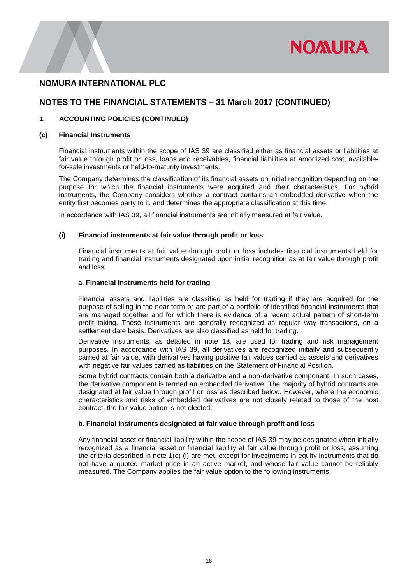

# **NOTES TO THE FINANCIAL STATEMENTS – 31 March 2017 (CONTINUED)**

### **1. ACCOUNTING POLICIES (CONTINUED)**

#### **(c) Financial Instruments**

Financial instruments within the scope of IAS 39 are classified either as financial assets or liabilities at fair value through profit or loss, loans and receivables, financial liabilities at amortized cost, availablefor-sale investments or held-to-maturity investments.

The Company determines the classification of its financial assets on initial recognition depending on the purpose for which the financial instruments were acquired and their characteristics. For hybrid instruments, the Company considers whether a contract contains an embedded derivative when the entity first becomes party to it, and determines the appropriate classification at this time.

In accordance with IAS 39, all financial instruments are initially measured at fair value.

#### **(i) Financial instruments at fair value through profit or loss**

Financial instruments at fair value through profit or loss includes financial instruments held for trading and financial instruments designated upon initial recognition as at fair value through profit and loss.

#### **a. Financial instruments held for trading**

Financial assets and liabilities are classified as held for trading if they are acquired for the purpose of selling in the near term or are part of a portfolio of identified financial instruments that are managed together and for which there is evidence of a recent actual pattern of short-term profit taking. These instruments are generally recognized as regular way transactions, on a settlement date basis. Derivatives are also classified as held for trading.

Derivative instruments, as detailed in note 18, are used for trading and risk management purposes. In accordance with IAS 39, all derivatives are recognized initially and subsequently carried at fair value, with derivatives having positive fair values carried as assets and derivatives with negative fair values carried as liabilities on the Statement of Financial Position.

Some hybrid contracts contain both a derivative and a non-derivative component. In such cases, the derivative component is termed an embedded derivative. The majority of hybrid contracts are designated at fair value through profit or loss as described below. However, where the economic characteristics and risks of embedded derivatives are not closely related to those of the host contract, the fair value option is not elected.

#### **b. Financial instruments designated at fair value through profit and loss**

Any financial asset or financial liability within the scope of IAS 39 may be designated when initially recognized as a financial asset or financial liability at fair value through profit or loss, assuming the criteria described in note 1(c) (i) are met, except for investments in equity instruments that do not have a quoted market price in an active market, and whose fair value cannot be reliably measured. The Company applies the fair value option to the following instruments: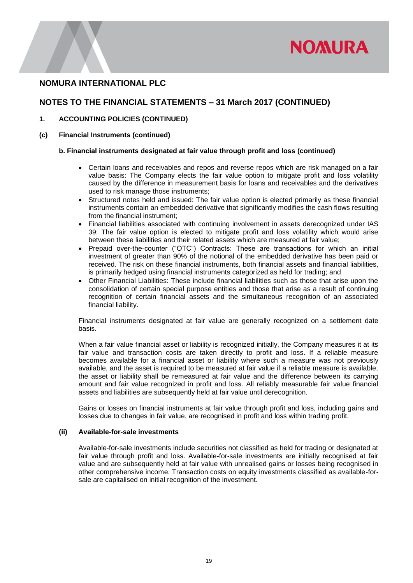

# **NOTES TO THE FINANCIAL STATEMENTS – 31 March 2017 (CONTINUED)**

- **1. ACCOUNTING POLICIES (CONTINUED)**
- **(c) Financial Instruments (continued)**

#### **b. Financial instruments designated at fair value through profit and loss (continued)**

- Certain loans and receivables and repos and reverse repos which are risk managed on a fair value basis: The Company elects the fair value option to mitigate profit and loss volatility caused by the difference in measurement basis for loans and receivables and the derivatives used to risk manage those instruments;
- Structured notes held and issued: The fair value option is elected primarily as these financial instruments contain an embedded derivative that significantly modifies the cash flows resulting from the financial instrument;
- Financial liabilities associated with continuing involvement in assets derecognized under IAS 39: The fair value option is elected to mitigate profit and loss volatility which would arise between these liabilities and their related assets which are measured at fair value;
- Prepaid over-the-counter ("OTC") Contracts: These are transactions for which an initial investment of greater than 90% of the notional of the embedded derivative has been paid or received. The risk on these financial instruments, both financial assets and financial liabilities, is primarily hedged using financial instruments categorized as held for trading; and
- Other Financial Liabilities: These include financial liabilities such as those that arise upon the consolidation of certain special purpose entities and those that arise as a result of continuing recognition of certain financial assets and the simultaneous recognition of an associated financial liability.

Financial instruments designated at fair value are generally recognized on a settlement date basis.

When a fair value financial asset or liability is recognized initially, the Company measures it at its fair value and transaction costs are taken directly to profit and loss. If a reliable measure becomes available for a financial asset or liability where such a measure was not previously available, and the asset is required to be measured at fair value if a reliable measure is available, the asset or liability shall be remeasured at fair value and the difference between its carrying amount and fair value recognized in profit and loss. All reliably measurable fair value financial assets and liabilities are subsequently held at fair value until derecognition.

Gains or losses on financial instruments at fair value through profit and loss, including gains and losses due to changes in fair value, are recognised in profit and loss within trading profit.

#### **(ii) Available-for-sale investments**

Available-for-sale investments include securities not classified as held for trading or designated at fair value through profit and loss. Available-for-sale investments are initially recognised at fair value and are subsequently held at fair value with unrealised gains or losses being recognised in other comprehensive income. Transaction costs on equity investments classified as available-forsale are capitalised on initial recognition of the investment.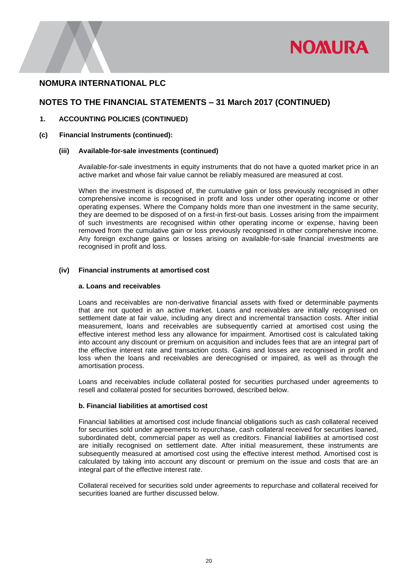

# **NOTES TO THE FINANCIAL STATEMENTS – 31 March 2017 (CONTINUED)**

#### **1. ACCOUNTING POLICIES (CONTINUED)**

#### **(c) Financial Instruments (continued):**

#### **(iii) Available-for-sale investments (continued)**

Available-for-sale investments in equity instruments that do not have a quoted market price in an active market and whose fair value cannot be reliably measured are measured at cost.

When the investment is disposed of, the cumulative gain or loss previously recognised in other comprehensive income is recognised in profit and loss under other operating income or other operating expenses. Where the Company holds more than one investment in the same security, they are deemed to be disposed of on a first-in first-out basis. Losses arising from the impairment of such investments are recognised within other operating income or expense, having been removed from the cumulative gain or loss previously recognised in other comprehensive income. Any foreign exchange gains or losses arising on available-for-sale financial investments are recognised in profit and loss.

#### **(iv) Financial instruments at amortised cost**

#### **a. Loans and receivables**

Loans and receivables are non-derivative financial assets with fixed or determinable payments that are not quoted in an active market. Loans and receivables are initially recognised on settlement date at fair value, including any direct and incremental transaction costs. After initial measurement, loans and receivables are subsequently carried at amortised cost using the effective interest method less any allowance for impairment. Amortised cost is calculated taking into account any discount or premium on acquisition and includes fees that are an integral part of the effective interest rate and transaction costs. Gains and losses are recognised in profit and loss when the loans and receivables are derecognised or impaired, as well as through the amortisation process.

Loans and receivables include collateral posted for securities purchased under agreements to resell and collateral posted for securities borrowed, described below.

#### **b. Financial liabilities at amortised cost**

Financial liabilities at amortised cost include financial obligations such as cash collateral received for securities sold under agreements to repurchase, cash collateral received for securities loaned, subordinated debt, commercial paper as well as creditors. Financial liabilities at amortised cost are initially recognised on settlement date. After initial measurement, these instruments are subsequently measured at amortised cost using the effective interest method. Amortised cost is calculated by taking into account any discount or premium on the issue and costs that are an integral part of the effective interest rate.

Collateral received for securities sold under agreements to repurchase and collateral received for securities loaned are further discussed below.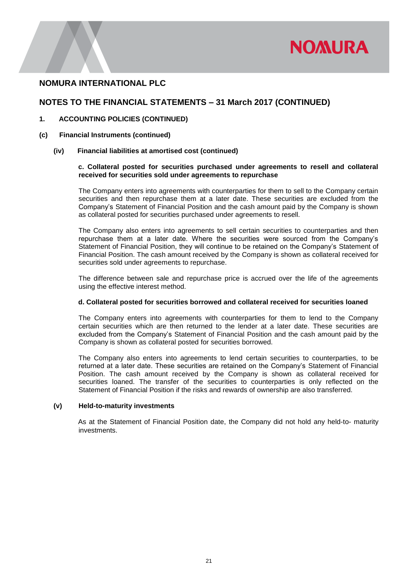

### **NOTES TO THE FINANCIAL STATEMENTS – 31 March 2017 (CONTINUED)**

#### **1. ACCOUNTING POLICIES (CONTINUED)**

#### **(c) Financial Instruments (continued)**

#### **(iv) Financial liabilities at amortised cost (continued)**

#### **c. Collateral posted for securities purchased under agreements to resell and collateral received for securities sold under agreements to repurchase**

The Company enters into agreements with counterparties for them to sell to the Company certain securities and then repurchase them at a later date. These securities are excluded from the Company's Statement of Financial Position and the cash amount paid by the Company is shown as collateral posted for securities purchased under agreements to resell.

The Company also enters into agreements to sell certain securities to counterparties and then repurchase them at a later date. Where the securities were sourced from the Company's Statement of Financial Position, they will continue to be retained on the Company's Statement of Financial Position. The cash amount received by the Company is shown as collateral received for securities sold under agreements to repurchase.

The difference between sale and repurchase price is accrued over the life of the agreements using the effective interest method.

#### **d. Collateral posted for securities borrowed and collateral received for securities loaned**

The Company enters into agreements with counterparties for them to lend to the Company certain securities which are then returned to the lender at a later date. These securities are excluded from the Company's Statement of Financial Position and the cash amount paid by the Company is shown as collateral posted for securities borrowed.

The Company also enters into agreements to lend certain securities to counterparties, to be returned at a later date. These securities are retained on the Company's Statement of Financial Position. The cash amount received by the Company is shown as collateral received for securities loaned. The transfer of the securities to counterparties is only reflected on the Statement of Financial Position if the risks and rewards of ownership are also transferred.

#### **(v) Held-to-maturity investments**

 As at the Statement of Financial Position date, the Company did not hold any held-to- maturity investments.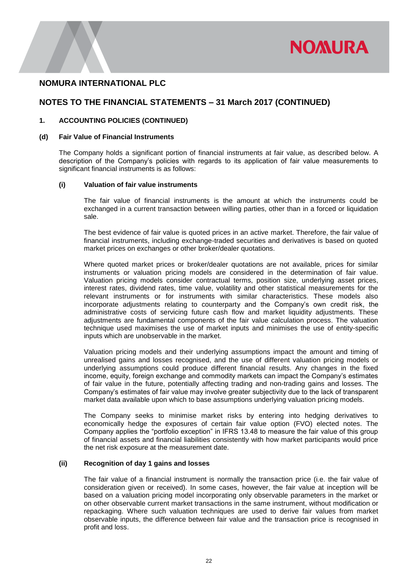

### **NOTES TO THE FINANCIAL STATEMENTS – 31 March 2017 (CONTINUED)**

#### **1. ACCOUNTING POLICIES (CONTINUED)**

#### **(d) Fair Value of Financial Instruments**

The Company holds a significant portion of financial instruments at fair value, as described below. A description of the Company's policies with regards to its application of fair value measurements to significant financial instruments is as follows:

#### **(i) Valuation of fair value instruments**

The fair value of financial instruments is the amount at which the instruments could be exchanged in a current transaction between willing parties, other than in a forced or liquidation sale.

The best evidence of fair value is quoted prices in an active market. Therefore, the fair value of financial instruments, including exchange-traded securities and derivatives is based on quoted market prices on exchanges or other broker/dealer quotations.

Where quoted market prices or broker/dealer quotations are not available, prices for similar instruments or valuation pricing models are considered in the determination of fair value. Valuation pricing models consider contractual terms, position size, underlying asset prices, interest rates, dividend rates, time value, volatility and other statistical measurements for the relevant instruments or for instruments with similar characteristics. These models also incorporate adjustments relating to counterparty and the Company's own credit risk, the administrative costs of servicing future cash flow and market liquidity adjustments. These adjustments are fundamental components of the fair value calculation process. The valuation technique used maximises the use of market inputs and minimises the use of entity-specific inputs which are unobservable in the market.

Valuation pricing models and their underlying assumptions impact the amount and timing of unrealised gains and losses recognised, and the use of different valuation pricing models or underlying assumptions could produce different financial results. Any changes in the fixed income, equity, foreign exchange and commodity markets can impact the Company's estimates of fair value in the future, potentially affecting trading and non-trading gains and losses. The Company's estimates of fair value may involve greater subjectivity due to the lack of transparent market data available upon which to base assumptions underlying valuation pricing models.

The Company seeks to minimise market risks by entering into hedging derivatives to economically hedge the exposures of certain fair value option (FVO) elected notes. The Company applies the "portfolio exception" in IFRS 13.48 to measure the fair value of this group of financial assets and financial liabilities consistently with how market participants would price the net risk exposure at the measurement date.

#### **(ii) Recognition of day 1 gains and losses**

The fair value of a financial instrument is normally the transaction price (i.e. the fair value of consideration given or received). In some cases, however, the fair value at inception will be based on a valuation pricing model incorporating only observable parameters in the market or on other observable current market transactions in the same instrument, without modification or repackaging. Where such valuation techniques are used to derive fair values from market observable inputs, the difference between fair value and the transaction price is recognised in profit and loss.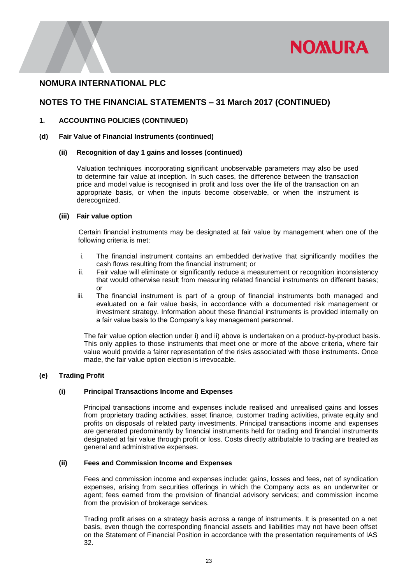

# **NOTES TO THE FINANCIAL STATEMENTS – 31 March 2017 (CONTINUED)**

#### **1. ACCOUNTING POLICIES (CONTINUED)**

#### **(d) Fair Value of Financial Instruments (continued)**

#### **(ii) Recognition of day 1 gains and losses (continued)**

Valuation techniques incorporating significant unobservable parameters may also be used to determine fair value at inception. In such cases, the difference between the transaction price and model value is recognised in profit and loss over the life of the transaction on an appropriate basis, or when the inputs become observable, or when the instrument is derecognized.

#### **(iii) Fair value option**

Certain financial instruments may be designated at fair value by management when one of the following criteria is met:

- i. The financial instrument contains an embedded derivative that significantly modifies the cash flows resulting from the financial instrument; or
- ii. Fair value will eliminate or significantly reduce a measurement or recognition inconsistency that would otherwise result from measuring related financial instruments on different bases; or
- iii. The financial instrument is part of a group of financial instruments both managed and evaluated on a fair value basis, in accordance with a documented risk management or investment strategy. Information about these financial instruments is provided internally on a fair value basis to the Company's key management personnel.

The fair value option election under i) and ii) above is undertaken on a product-by-product basis. This only applies to those instruments that meet one or more of the above criteria, where fair value would provide a fairer representation of the risks associated with those instruments. Once made, the fair value option election is irrevocable.

#### **(e) Trading Profit**

#### **(i) Principal Transactions Income and Expenses**

Principal transactions income and expenses include realised and unrealised gains and losses from proprietary trading activities, asset finance, customer trading activities, private equity and profits on disposals of related party investments. Principal transactions income and expenses are generated predominantly by financial instruments held for trading and financial instruments designated at fair value through profit or loss. Costs directly attributable to trading are treated as general and administrative expenses.

#### **(ii) Fees and Commission Income and Expenses**

Fees and commission income and expenses include: gains, losses and fees, net of syndication expenses, arising from securities offerings in which the Company acts as an underwriter or agent; fees earned from the provision of financial advisory services; and commission income from the provision of brokerage services.

Trading profit arises on a strategy basis across a range of instruments. It is presented on a net basis, even though the corresponding financial assets and liabilities may not have been offset on the Statement of Financial Position in accordance with the presentation requirements of IAS 32.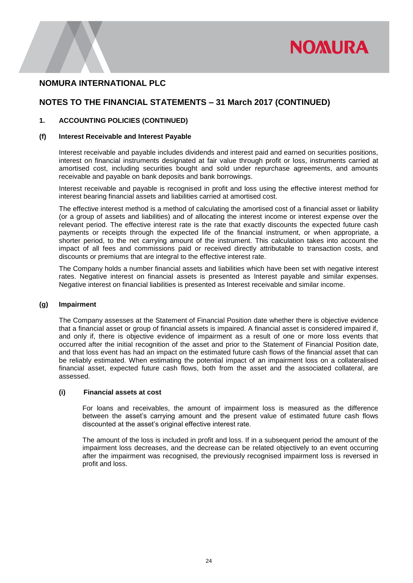

# **NOTES TO THE FINANCIAL STATEMENTS – 31 March 2017 (CONTINUED)**

#### **1. ACCOUNTING POLICIES (CONTINUED)**

#### **(f) Interest Receivable and Interest Payable**

Interest receivable and payable includes dividends and interest paid and earned on securities positions, interest on financial instruments designated at fair value through profit or loss, instruments carried at amortised cost, including securities bought and sold under repurchase agreements, and amounts receivable and payable on bank deposits and bank borrowings.

Interest receivable and payable is recognised in profit and loss using the effective interest method for interest bearing financial assets and liabilities carried at amortised cost.

The effective interest method is a method of calculating the amortised cost of a financial asset or liability (or a group of assets and liabilities) and of allocating the interest income or interest expense over the relevant period. The effective interest rate is the rate that exactly discounts the expected future cash payments or receipts through the expected life of the financial instrument, or when appropriate, a shorter period, to the net carrying amount of the instrument. This calculation takes into account the impact of all fees and commissions paid or received directly attributable to transaction costs, and discounts or premiums that are integral to the effective interest rate.

The Company holds a number financial assets and liabilities which have been set with negative interest rates. Negative interest on financial assets is presented as Interest payable and similar expenses. Negative interest on financial liabilities is presented as Interest receivable and similar income.

#### **(g) Impairment**

The Company assesses at the Statement of Financial Position date whether there is objective evidence that a financial asset or group of financial assets is impaired. A financial asset is considered impaired if, and only if, there is objective evidence of impairment as a result of one or more loss events that occurred after the initial recognition of the asset and prior to the Statement of Financial Position date, and that loss event has had an impact on the estimated future cash flows of the financial asset that can be reliably estimated. When estimating the potential impact of an impairment loss on a collateralised financial asset, expected future cash flows, both from the asset and the associated collateral, are assessed.

#### **(i) Financial assets at cost**

For loans and receivables, the amount of impairment loss is measured as the difference between the asset's carrying amount and the present value of estimated future cash flows discounted at the asset's original effective interest rate.

The amount of the loss is included in profit and loss. If in a subsequent period the amount of the impairment loss decreases, and the decrease can be related objectively to an event occurring after the impairment was recognised, the previously recognised impairment loss is reversed in profit and loss.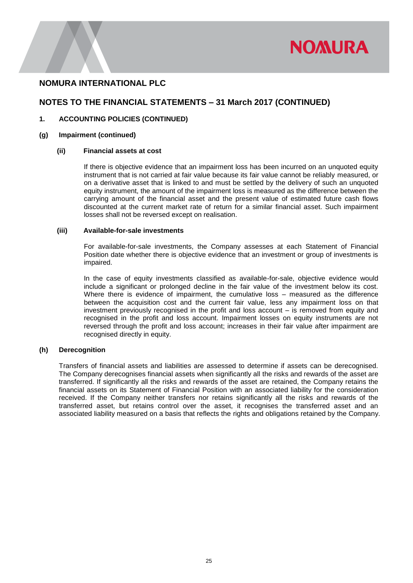

# **NOTES TO THE FINANCIAL STATEMENTS – 31 March 2017 (CONTINUED)**

### **1. ACCOUNTING POLICIES (CONTINUED)**

#### **(g) Impairment (continued)**

#### **(ii) Financial assets at cost**

If there is objective evidence that an impairment loss has been incurred on an unquoted equity instrument that is not carried at fair value because its fair value cannot be reliably measured, or on a derivative asset that is linked to and must be settled by the delivery of such an unquoted equity instrument, the amount of the impairment loss is measured as the difference between the carrying amount of the financial asset and the present value of estimated future cash flows discounted at the current market rate of return for a similar financial asset. Such impairment losses shall not be reversed except on realisation.

#### **(iii) Available-for-sale investments**

For available-for-sale investments, the Company assesses at each Statement of Financial Position date whether there is objective evidence that an investment or group of investments is impaired.

In the case of equity investments classified as available-for-sale, objective evidence would include a significant or prolonged decline in the fair value of the investment below its cost. Where there is evidence of impairment, the cumulative loss – measured as the difference between the acquisition cost and the current fair value, less any impairment loss on that investment previously recognised in the profit and loss account – is removed from equity and recognised in the profit and loss account. Impairment losses on equity instruments are not reversed through the profit and loss account; increases in their fair value after impairment are recognised directly in equity.

#### **(h) Derecognition**

Transfers of financial assets and liabilities are assessed to determine if assets can be derecognised. The Company derecognises financial assets when significantly all the risks and rewards of the asset are transferred. If significantly all the risks and rewards of the asset are retained, the Company retains the financial assets on its Statement of Financial Position with an associated liability for the consideration received. If the Company neither transfers nor retains significantly all the risks and rewards of the transferred asset, but retains control over the asset, it recognises the transferred asset and an associated liability measured on a basis that reflects the rights and obligations retained by the Company.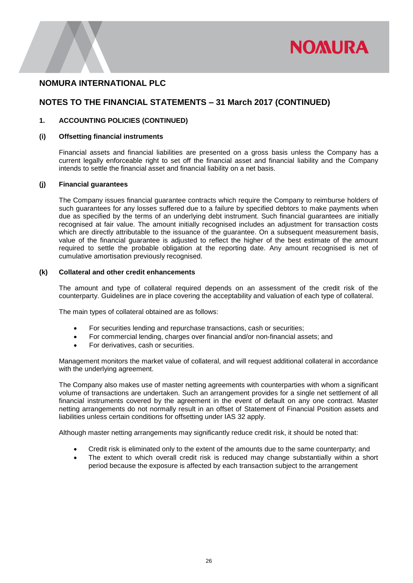

# **NOTES TO THE FINANCIAL STATEMENTS – 31 March 2017 (CONTINUED)**

#### **1. ACCOUNTING POLICIES (CONTINUED)**

#### **(i) Offsetting financial instruments**

Financial assets and financial liabilities are presented on a gross basis unless the Company has a current legally enforceable right to set off the financial asset and financial liability and the Company intends to settle the financial asset and financial liability on a net basis.

#### **(j) Financial guarantees**

The Company issues financial guarantee contracts which require the Company to reimburse holders of such guarantees for any losses suffered due to a failure by specified debtors to make payments when due as specified by the terms of an underlying debt instrument. Such financial guarantees are initially recognised at fair value. The amount initially recognised includes an adjustment for transaction costs which are directly attributable to the issuance of the quarantee. On a subsequent measurement basis, value of the financial guarantee is adjusted to reflect the higher of the best estimate of the amount required to settle the probable obligation at the reporting date. Any amount recognised is net of cumulative amortisation previously recognised.

#### **(k) Collateral and other credit enhancements**

The amount and type of collateral required depends on an assessment of the credit risk of the counterparty. Guidelines are in place covering the acceptability and valuation of each type of collateral.

The main types of collateral obtained are as follows:

- For securities lending and repurchase transactions, cash or securities;
- For commercial lending, charges over financial and/or non-financial assets; and
- For derivatives, cash or securities.

Management monitors the market value of collateral, and will request additional collateral in accordance with the underlying agreement.

The Company also makes use of master netting agreements with counterparties with whom a significant volume of transactions are undertaken. Such an arrangement provides for a single net settlement of all financial instruments covered by the agreement in the event of default on any one contract. Master netting arrangements do not normally result in an offset of Statement of Financial Position assets and liabilities unless certain conditions for offsetting under IAS 32 apply.

Although master netting arrangements may significantly reduce credit risk, it should be noted that:

- Credit risk is eliminated only to the extent of the amounts due to the same counterparty; and
- The extent to which overall credit risk is reduced may change substantially within a short period because the exposure is affected by each transaction subject to the arrangement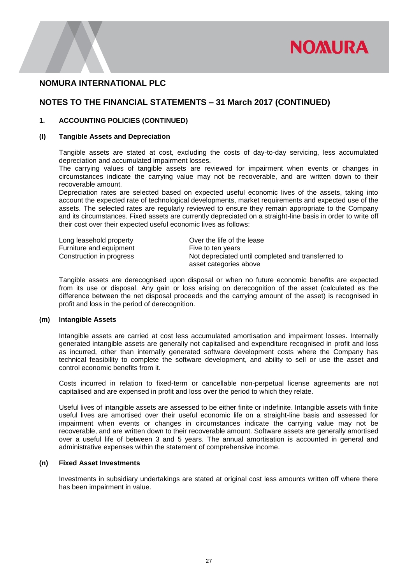

### **NOTES TO THE FINANCIAL STATEMENTS – 31 March 2017 (CONTINUED)**

#### **1. ACCOUNTING POLICIES (CONTINUED)**

#### **(l) Tangible Assets and Depreciation**

Tangible assets are stated at cost, excluding the costs of day-to-day servicing, less accumulated depreciation and accumulated impairment losses.

The carrying values of tangible assets are reviewed for impairment when events or changes in circumstances indicate the carrying value may not be recoverable, and are written down to their recoverable amount.

Depreciation rates are selected based on expected useful economic lives of the assets, taking into account the expected rate of technological developments, market requirements and expected use of the assets. The selected rates are regularly reviewed to ensure they remain appropriate to the Company and its circumstances. Fixed assets are currently depreciated on a straight-line basis in order to write off their cost over their expected useful economic lives as follows:

| Long leasehold property  | Over the life of the lease                         |
|--------------------------|----------------------------------------------------|
| Furniture and equipment  | Five to ten years                                  |
| Construction in progress | Not depreciated until completed and transferred to |
|                          | asset categories above                             |

Tangible assets are derecognised upon disposal or when no future economic benefits are expected from its use or disposal. Any gain or loss arising on derecognition of the asset (calculated as the difference between the net disposal proceeds and the carrying amount of the asset) is recognised in profit and loss in the period of derecognition.

#### **(m) Intangible Assets**

Intangible assets are carried at cost less accumulated amortisation and impairment losses. Internally generated intangible assets are generally not capitalised and expenditure recognised in profit and loss as incurred, other than internally generated software development costs where the Company has technical feasibility to complete the software development, and ability to sell or use the asset and control economic benefits from it.

Costs incurred in relation to fixed-term or cancellable non-perpetual license agreements are not capitalised and are expensed in profit and loss over the period to which they relate.

Useful lives of intangible assets are assessed to be either finite or indefinite. Intangible assets with finite useful lives are amortised over their useful economic life on a straight-line basis and assessed for impairment when events or changes in circumstances indicate the carrying value may not be recoverable, and are written down to their recoverable amount. Software assets are generally amortised over a useful life of between 3 and 5 years. The annual amortisation is accounted in general and administrative expenses within the statement of comprehensive income.

#### **(n) Fixed Asset Investments**

Investments in subsidiary undertakings are stated at original cost less amounts written off where there has been impairment in value.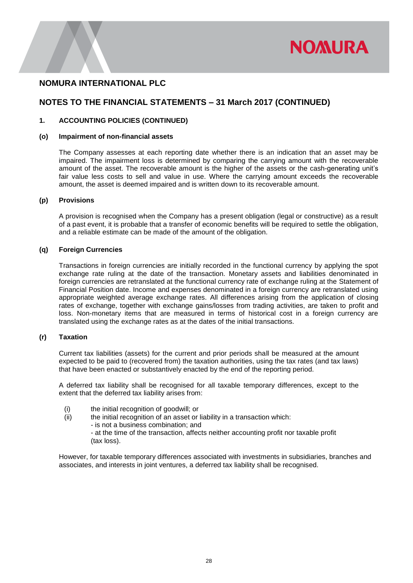

# **NOTES TO THE FINANCIAL STATEMENTS – 31 March 2017 (CONTINUED)**

#### **1. ACCOUNTING POLICIES (CONTINUED)**

#### **(o) Impairment of non-financial assets**

The Company assesses at each reporting date whether there is an indication that an asset may be impaired. The impairment loss is determined by comparing the carrying amount with the recoverable amount of the asset. The recoverable amount is the higher of the assets or the cash-generating unit's fair value less costs to sell and value in use. Where the carrying amount exceeds the recoverable amount, the asset is deemed impaired and is written down to its recoverable amount.

#### **(p) Provisions**

A provision is recognised when the Company has a present obligation (legal or constructive) as a result of a past event, it is probable that a transfer of economic benefits will be required to settle the obligation, and a reliable estimate can be made of the amount of the obligation.

#### **(q) Foreign Currencies**

Transactions in foreign currencies are initially recorded in the functional currency by applying the spot exchange rate ruling at the date of the transaction. Monetary assets and liabilities denominated in foreign currencies are retranslated at the functional currency rate of exchange ruling at the Statement of Financial Position date. Income and expenses denominated in a foreign currency are retranslated using appropriate weighted average exchange rates. All differences arising from the application of closing rates of exchange, together with exchange gains/losses from trading activities, are taken to profit and loss. Non-monetary items that are measured in terms of historical cost in a foreign currency are translated using the exchange rates as at the dates of the initial transactions.

#### **(r) Taxation**

Current tax liabilities (assets) for the current and prior periods shall be measured at the amount expected to be paid to (recovered from) the taxation authorities, using the tax rates (and tax laws) that have been enacted or substantively enacted by the end of the reporting period.

A deferred tax liability shall be recognised for all taxable temporary differences, except to the extent that the deferred tax liability arises from:

- (i) the initial recognition of goodwill; or
- (ii) the initial recognition of an asset or liability in a transaction which:
	- is not a business combination; and
	- at the time of the transaction, affects neither accounting profit nor taxable profit (tax loss).

However, for taxable temporary differences associated with investments in subsidiaries, branches and associates, and interests in joint ventures, a deferred tax liability shall be recognised.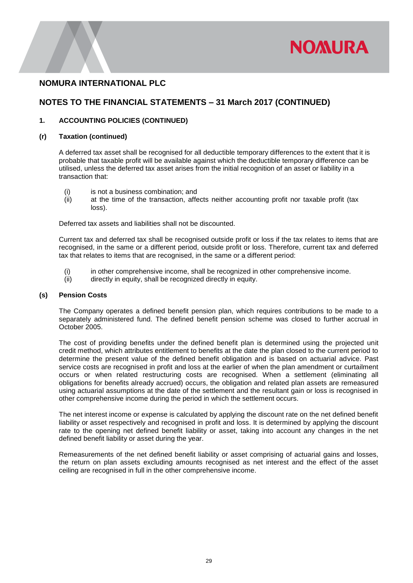

# **NOTES TO THE FINANCIAL STATEMENTS – 31 March 2017 (CONTINUED)**

#### **1. ACCOUNTING POLICIES (CONTINUED)**

#### **(r) Taxation (continued)**

A deferred tax asset shall be recognised for all deductible temporary differences to the extent that it is probable that taxable profit will be available against which the deductible temporary difference can be utilised, unless the deferred tax asset arises from the initial recognition of an asset or liability in a transaction that:

- (i) is not a business combination; and
- (ii) at the time of the transaction, affects neither accounting profit nor taxable profit (tax loss).

Deferred tax assets and liabilities shall not be discounted.

Current tax and deferred tax shall be recognised outside profit or loss if the tax relates to items that are recognised, in the same or a different period, outside profit or loss. Therefore, current tax and deferred tax that relates to items that are recognised, in the same or a different period:

- (i) in other comprehensive income, shall be recognized in other comprehensive income.
- (ii) directly in equity, shall be recognized directly in equity.

#### **(s) Pension Costs**

The Company operates a defined benefit pension plan, which requires contributions to be made to a separately administered fund. The defined benefit pension scheme was closed to further accrual in October 2005.

The cost of providing benefits under the defined benefit plan is determined using the projected unit credit method, which attributes entitlement to benefits at the date the plan closed to the current period to determine the present value of the defined benefit obligation and is based on actuarial advice. Past service costs are recognised in profit and loss at the earlier of when the plan amendment or curtailment occurs or when related restructuring costs are recognised. When a settlement (eliminating all obligations for benefits already accrued) occurs, the obligation and related plan assets are remeasured using actuarial assumptions at the date of the settlement and the resultant gain or loss is recognised in other comprehensive income during the period in which the settlement occurs.

The net interest income or expense is calculated by applying the discount rate on the net defined benefit liability or asset respectively and recognised in profit and loss. It is determined by applying the discount rate to the opening net defined benefit liability or asset, taking into account any changes in the net defined benefit liability or asset during the year.

Remeasurements of the net defined benefit liability or asset comprising of actuarial gains and losses, the return on plan assets excluding amounts recognised as net interest and the effect of the asset ceiling are recognised in full in the other comprehensive income.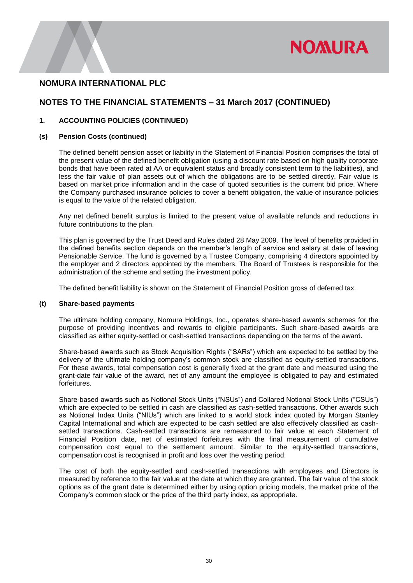

# **NOTES TO THE FINANCIAL STATEMENTS – 31 March 2017 (CONTINUED)**

#### **1. ACCOUNTING POLICIES (CONTINUED)**

#### **(s) Pension Costs (continued)**

The defined benefit pension asset or liability in the Statement of Financial Position comprises the total of the present value of the defined benefit obligation (using a discount rate based on high quality corporate bonds that have been rated at AA or equivalent status and broadly consistent term to the liabilities), and less the fair value of plan assets out of which the obligations are to be settled directly. Fair value is based on market price information and in the case of quoted securities is the current bid price. Where the Company purchased insurance policies to cover a benefit obligation, the value of insurance policies is equal to the value of the related obligation.

Any net defined benefit surplus is limited to the present value of available refunds and reductions in future contributions to the plan.

This plan is governed by the Trust Deed and Rules dated 28 May 2009. The level of benefits provided in the defined benefits section depends on the member's length of service and salary at date of leaving Pensionable Service. The fund is governed by a Trustee Company, comprising 4 directors appointed by the employer and 2 directors appointed by the members. The Board of Trustees is responsible for the administration of the scheme and setting the investment policy.

The defined benefit liability is shown on the Statement of Financial Position gross of deferred tax.

#### **(t) Share-based payments**

The ultimate holding company, Nomura Holdings, Inc., operates share-based awards schemes for the purpose of providing incentives and rewards to eligible participants. Such share-based awards are classified as either equity-settled or cash-settled transactions depending on the terms of the award.

Share-based awards such as Stock Acquisition Rights ("SARs") which are expected to be settled by the delivery of the ultimate holding company's common stock are classified as equity-settled transactions. For these awards, total compensation cost is generally fixed at the grant date and measured using the grant-date fair value of the award, net of any amount the employee is obligated to pay and estimated forfeitures.

Share-based awards such as Notional Stock Units ("NSUs") and Collared Notional Stock Units ("CSUs") which are expected to be settled in cash are classified as cash-settled transactions. Other awards such as Notional Index Units ("NIUs") which are linked to a world stock index quoted by Morgan Stanley Capital International and which are expected to be cash settled are also effectively classified as cashsettled transactions. Cash-settled transactions are remeasured to fair value at each Statement of Financial Position date, net of estimated forfeitures with the final measurement of cumulative compensation cost equal to the settlement amount. Similar to the equity-settled transactions, compensation cost is recognised in profit and loss over the vesting period.

The cost of both the equity-settled and cash-settled transactions with employees and Directors is measured by reference to the fair value at the date at which they are granted. The fair value of the stock options as of the grant date is determined either by using option pricing models, the market price of the Company's common stock or the price of the third party index, as appropriate.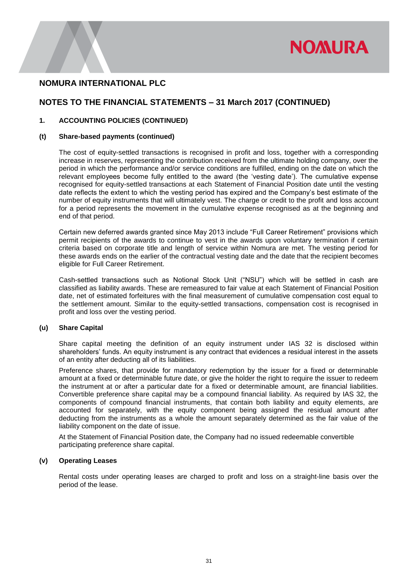

# **NOTES TO THE FINANCIAL STATEMENTS – 31 March 2017 (CONTINUED)**

#### **1. ACCOUNTING POLICIES (CONTINUED)**

#### **(t) Share-based payments (continued)**

The cost of equity-settled transactions is recognised in profit and loss, together with a corresponding increase in reserves, representing the contribution received from the ultimate holding company, over the period in which the performance and/or service conditions are fulfilled, ending on the date on which the relevant employees become fully entitled to the award (the 'vesting date'). The cumulative expense recognised for equity-settled transactions at each Statement of Financial Position date until the vesting date reflects the extent to which the vesting period has expired and the Company's best estimate of the number of equity instruments that will ultimately vest. The charge or credit to the profit and loss account for a period represents the movement in the cumulative expense recognised as at the beginning and end of that period.

Certain new deferred awards granted since May 2013 include "Full Career Retirement" provisions which permit recipients of the awards to continue to vest in the awards upon voluntary termination if certain criteria based on corporate title and length of service within Nomura are met. The vesting period for these awards ends on the earlier of the contractual vesting date and the date that the recipient becomes eligible for Full Career Retirement.

Cash-settled transactions such as Notional Stock Unit ("NSU") which will be settled in cash are classified as liability awards. These are remeasured to fair value at each Statement of Financial Position date, net of estimated forfeitures with the final measurement of cumulative compensation cost equal to the settlement amount. Similar to the equity-settled transactions, compensation cost is recognised in profit and loss over the vesting period.

#### **(u) Share Capital**

Share capital meeting the definition of an equity instrument under IAS 32 is disclosed within shareholders' funds. An equity instrument is any contract that evidences a residual interest in the assets of an entity after deducting all of its liabilities.

Preference shares, that provide for mandatory redemption by the issuer for a fixed or determinable amount at a fixed or determinable future date, or give the holder the right to require the issuer to redeem the instrument at or after a particular date for a fixed or determinable amount, are financial liabilities. Convertible preference share capital may be a compound financial liability. As required by IAS 32, the components of compound financial instruments, that contain both liability and equity elements, are accounted for separately, with the equity component being assigned the residual amount after deducting from the instruments as a whole the amount separately determined as the fair value of the liability component on the date of issue.

At the Statement of Financial Position date, the Company had no issued redeemable convertible participating preference share capital.

#### **(v) Operating Leases**

Rental costs under operating leases are charged to profit and loss on a straight-line basis over the period of the lease.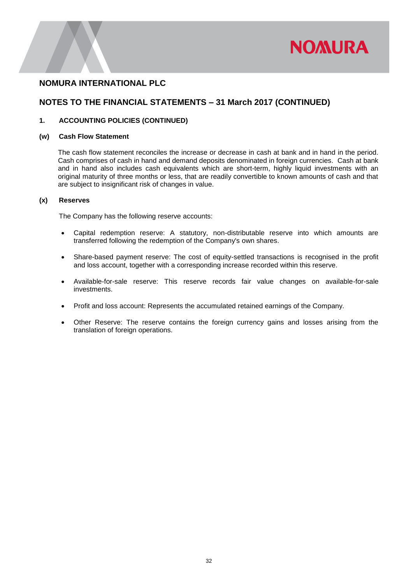

# **NOTES TO THE FINANCIAL STATEMENTS – 31 March 2017 (CONTINUED)**

#### **1. ACCOUNTING POLICIES (CONTINUED)**

#### **(w) Cash Flow Statement**

The cash flow statement reconciles the increase or decrease in cash at bank and in hand in the period. Cash comprises of cash in hand and demand deposits denominated in foreign currencies. Cash at bank and in hand also includes cash equivalents which are short-term, highly liquid investments with an original maturity of three months or less, that are readily convertible to known amounts of cash and that are subject to insignificant risk of changes in value.

#### **(x) Reserves**

The Company has the following reserve accounts:

- Capital redemption reserve: A statutory, non-distributable reserve into which amounts are transferred following the redemption of the Company's own shares.
- Share-based payment reserve: The cost of equity-settled transactions is recognised in the profit and loss account, together with a corresponding increase recorded within this reserve.
- Available-for-sale reserve: This reserve records fair value changes on available-for-sale investments.
- Profit and loss account: Represents the accumulated retained earnings of the Company.
- Other Reserve: The reserve contains the foreign currency gains and losses arising from the translation of foreign operations.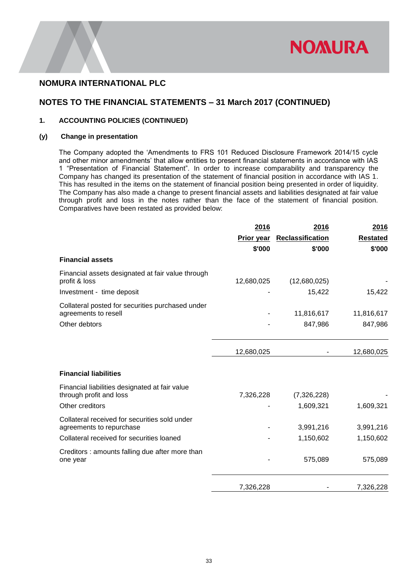

# **NOTES TO THE FINANCIAL STATEMENTS – 31 March 2017 (CONTINUED)**

#### **1. ACCOUNTING POLICIES (CONTINUED)**

#### **(y) Change in presentation**

The Company adopted the 'Amendments to FRS 101 Reduced Disclosure Framework 2014/15 cycle and other minor amendments' that allow entities to present financial statements in accordance with IAS 1 "Presentation of Financial Statement". In order to increase comparability and transparency the Company has changed its presentation of the statement of financial position in accordance with IAS 1. This has resulted in the items on the statement of financial position being presented in order of liquidity. The Company has also made a change to present financial assets and liabilities designated at fair value through profit and loss in the notes rather than the face of the statement of financial position. Comparatives have been restated as provided below:

|                                                                           | 2016       | 2016             | <u>2016</u>     |
|---------------------------------------------------------------------------|------------|------------------|-----------------|
|                                                                           | Prior year | Reclassification | <b>Restated</b> |
|                                                                           | \$'000     | \$'000           | \$'000          |
| <b>Financial assets</b>                                                   |            |                  |                 |
| Financial assets designated at fair value through<br>profit & loss        | 12,680,025 | (12,680,025)     |                 |
| Investment - time deposit                                                 |            | 15,422           | 15,422          |
| Collateral posted for securities purchased under<br>agreements to resell  |            | 11,816,617       | 11,816,617      |
| Other debtors                                                             |            | 847,986          | 847,986         |
|                                                                           | 12,680,025 |                  | 12,680,025      |
| <b>Financial liabilities</b>                                              |            |                  |                 |
| Financial liabilities designated at fair value<br>through profit and loss | 7,326,228  | (7,326,228)      |                 |
| Other creditors                                                           |            | 1,609,321        | 1,609,321       |
| Collateral received for securities sold under<br>agreements to repurchase |            | 3,991,216        | 3,991,216       |
| Collateral received for securities loaned                                 |            | 1,150,602        | 1,150,602       |
| Creditors : amounts falling due after more than<br>one year               |            | 575,089          | 575,089         |
|                                                                           | 7,326,228  |                  | 7,326,228       |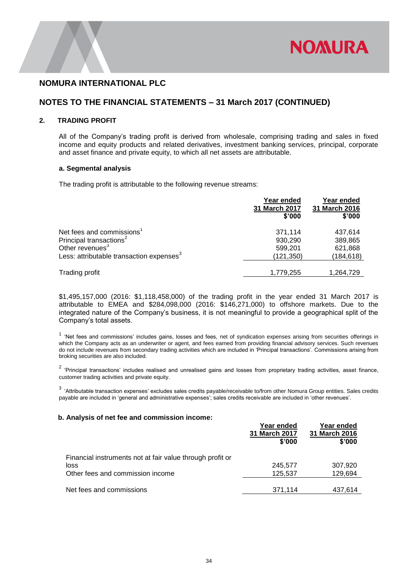

# **NOTES TO THE FINANCIAL STATEMENTS – 31 March 2017 (CONTINUED)**

#### **2. TRADING PROFIT**

All of the Company's trading profit is derived from wholesale, comprising trading and sales in fixed income and equity products and related derivatives, investment banking services, principal, corporate and asset finance and private equity, to which all net assets are attributable.

#### **a. Segmental analysis**

The trading profit is attributable to the following revenue streams:

|                                                      | Year ended<br>31 March 2017<br>\$'000 | Year ended<br>31 March 2016<br>\$'000 |
|------------------------------------------------------|---------------------------------------|---------------------------------------|
| Net fees and commissions <sup>1</sup>                | 371,114                               | 437,614                               |
| Principal transactions <sup>2</sup>                  | 930,290                               | 389,865                               |
| Other revenues <sup>3</sup>                          | 599,201                               | 621,868                               |
| Less: attributable transaction expenses <sup>3</sup> | (121, 350)                            | (184, 618)                            |
| Trading profit                                       | 1,779,255                             | 1,264,729                             |

\$1,495,157,000 (2016: \$1,118,458,000) of the trading profit in the year ended 31 March 2017 is attributable to EMEA and \$284,098,000 (2016: \$146,271,000) to offshore markets. Due to the integrated nature of the Company's business, it is not meaningful to provide a geographical split of the Company's total assets.

<sup>1</sup> 'Net fees and commissions' includes gains, losses and fees, net of syndication expenses arising from securities offerings in which the Company acts as an underwriter or agent, and fees earned from providing financial advisory services. Such revenues do not include revenues from secondary trading activities which are included in 'Principal transactions'. Commissions arising from broking securities are also included.

 $2$  'Principal transactions' includes realised and unrealised gains and losses from proprietary trading activities, asset finance, customer trading activities and private equity.

 $3$  'Attributable transaction expenses' excludes sales credits payable/receivable to/from other Nomura Group entities. Sales credits payable are included in 'general and administrative expenses'; sales credits receivable are included in 'other revenues'.

#### **b. Analysis of net fee and commission income:**

|                                                                   | Year ended<br><b>31 March 2017</b><br>\$'000 | Year ended<br>31 March 2016<br>\$'000 |
|-------------------------------------------------------------------|----------------------------------------------|---------------------------------------|
| Financial instruments not at fair value through profit or<br>loss | 245,577                                      | 307,920                               |
| Other fees and commission income                                  | 125.537                                      | 129,694                               |
| Net fees and commissions                                          | 371,114                                      | 437.614                               |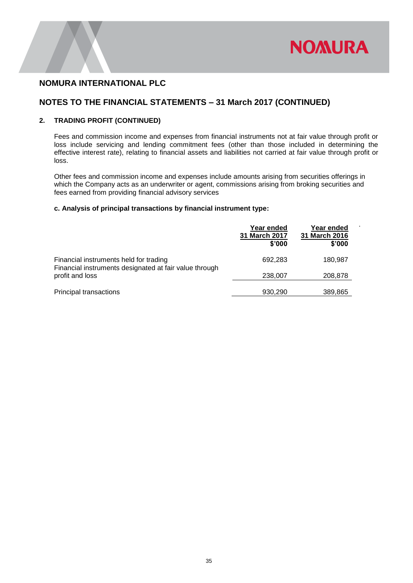

.

# **NOMURA INTERNATIONAL PLC**

# **NOTES TO THE FINANCIAL STATEMENTS – 31 March 2017 (CONTINUED)**

#### **2. TRADING PROFIT (CONTINUED)**

Fees and commission income and expenses from financial instruments not at fair value through profit or loss include servicing and lending commitment fees (other than those included in determining the effective interest rate), relating to financial assets and liabilities not carried at fair value through profit or loss.

Other fees and commission income and expenses include amounts arising from securities offerings in which the Company acts as an underwriter or agent, commissions arising from broking securities and fees earned from providing financial advisory services

#### **c. Analysis of principal transactions by financial instrument type:**

|                                                                                                  | Year ended<br>31 March 2017<br>\$'000 | Year ended<br>31 March 2016<br>\$'000 |
|--------------------------------------------------------------------------------------------------|---------------------------------------|---------------------------------------|
| Financial instruments held for trading<br>Financial instruments designated at fair value through | 692,283                               | 180,987                               |
| profit and loss                                                                                  | 238,007                               | 208,878                               |
| <b>Principal transactions</b>                                                                    | 930,290                               | 389,865                               |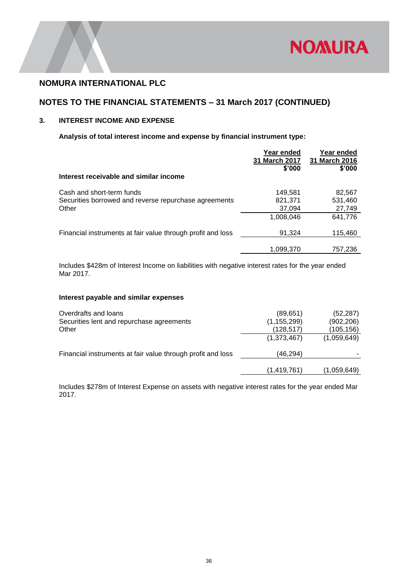

# **NOTES TO THE FINANCIAL STATEMENTS – 31 March 2017 (CONTINUED)**

### **3. INTEREST INCOME AND EXPENSE**

### **Analysis of total interest income and expense by financial instrument type:**

|                                                                                             | Year ended<br><b>31 March 2017</b><br>\$'000 | Year ended<br>31 March 2016<br>\$'000 |
|---------------------------------------------------------------------------------------------|----------------------------------------------|---------------------------------------|
| Interest receivable and similar income                                                      |                                              |                                       |
| Cash and short-term funds<br>Securities borrowed and reverse repurchase agreements<br>Other | 149,581<br>821,371<br>37,094                 | 82,567<br>531,460<br>27,749           |
|                                                                                             | 1,008,046                                    | 641,776                               |
| Financial instruments at fair value through profit and loss                                 | 91,324                                       | 115,460                               |
|                                                                                             | 1,099,370                                    | 757,236                               |

Includes \$428m of Interest Income on liabilities with negative interest rates for the year ended Mar 2017.

#### **Interest payable and similar expenses**

| Overdrafts and loans<br>Securities lent and repurchase agreements<br>Other | (89, 651)<br>(1, 155, 299)<br>(128, 517) | (52, 287)<br>(902, 206)<br>(105, 156) |
|----------------------------------------------------------------------------|------------------------------------------|---------------------------------------|
|                                                                            | (1,373,467)                              | (1,059,649)                           |
| Financial instruments at fair value through profit and loss                | (46,294)                                 |                                       |
|                                                                            | (1,419,761)                              | (1,059,649)                           |

Includes \$278m of Interest Expense on assets with negative interest rates for the year ended Mar 2017.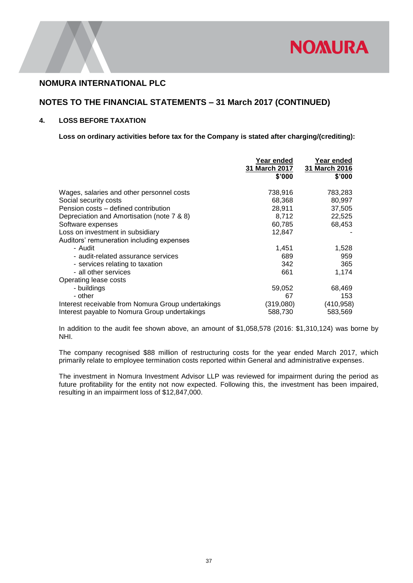

## **NOTES TO THE FINANCIAL STATEMENTS – 31 March 2017 (CONTINUED)**

### **4. LOSS BEFORE TAXATION**

**Loss on ordinary activities before tax for the Company is stated after charging/(crediting):**

|                                                    | Year ended<br>31 March 2017<br>\$'000 | Year ended<br>31 March 2016<br>\$'000 |
|----------------------------------------------------|---------------------------------------|---------------------------------------|
| Wages, salaries and other personnel costs          | 738,916                               | 783,283                               |
| Social security costs                              | 68,368                                | 80,997                                |
| Pension costs – defined contribution               | 28,911                                | 37,505                                |
| Depreciation and Amortisation (note 7 & 8)         | 8,712                                 | 22,525                                |
| Software expenses                                  | 60,785                                | 68,453                                |
| Loss on investment in subsidiary                   | 12,847                                |                                       |
| Auditors' remuneration including expenses          |                                       |                                       |
| - Audit                                            | 1,451                                 | 1,528                                 |
| - audit-related assurance services                 | 689                                   | 959                                   |
| - services relating to taxation                    | 342                                   | 365                                   |
| - all other services                               | 661                                   | 1,174                                 |
| Operating lease costs                              |                                       |                                       |
| - buildings                                        | 59,052                                | 68,469                                |
| - other                                            | 67                                    | 153                                   |
| Interest receivable from Nomura Group undertakings | (319,080)                             | (410, 958)                            |
| Interest payable to Nomura Group undertakings      | 588,730                               | 583,569                               |

In addition to the audit fee shown above, an amount of \$1,058,578 (2016: \$1,310,124) was borne by NHI.

The company recognised \$88 million of restructuring costs for the year ended March 2017, which primarily relate to employee termination costs reported within General and administrative expenses.

The investment in Nomura Investment Advisor LLP was reviewed for impairment during the period as future profitability for the entity not now expected. Following this, the investment has been impaired, resulting in an impairment loss of \$12,847,000.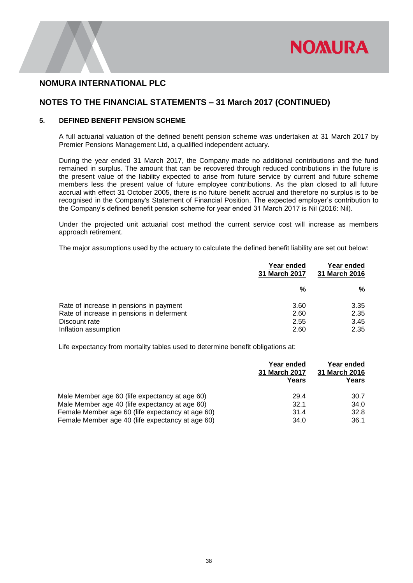

## **NOTES TO THE FINANCIAL STATEMENTS – 31 March 2017 (CONTINUED)**

### **5. DEFINED BENEFIT PENSION SCHEME**

A full actuarial valuation of the defined benefit pension scheme was undertaken at 31 March 2017 by Premier Pensions Management Ltd, a qualified independent actuary.

During the year ended 31 March 2017, the Company made no additional contributions and the fund remained in surplus. The amount that can be recovered through reduced contributions in the future is the present value of the liability expected to arise from future service by current and future scheme members less the present value of future employee contributions. As the plan closed to all future accrual with effect 31 October 2005, there is no future benefit accrual and therefore no surplus is to be recognised in the Company's Statement of Financial Position. The expected employer's contribution to the Company's defined benefit pension scheme for year ended 31 March 2017 is Nil (2016: Nil).

Under the projected unit actuarial cost method the current service cost will increase as members approach retirement.

The major assumptions used by the actuary to calculate the defined benefit liability are set out below:

|                                           | Year ended<br>31 March 2017 | Year ended<br>31 March 2016 |
|-------------------------------------------|-----------------------------|-----------------------------|
|                                           | %                           | %                           |
| Rate of increase in pensions in payment   | 3.60                        | 3.35                        |
| Rate of increase in pensions in deferment | 2.60                        | 2.35                        |
| Discount rate                             | 2.55                        | 3.45                        |
| Inflation assumption                      | 2.60                        | 2.35                        |

Life expectancy from mortality tables used to determine benefit obligations at:

|                                                  | Year ended<br><b>31 March 2017</b><br>Years | Year ended<br>31 March 2016<br>Years |
|--------------------------------------------------|---------------------------------------------|--------------------------------------|
| Male Member age 60 (life expectancy at age 60)   | 29.4                                        | 30.7                                 |
| Male Member age 40 (life expectancy at age 60)   | 32.1                                        | 34.0                                 |
| Female Member age 60 (life expectancy at age 60) | 31.4                                        | 32.8                                 |
| Female Member age 40 (life expectancy at age 60) | 34.0                                        | 36.1                                 |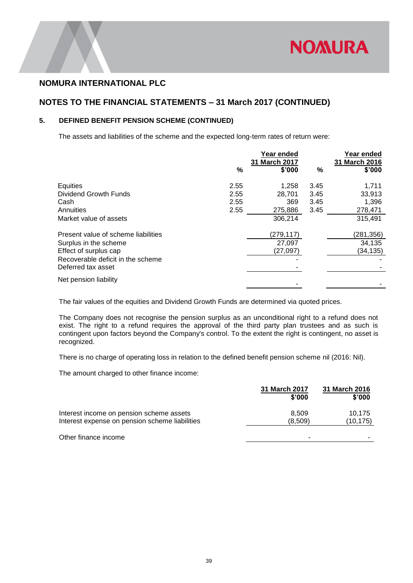

## **NOTES TO THE FINANCIAL STATEMENTS – 31 March 2017 (CONTINUED)**

### **5. DEFINED BENEFIT PENSION SCHEME (CONTINUED)**

The assets and liabilities of the scheme and the expected long-term rates of return were:

|                                                         | ℅    | Year ended<br>31 March 2017<br>\$'000 | %    | Year ended<br>31 March 2016<br>\$'000 |
|---------------------------------------------------------|------|---------------------------------------|------|---------------------------------------|
| Equities                                                | 2.55 | 1.258                                 | 3.45 | 1,711                                 |
| Dividend Growth Funds                                   | 2.55 | 28.701                                | 3.45 | 33,913                                |
| Cash                                                    | 2.55 | 369                                   | 3.45 | 1,396                                 |
| Annuities                                               | 2.55 | 275,886                               | 3.45 | 278,471                               |
| Market value of assets                                  |      | 306,214                               |      | 315.491                               |
| Present value of scheme liabilities                     |      | (279,117)                             |      | (281,356)                             |
| Surplus in the scheme                                   |      | 27,097                                |      | 34,135                                |
| Effect of surplus cap                                   |      | (27,097)                              |      | (34,135)                              |
| Recoverable deficit in the scheme<br>Deferred tax asset |      |                                       |      |                                       |
| Net pension liability                                   |      |                                       |      |                                       |

The fair values of the equities and Dividend Growth Funds are determined via quoted prices.

The Company does not recognise the pension surplus as an unconditional right to a refund does not exist. The right to a refund requires the approval of the third party plan trustees and as such is contingent upon factors beyond the Company's control. To the extent the right is contingent, no asset is recognized.

There is no charge of operating loss in relation to the defined benefit pension scheme nil (2016: Nil).

The amount charged to other finance income:

|                                                                                            | 31 March 2017<br>\$'000 | 31 March 2016<br>\$'000 |
|--------------------------------------------------------------------------------------------|-------------------------|-------------------------|
| Interest income on pension scheme assets<br>Interest expense on pension scheme liabilities | 8.509<br>(8.509)        | 10.175<br>(10,175)      |
| Other finance income                                                                       | -                       |                         |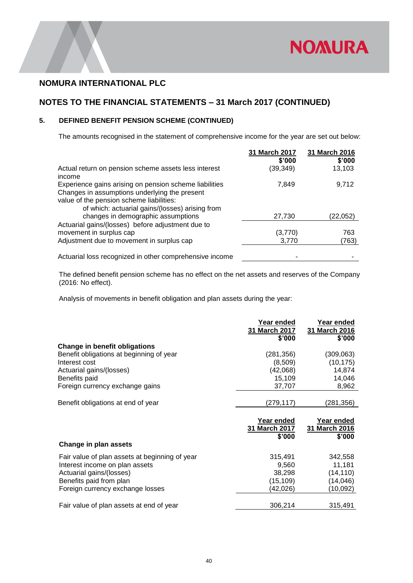

# **NOTES TO THE FINANCIAL STATEMENTS – 31 March 2017 (CONTINUED)**

### **5. DEFINED BENEFIT PENSION SCHEME (CONTINUED)**

The amounts recognised in the statement of comprehensive income for the year are set out below:

|                                                                                                                                                                                                        | 31 March 2017<br>\$'000 | 31 March 2016<br>\$'000 |
|--------------------------------------------------------------------------------------------------------------------------------------------------------------------------------------------------------|-------------------------|-------------------------|
| Actual return on pension scheme assets less interest<br>income                                                                                                                                         | (39, 349)               | 13,103                  |
| Experience gains arising on pension scheme liabilities<br>Changes in assumptions underlying the present<br>value of the pension scheme liabilities:<br>of which: actuarial gains/(losses) arising from | 7,849                   | 9,712                   |
| changes in demographic assumptions                                                                                                                                                                     | 27,730                  | (22,052)                |
| Actuarial gains/(losses) before adjustment due to<br>movement in surplus cap<br>Adjustment due to movement in surplus cap                                                                              | (3,770)<br>3,770        | 763<br>(763)            |
| Actuarial loss recognized in other comprehensive income                                                                                                                                                |                         |                         |

The defined benefit pension scheme has no effect on the net assets and reserves of the Company (2016: No effect).

Analysis of movements in benefit obligation and plan assets during the year:

|                                                | Year ended<br>31 March 2017<br>\$'000 | Year ended<br>31 March 2016<br>\$'000 |
|------------------------------------------------|---------------------------------------|---------------------------------------|
| <b>Change in benefit obligations</b>           |                                       |                                       |
| Benefit obligations at beginning of year       | (281,356)                             | (309,063)                             |
| Interest cost                                  | (8,509)                               | (10, 175)                             |
| Actuarial gains/(losses)                       | (42,068)                              | 14,874                                |
| Benefits paid                                  | 15,109                                | 14,046                                |
| Foreign currency exchange gains                | 37,707                                | 8,962                                 |
|                                                |                                       |                                       |
| Benefit obligations at end of year             | (279,117)                             | (281, 356)                            |
|                                                |                                       |                                       |
|                                                | Year ended<br>31 March 2017<br>\$'000 | Year ended<br>31 March 2016<br>\$'000 |
| Change in plan assets                          |                                       |                                       |
| Fair value of plan assets at beginning of year | 315,491                               | 342,558                               |
| Interest income on plan assets                 | 9,560                                 | 11,181                                |
| Actuarial gains/(losses)                       | 38,298                                | (14, 110)                             |
| Benefits paid from plan                        | (15, 109)                             | (14,046)                              |
| Foreign currency exchange losses               | (42,026)                              | (10,092)                              |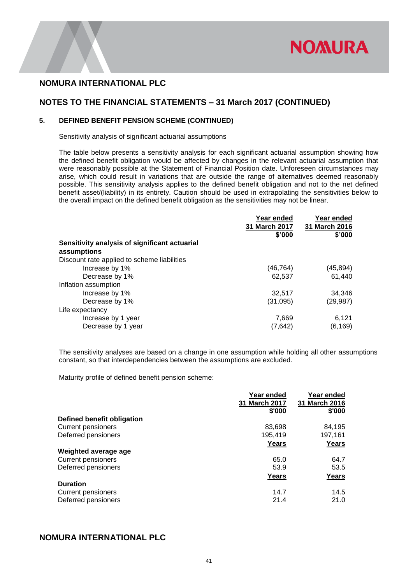

## **NOTES TO THE FINANCIAL STATEMENTS – 31 March 2017 (CONTINUED)**

### **5. DEFINED BENEFIT PENSION SCHEME (CONTINUED)**

Sensitivity analysis of significant actuarial assumptions

The table below presents a sensitivity analysis for each significant actuarial assumption showing how the defined benefit obligation would be affected by changes in the relevant actuarial assumption that were reasonably possible at the Statement of Financial Position date. Unforeseen circumstances may arise, which could result in variations that are outside the range of alternatives deemed reasonably possible. This sensitivity analysis applies to the defined benefit obligation and not to the net defined benefit asset/(liability) in its entirety. Caution should be used in extrapolating the sensitivities below to the overall impact on the defined benefit obligation as the sensitivities may not be linear.

|                                               | Year ended<br>31 March 2017 | Year ended<br>31 March 2016 |
|-----------------------------------------------|-----------------------------|-----------------------------|
|                                               | \$'000                      | \$'000                      |
| Sensitivity analysis of significant actuarial |                             |                             |
| assumptions                                   |                             |                             |
| Discount rate applied to scheme liabilities   |                             |                             |
| Increase by 1%                                | (46,764)                    | (45, 894)                   |
| Decrease by 1%                                | 62,537                      | 61,440                      |
| Inflation assumption                          |                             |                             |
| Increase by 1%                                | 32,517                      | 34,346                      |
| Decrease by 1%                                | (31,095)                    | (29, 987)                   |
| Life expectancy                               |                             |                             |
| Increase by 1 year                            | 7,669                       | 6,121                       |
| Decrease by 1 year                            | (7,642)                     | (6, 169)                    |

The sensitivity analyses are based on a change in one assumption while holding all other assumptions constant, so that interdependencies between the assumptions are excluded.

Maturity profile of defined benefit pension scheme:

|                            | Year ended<br>31 March 2017 | Year ended<br>31 March 2016 |
|----------------------------|-----------------------------|-----------------------------|
|                            | \$'000                      | \$'000                      |
| Defined benefit obligation |                             |                             |
| <b>Current pensioners</b>  | 83,698                      | 84,195                      |
| Deferred pensioners        | 195.419                     | 197,161                     |
|                            | Years                       | Years                       |
| Weighted average age       |                             |                             |
| <b>Current pensioners</b>  | 65.0                        | 64.7                        |
| Deferred pensioners        | 53.9                        | 53.5                        |
|                            | Years                       | Years                       |
| <b>Duration</b>            |                             |                             |
| <b>Current pensioners</b>  | 14.7                        | 14.5                        |
| Deferred pensioners        | 21.4                        | 21.0                        |

### **NOMURA INTERNATIONAL PLC**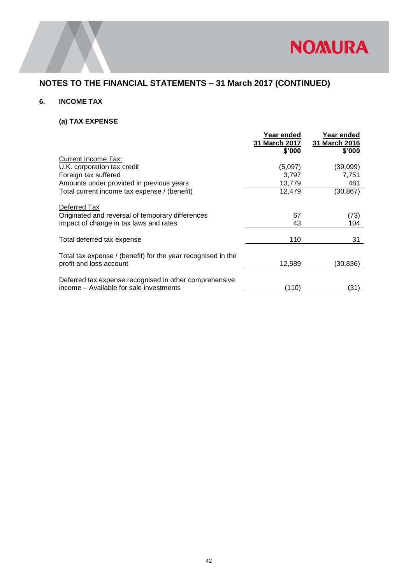

# **NOTES TO THE FINANCIAL STATEMENTS – 31 March 2017 (CONTINUED)**

### **6. INCOME TAX**

### **(a) TAX EXPENSE**

|                                                              | Year ended<br>31 March 2017<br>\$'000 | Year ended<br>31 March 2016<br>\$'000 |
|--------------------------------------------------------------|---------------------------------------|---------------------------------------|
| Current Income Tax:                                          |                                       |                                       |
| U.K. corporation tax credit                                  | (5,097)                               | (39,099)                              |
| Foreign tax suffered                                         | 3,797                                 | 7,751                                 |
| Amounts under provided in previous years                     | 13,779                                | 481                                   |
| Total current income tax expense / (benefit)                 | 12,479                                | (30, 867)                             |
| Deferred Tax                                                 |                                       |                                       |
| Originated and reversal of temporary differences             | 67                                    | (73)                                  |
| Impact of change in tax laws and rates                       | 43                                    | 104                                   |
| Total deferred tax expense                                   | 110                                   | 31                                    |
| Total tax expense / (benefit) for the year recognised in the |                                       |                                       |
| profit and loss account                                      | 12,589                                | (30, 836)                             |
| Deferred tax expense recognised in other comprehensive       |                                       |                                       |
| income – Available for sale investments                      | (110)                                 | (31)                                  |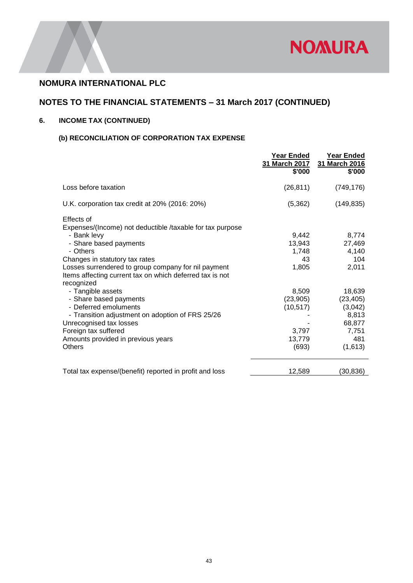

# **NOTES TO THE FINANCIAL STATEMENTS – 31 March 2017 (CONTINUED)**

## **6. INCOME TAX (CONTINUED)**

## **(b) RECONCILIATION OF CORPORATION TAX EXPENSE**

|                                                                                                                                                                                                                                                                                                                                                                                                                                                                                                                                       | <b>Year Ended</b><br>31 March 2017<br>\$'000                                                          | Year Ended<br>31 March 2016<br>\$'000                                                                                    |
|---------------------------------------------------------------------------------------------------------------------------------------------------------------------------------------------------------------------------------------------------------------------------------------------------------------------------------------------------------------------------------------------------------------------------------------------------------------------------------------------------------------------------------------|-------------------------------------------------------------------------------------------------------|--------------------------------------------------------------------------------------------------------------------------|
| Loss before taxation                                                                                                                                                                                                                                                                                                                                                                                                                                                                                                                  | (26, 811)                                                                                             | (749, 176)                                                                                                               |
| U.K. corporation tax credit at 20% (2016: 20%)                                                                                                                                                                                                                                                                                                                                                                                                                                                                                        | (5, 362)                                                                                              | (149, 835)                                                                                                               |
| Effects of<br>Expenses/(Income) not deductible /taxable for tax purpose<br>- Bank levy<br>- Share based payments<br>- Others<br>Changes in statutory tax rates<br>Losses surrendered to group company for nil payment<br>Items affecting current tax on which deferred tax is not<br>recognized<br>- Tangible assets<br>- Share based payments<br>- Deferred emoluments<br>- Transition adjustment on adoption of FRS 25/26<br>Unrecognised tax losses<br>Foreign tax suffered<br>Amounts provided in previous years<br><b>Others</b> | 9.442<br>13,943<br>1,748<br>43<br>1,805<br>8,509<br>(23,905)<br>(10, 517)<br>3,797<br>13,779<br>(693) | 8,774<br>27,469<br>4,140<br>104<br>2,011<br>18,639<br>(23, 405)<br>(3,042)<br>8,813<br>68,877<br>7,751<br>481<br>(1,613) |
| Total tax expense/(benefit) reported in profit and loss                                                                                                                                                                                                                                                                                                                                                                                                                                                                               | 12,589                                                                                                | (30, 836)                                                                                                                |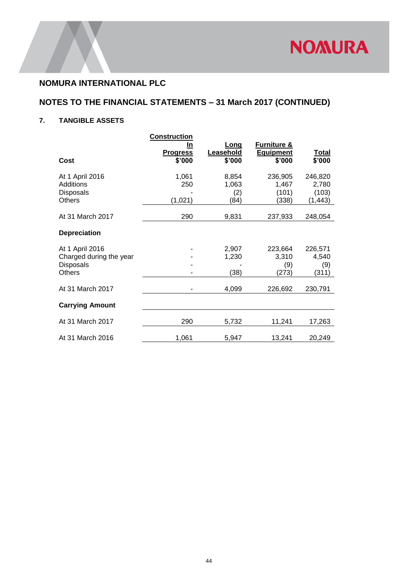

# **NOTES TO THE FINANCIAL STATEMENTS – 31 March 2017 (CONTINUED)**

## **7. TANGIBLE ASSETS**

| Cost                                                                            | <b>Construction</b><br>In<br><u>Progress</u><br>\$'000 | <b>Long</b><br>Leasehold<br>\$'000 | <b>Furniture &amp;</b><br><b>Equipment</b><br>\$'000 | <u>Total</u><br>\$'000                |
|---------------------------------------------------------------------------------|--------------------------------------------------------|------------------------------------|------------------------------------------------------|---------------------------------------|
| At 1 April 2016<br><b>Additions</b><br><b>Disposals</b><br><b>Others</b>        | 1,061<br>250<br>(1,021)                                | 8,854<br>1,063<br>(2)<br>(84)      | 236,905<br>1,467<br>(101)<br>(338)                   | 246,820<br>2,780<br>(103)<br>(1, 443) |
| At 31 March 2017                                                                | 290                                                    | 9,831                              | 237,933                                              | 248,054                               |
| <b>Depreciation</b>                                                             |                                                        |                                    |                                                      |                                       |
| At 1 April 2016<br>Charged during the year<br><b>Disposals</b><br><b>Others</b> |                                                        | 2,907<br>1,230<br>(38)             | 223,664<br>3,310<br>(9)<br>(273)                     | 226,571<br>4,540<br>(9)<br>(311)      |
| At 31 March 2017                                                                |                                                        | 4,099                              | 226,692                                              | 230,791                               |
| <b>Carrying Amount</b>                                                          |                                                        |                                    |                                                      |                                       |
| At 31 March 2017                                                                | 290                                                    | 5,732                              | 11,241                                               | 17,263                                |
| At 31 March 2016                                                                | 1,061                                                  | 5,947                              | 13,241                                               | 20,249                                |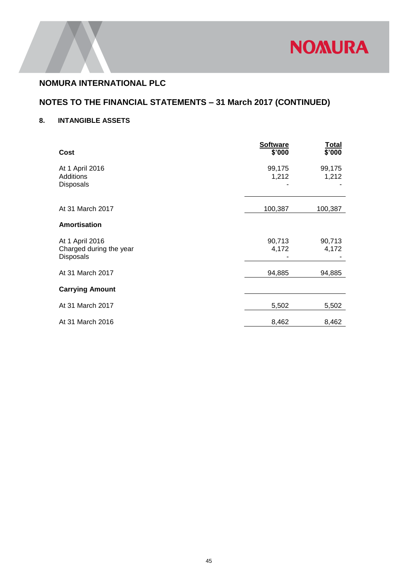

# **NOTES TO THE FINANCIAL STATEMENTS – 31 March 2017 (CONTINUED)**

## **8. INTANGIBLE ASSETS**

| <b>Cost</b>                                                    | <b>Software</b><br>\$'000 | Total<br>\$'000 |
|----------------------------------------------------------------|---------------------------|-----------------|
| At 1 April 2016<br><b>Additions</b><br>Disposals               | 99,175<br>1,212           | 99,175<br>1,212 |
| At 31 March 2017                                               | 100,387                   | 100,387         |
| Amortisation                                                   |                           |                 |
| At 1 April 2016<br>Charged during the year<br><b>Disposals</b> | 90,713<br>4,172           | 90,713<br>4,172 |
| At 31 March 2017                                               | 94,885                    | 94,885          |
| <b>Carrying Amount</b>                                         |                           |                 |
| At 31 March 2017                                               | 5,502                     | 5,502           |
| At 31 March 2016                                               | 8,462                     | 8,462           |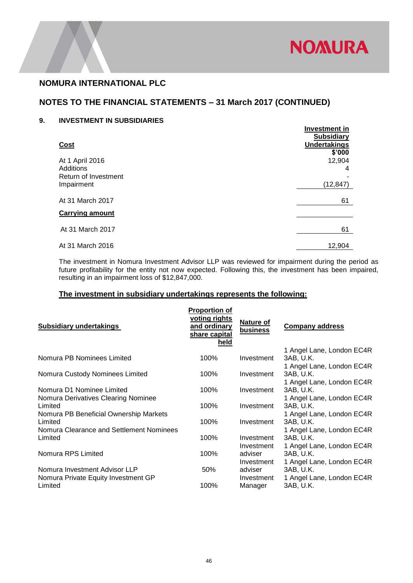

# **NOTES TO THE FINANCIAL STATEMENTS – 31 March 2017 (CONTINUED)**

### **9. INVESTMENT IN SUBSIDIARIES**

| <b>Cost</b>                                                        | <b>Investment in</b><br><b>Subsidiary</b><br><b>Undertakings</b> |
|--------------------------------------------------------------------|------------------------------------------------------------------|
| At 1 April 2016<br>Additions<br>Return of Investment<br>Impairment | \$'000<br>12,904<br>4<br>(12, 847)                               |
| At 31 March 2017<br><b>Carrying amount</b>                         | 61                                                               |
| At 31 March 2017                                                   | 61                                                               |
| At 31 March 2016                                                   | 12,904                                                           |

The investment in Nomura Investment Advisor LLP was reviewed for impairment during the period as future profitability for the entity not now expected. Following this, the investment has been impaired, resulting in an impairment loss of \$12,847,000.

### **The investment in subsidiary undertakings represents the following:**

| <b>Subsidiary undertakings</b>           | <b>Proportion of</b><br>voting rights<br>and ordinary<br>share capital<br>held | <b>Nature of</b><br>business | <b>Company address</b>    |
|------------------------------------------|--------------------------------------------------------------------------------|------------------------------|---------------------------|
|                                          |                                                                                |                              | 1 Angel Lane, London EC4R |
| Nomura PB Nominees Limited               | 100%                                                                           | Investment                   | 3AB, U.K.                 |
|                                          |                                                                                |                              | 1 Angel Lane, London EC4R |
| Nomura Custody Nominees Limited          | 100%                                                                           | Investment                   | 3AB. U.K.                 |
|                                          |                                                                                |                              | 1 Angel Lane, London EC4R |
| Nomura D1 Nominee Limited                | 100%                                                                           | Investment                   | 3AB, U.K.                 |
| Nomura Derivatives Clearing Nominee      |                                                                                |                              | 1 Angel Lane, London EC4R |
| Limited                                  | 100%                                                                           | Investment                   | 3AB, U.K.                 |
| Nomura PB Beneficial Ownership Markets   |                                                                                |                              | 1 Angel Lane, London EC4R |
| Limited                                  | 100%                                                                           | Investment                   | 3AB, U.K.                 |
| Nomura Clearance and Settlement Nominees |                                                                                |                              | 1 Angel Lane, London EC4R |
| Limited                                  | 100%                                                                           | Investment                   | 3AB, U.K.                 |
|                                          |                                                                                | Investment                   | 1 Angel Lane, London EC4R |
| Nomura RPS Limited                       | 100%                                                                           | adviser                      | 3AB, U.K.                 |
|                                          |                                                                                | Investment                   | 1 Angel Lane, London EC4R |
| Nomura Investment Advisor LLP            | 50%                                                                            | adviser                      | 3AB, U.K.                 |
| Nomura Private Equity Investment GP      |                                                                                | Investment                   | 1 Angel Lane, London EC4R |
| Limited                                  | 100%                                                                           | Manager                      | 3AB, U.K.                 |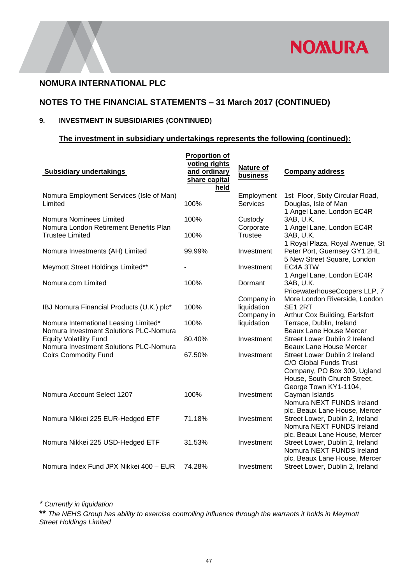

## **NOTES TO THE FINANCIAL STATEMENTS – 31 March 2017 (CONTINUED)**

## **9. INVESTMENT IN SUBSIDIARIES (CONTINUED)**

### **The investment in subsidiary undertakings represents the following (continued):**

| <b>Subsidiary undertakings</b>                                                              | <b>Proportion of</b><br>voting rights<br>and ordinary<br>share capital<br>held | Nature of<br>business                   | <b>Company address</b>                                                                                                                         |
|---------------------------------------------------------------------------------------------|--------------------------------------------------------------------------------|-----------------------------------------|------------------------------------------------------------------------------------------------------------------------------------------------|
| Nomura Employment Services (Isle of Man)<br>Limited                                         | 100%                                                                           | Employment<br><b>Services</b>           | 1st Floor, Sixty Circular Road,<br>Douglas, Isle of Man<br>1 Angel Lane, London EC4R                                                           |
| Nomura Nominees Limited<br>Nomura London Retirement Benefits Plan<br><b>Trustee Limited</b> | 100%<br>100%                                                                   | Custody<br>Corporate<br><b>Trustee</b>  | 3AB, U.K.<br>1 Angel Lane, London EC4R<br>3AB, U.K.                                                                                            |
| Nomura Investments (AH) Limited                                                             | 99.99%                                                                         | Investment                              | 1 Royal Plaza, Royal Avenue, St<br>Peter Port, Guernsey GY1 2HL<br>5 New Street Square, London                                                 |
| Meymott Street Holdings Limited**                                                           |                                                                                | Investment                              | EC4A 3TW<br>1 Angel Lane, London EC4R                                                                                                          |
| Nomura.com Limited                                                                          | 100%                                                                           | Dormant                                 | 3AB, U.K.<br>PricewaterhouseCoopers LLP, 7                                                                                                     |
| IBJ Nomura Financial Products (U.K.) plc*                                                   | 100%                                                                           | Company in<br>liquidation<br>Company in | More London Riverside, London<br>SE1 2RT<br>Arthur Cox Building, Earlsfort                                                                     |
| Nomura International Leasing Limited*<br>Nomura Investment Solutions PLC-Nomura             | 100%                                                                           | liquidation                             | Terrace, Dublin, Ireland<br><b>Beaux Lane House Mercer</b>                                                                                     |
| <b>Equity Volatility Fund</b><br>Nomura Investment Solutions PLC-Nomura                     | 80.40%                                                                         | Investment                              | Street Lower Dublin 2 Ireland<br>Beaux Lane House Mercer                                                                                       |
| <b>Colrs Commodity Fund</b>                                                                 | 67.50%                                                                         | Investment                              | Street Lower Dublin 2 Ireland<br>C/O Global Funds Trust<br>Company, PO Box 309, Ugland<br>House, South Church Street,<br>George Town KY1-1104, |
| Nomura Account Select 1207                                                                  | 100%                                                                           | Investment                              | Cayman Islands<br>Nomura NEXT FUNDS Ireland<br>plc, Beaux Lane House, Mercer                                                                   |
| Nomura Nikkei 225 EUR-Hedged ETF                                                            | 71.18%                                                                         | Investment                              | Street Lower, Dublin 2, Ireland<br>Nomura NEXT FUNDS Ireland                                                                                   |
| Nomura Nikkei 225 USD-Hedged ETF                                                            | 31.53%                                                                         | Investment                              | plc, Beaux Lane House, Mercer<br>Street Lower, Dublin 2, Ireland<br>Nomura NEXT FUNDS Ireland<br>plc, Beaux Lane House, Mercer                 |
| Nomura Index Fund JPX Nikkei 400 - EUR                                                      | 74.28%                                                                         | Investment                              | Street Lower, Dublin 2, Ireland                                                                                                                |

*\* Currently in liquidation*

**\*\*** *The NEHS Group has ability to exercise controlling influence through the warrants it holds in Meymott Street Holdings Limited*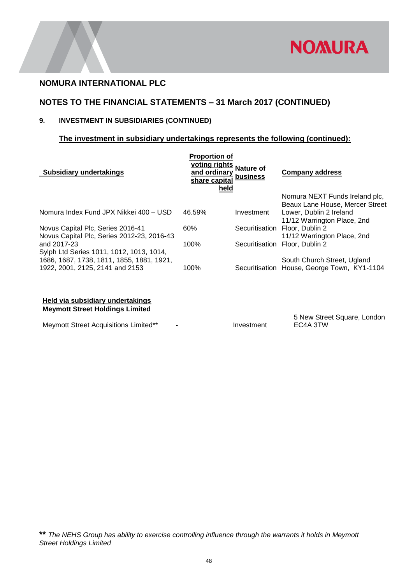

# **NOTES TO THE FINANCIAL STATEMENTS – 31 March 2017 (CONTINUED)**

## **9. INVESTMENT IN SUBSIDIARIES (CONTINUED)**

### **The investment in subsidiary undertakings represents the following (continued):**

| <b>Subsidiary undertakings</b>                                                                                           | <b>Proportion of</b><br>voting rights<br>and ordinary<br>share capital<br>held | Nature of<br>business | <b>Company address</b>                                                                    |
|--------------------------------------------------------------------------------------------------------------------------|--------------------------------------------------------------------------------|-----------------------|-------------------------------------------------------------------------------------------|
|                                                                                                                          |                                                                                |                       | Nomura NEXT Funds Ireland plc,                                                            |
| Nomura Index Fund JPX Nikkei 400 - USD                                                                                   | 46.59%                                                                         | Investment            | Beaux Lane House, Mercer Street<br>Lower, Dublin 2 Ireland<br>11/12 Warrington Place, 2nd |
| Novus Capital Plc, Series 2016-41<br>Novus Capital Plc, Series 2012-23, 2016-43                                          | 60%                                                                            | Securitisation        | Floor, Dublin 2<br>11/12 Warrington Place, 2nd                                            |
| and 2017-23                                                                                                              | 100%                                                                           | Securitisation        | Floor. Dublin 2                                                                           |
| Sylph Ltd Series 1011, 1012, 1013, 1014,<br>1686, 1687, 1738, 1811, 1855, 1881, 1921,<br>1922, 2001, 2125, 2141 and 2153 | 100%                                                                           | Securitisation        | South Church Street, Ugland<br>House, George Town, KY1-1104                               |
|                                                                                                                          |                                                                                |                       |                                                                                           |

### **Held via subsidiary undertakings Meymott Street Holdings Limited**

Meymott Street Acquisitions Limited\*\* Fig. 5. Investment

5 New Street Square, London EC4A 3TW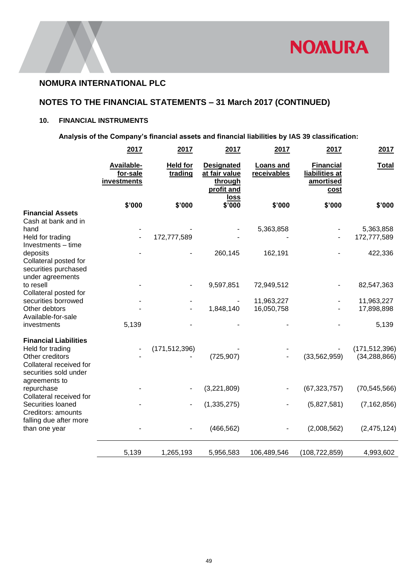

## **NOTES TO THE FINANCIAL STATEMENTS – 31 March 2017 (CONTINUED)**

## **10. FINANCIAL INSTRUMENTS**

**Analysis of the Company's financial assets and financial liabilities by IAS 39 classification:**

|                                                                                                                         | 2017                                  | 2017                       | 2017                                                        | 2017                            | 2017                                                           | 2017                              |
|-------------------------------------------------------------------------------------------------------------------------|---------------------------------------|----------------------------|-------------------------------------------------------------|---------------------------------|----------------------------------------------------------------|-----------------------------------|
|                                                                                                                         | Available-<br>for-sale<br>investments | <b>Held for</b><br>trading | <b>Designated</b><br>at fair value<br>through<br>profit and | <b>Loans and</b><br>receivables | <b>Financial</b><br>liabilities at<br>amortised<br><u>cost</u> | <b>Total</b>                      |
|                                                                                                                         | \$'000                                | \$'000                     | <u>loss</u><br>\$'000                                       | \$'000                          | \$'000                                                         | \$'000                            |
| <b>Financial Assets</b><br>Cash at bank and in<br>hand                                                                  |                                       |                            |                                                             | 5,363,858                       |                                                                | 5,363,858                         |
| Held for trading<br>Investments - time                                                                                  |                                       | 172,777,589                |                                                             |                                 |                                                                | 172,777,589                       |
| deposits<br>Collateral posted for<br>securities purchased<br>under agreements                                           |                                       |                            | 260,145                                                     | 162,191                         |                                                                | 422,336                           |
| to resell<br>Collateral posted for                                                                                      |                                       |                            | 9,597,851                                                   | 72,949,512                      |                                                                | 82,547,363                        |
| securities borrowed<br>Other debtors                                                                                    |                                       |                            | 1,848,140                                                   | 11,963,227<br>16,050,758        |                                                                | 11,963,227<br>17,898,898          |
| Available-for-sale<br>investments                                                                                       | 5,139                                 |                            |                                                             |                                 |                                                                | 5,139                             |
| <b>Financial Liabilities</b><br>Held for trading<br>Other creditors<br>Collateral received for<br>securities sold under |                                       | (171, 512, 396)            | (725, 907)                                                  |                                 | (33,562,959)                                                   | (171, 512, 396)<br>(34, 288, 866) |
| agreements to<br>repurchase<br>Collateral received for                                                                  |                                       |                            | (3,221,809)                                                 |                                 | (67, 323, 757)                                                 | (70, 545, 566)                    |
| Securities loaned<br>Creditors: amounts                                                                                 |                                       |                            | (1, 335, 275)                                               |                                 | (5,827,581)                                                    | (7, 162, 856)                     |
| falling due after more<br>than one year                                                                                 |                                       |                            | (466, 562)                                                  |                                 | (2,008,562)                                                    | (2, 475, 124)                     |
|                                                                                                                         | 5,139                                 | 1,265,193                  | 5,956,583                                                   | 106,489,546                     | (108, 722, 859)                                                | 4,993,602                         |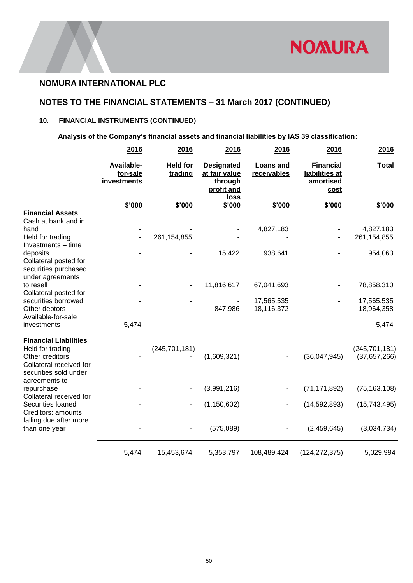

## **NOTES TO THE FINANCIAL STATEMENTS – 31 March 2017 (CONTINUED)**

## **10. FINANCIAL INSTRUMENTS (CONTINUED)**

 **Analysis of the Company's financial assets and financial liabilities by IAS 39 classification:**

|                                                                                                                         | 2016                                  | 2016                       | 2016                                                        | 2016                     | 2016                                                           | 2016                            |
|-------------------------------------------------------------------------------------------------------------------------|---------------------------------------|----------------------------|-------------------------------------------------------------|--------------------------|----------------------------------------------------------------|---------------------------------|
|                                                                                                                         | Available-<br>for-sale<br>investments | <b>Held for</b><br>trading | <b>Designated</b><br>at fair value<br>through<br>profit and | Loans and<br>receivables | <b>Financial</b><br>liabilities at<br>amortised<br><u>cost</u> | <b>Total</b>                    |
|                                                                                                                         | \$'000                                | \$'000                     | loss<br>\$'000                                              | \$'000                   | \$'000                                                         | \$'000                          |
| <b>Financial Assets</b><br>Cash at bank and in                                                                          |                                       |                            |                                                             |                          |                                                                |                                 |
| hand<br>Held for trading                                                                                                |                                       | 261,154,855                |                                                             | 4,827,183                |                                                                | 4,827,183<br>261,154,855        |
| Investments - time<br>deposits<br>Collateral posted for<br>securities purchased<br>under agreements                     |                                       |                            | 15,422                                                      | 938,641                  |                                                                | 954,063                         |
| to resell<br>Collateral posted for                                                                                      |                                       |                            | 11,816,617                                                  | 67,041,693               |                                                                | 78,858,310                      |
| securities borrowed<br>Other debtors<br>Available-for-sale                                                              |                                       |                            | 847,986                                                     | 17,565,535<br>18,116,372 |                                                                | 17,565,535<br>18,964,358        |
| investments                                                                                                             | 5,474                                 |                            |                                                             |                          |                                                                | 5,474                           |
| <b>Financial Liabilities</b><br>Held for trading<br>Other creditors<br>Collateral received for<br>securities sold under |                                       | (245, 701, 181)            | (1,609,321)                                                 |                          | (36,047,945)                                                   | (245, 701, 181)<br>(37,657,266) |
| agreements to<br>repurchase                                                                                             |                                       |                            | (3,991,216)                                                 |                          | (71, 171, 892)                                                 | (75, 163, 108)                  |
| Collateral received for<br>Securities loaned<br>Creditors: amounts<br>falling due after more                            |                                       |                            | (1, 150, 602)                                               |                          | (14, 592, 893)                                                 | (15,743,495)                    |
| than one year                                                                                                           |                                       |                            | (575,089)                                                   |                          | (2,459,645)                                                    | (3,034,734)                     |
|                                                                                                                         | 5,474                                 | 15,453,674                 | 5,353,797                                                   | 108,489,424              | (124, 272, 375)                                                | 5,029,994                       |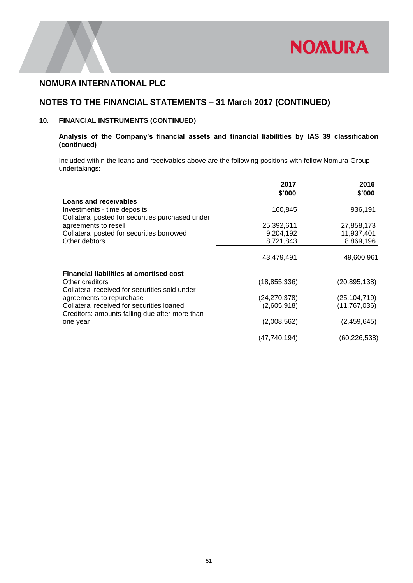

## **NOTES TO THE FINANCIAL STATEMENTS – 31 March 2017 (CONTINUED)**

### **10. FINANCIAL INSTRUMENTS (CONTINUED)**

### **Analysis of the Company's financial assets and financial liabilities by IAS 39 classification (continued)**

Included within the loans and receivables above are the following positions with fellow Nomura Group undertakings:

|                                                  | 2017<br>\$'000 | 2016<br>\$'000 |
|--------------------------------------------------|----------------|----------------|
| Loans and receivables                            |                |                |
| Investments - time deposits                      | 160,845        | 936,191        |
| Collateral posted for securities purchased under |                |                |
| agreements to resell                             | 25,392,611     | 27,858,173     |
| Collateral posted for securities borrowed        | 9,204,192      | 11,937,401     |
| Other debtors                                    | 8,721,843      | 8,869,196      |
|                                                  |                |                |
|                                                  | 43,479,491     | 49,600,961     |
|                                                  |                |                |
| <b>Financial liabilities at amortised cost</b>   |                |                |
| Other creditors                                  | (18, 855, 336) | (20, 895, 138) |
| Collateral received for securities sold under    |                |                |
| agreements to repurchase                         | (24,270,378)   | (25,104,719)   |
| Collateral received for securities loaned        | (2,605,918)    | (11, 767, 036) |
| Creditors: amounts falling due after more than   | (2,008,562)    |                |
| one year                                         |                | (2,459,645)    |
|                                                  | (47,740,194)   | (60, 226, 538) |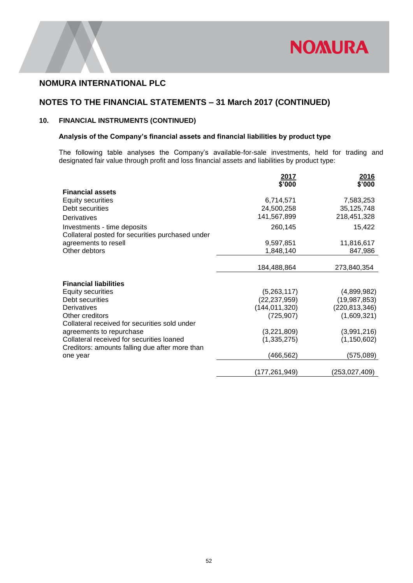

# **NOTES TO THE FINANCIAL STATEMENTS – 31 March 2017 (CONTINUED)**

### **10. FINANCIAL INSTRUMENTS (CONTINUED)**

### **Analysis of the Company's financial assets and financial liabilities by product type**

The following table analyses the Company's available-for-sale investments, held for trading and designated fair value through profit and loss financial assets and liabilities by product type:

|                                                  | 2017<br>\$'000                    | 2016<br>\$'000                  |
|--------------------------------------------------|-----------------------------------|---------------------------------|
| <b>Financial assets</b>                          |                                   |                                 |
| <b>Equity securities</b>                         | 6,714,571                         | 7,583,253                       |
| Debt securities                                  | 24,500,258                        | 35, 125, 748                    |
| Derivatives                                      | 141,567,899                       | 218,451,328                     |
| Investments - time deposits                      | 260,145                           | 15,422                          |
| Collateral posted for securities purchased under |                                   |                                 |
| agreements to resell                             | 9,597,851                         | 11,816,617                      |
| Other debtors                                    | 1,848,140                         | 847,986                         |
|                                                  |                                   |                                 |
|                                                  | 184,488,864                       | 273,840,354                     |
|                                                  |                                   |                                 |
| <b>Financial liabilities</b>                     |                                   |                                 |
| <b>Equity securities</b><br>Debt securities      | (5,263,117)                       | (4,899,982)                     |
| Derivatives                                      | (22, 237, 959)<br>(144, 011, 320) | (19,987,853)<br>(220, 813, 346) |
| Other creditors                                  | (725, 907)                        | (1,609,321)                     |
| Collateral received for securities sold under    |                                   |                                 |
| agreements to repurchase                         | (3,221,809)                       | (3,991,216)                     |
| Collateral received for securities loaned        | (1, 335, 275)                     | (1, 150, 602)                   |
| Creditors: amounts falling due after more than   |                                   |                                 |
| one year                                         | (466, 562)                        | (575,089)                       |
|                                                  | (177,261,949)                     | (253,027,409)                   |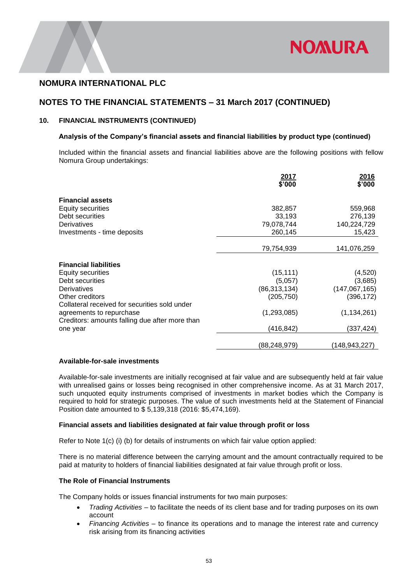

## **NOTES TO THE FINANCIAL STATEMENTS – 31 March 2017 (CONTINUED)**

### **10. FINANCIAL INSTRUMENTS (CONTINUED)**

#### **Analysis of the Company's financial assets and financial liabilities by product type (continued)**

Included within the financial assets and financial liabilities above are the following positions with fellow Nomura Group undertakings:

|                                                | 2017<br>\$'000 | <u>2016</u><br>\$'000 |
|------------------------------------------------|----------------|-----------------------|
| <b>Financial assets</b>                        |                |                       |
| <b>Equity securities</b>                       | 382,857        | 559,968               |
| Debt securities                                | 33,193         | 276,139               |
| Derivatives                                    | 79,078,744     | 140,224,729           |
| Investments - time deposits                    | 260,145        | 15,423                |
|                                                |                |                       |
|                                                | 79,754,939     | 141,076,259           |
|                                                |                |                       |
| <b>Financial liabilities</b>                   |                |                       |
| <b>Equity securities</b>                       | (15, 111)      | (4,520)               |
| Debt securities                                | (5,057)        | (3,685)               |
| Derivatives                                    | (86, 313, 134) | (147,067,165)         |
| Other creditors                                | (205, 750)     | (396, 172)            |
| Collateral received for securities sold under  |                |                       |
| agreements to repurchase                       | (1,293,085)    | (1, 134, 261)         |
| Creditors: amounts falling due after more than |                |                       |
| one year                                       | (416,842)      | (337,424)             |
|                                                | (88, 248, 979) | (148,943,227)         |

#### **Available-for-sale investments**

Available-for-sale investments are initially recognised at fair value and are subsequently held at fair value with unrealised gains or losses being recognised in other comprehensive income. As at 31 March 2017, such unquoted equity instruments comprised of investments in market bodies which the Company is required to hold for strategic purposes. The value of such investments held at the Statement of Financial Position date amounted to \$ 5,139,318 (2016: \$5,474,169).

#### **Financial assets and liabilities designated at fair value through profit or loss**

Refer to Note 1(c) (i) (b) for details of instruments on which fair value option applied:

There is no material difference between the carrying amount and the amount contractually required to be paid at maturity to holders of financial liabilities designated at fair value through profit or loss.

### **The Role of Financial Instruments**

The Company holds or issues financial instruments for two main purposes:

- *Trading Activities* to facilitate the needs of its client base and for trading purposes on its own account
- *Financing Activities* to finance its operations and to manage the interest rate and currency risk arising from its financing activities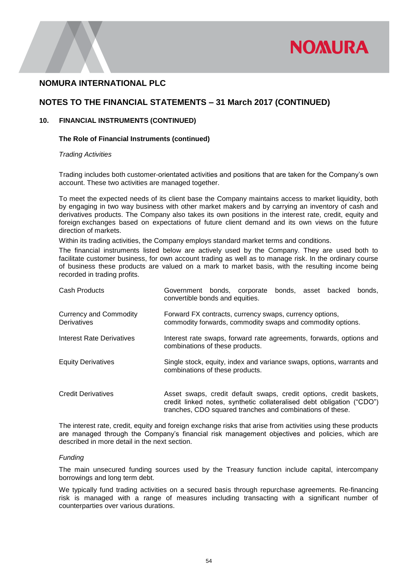

### **NOTES TO THE FINANCIAL STATEMENTS – 31 March 2017 (CONTINUED)**

#### **10. FINANCIAL INSTRUMENTS (CONTINUED)**

#### **The Role of Financial Instruments (continued)**

#### *Trading Activities*

Trading includes both customer-orientated activities and positions that are taken for the Company's own account. These two activities are managed together.

To meet the expected needs of its client base the Company maintains access to market liquidity, both by engaging in two way business with other market makers and by carrying an inventory of cash and derivatives products. The Company also takes its own positions in the interest rate, credit, equity and foreign exchanges based on expectations of future client demand and its own views on the future direction of markets.

Within its trading activities, the Company employs standard market terms and conditions.

The financial instruments listed below are actively used by the Company. They are used both to facilitate customer business, for own account trading as well as to manage risk. In the ordinary course of business these products are valued on a mark to market basis, with the resulting income being recorded in trading profits.

| Cash Products                                       | Government bonds, corporate<br>bonds, asset backed<br>bonds.<br>convertible bonds and equities.                                             |
|-----------------------------------------------------|---------------------------------------------------------------------------------------------------------------------------------------------|
| <b>Currency and Commodity</b><br><b>Derivatives</b> | Forward FX contracts, currency swaps, currency options,<br>commodity forwards, commodity swaps and commodity options.                       |
| Interest Rate Derivatives                           | Interest rate swaps, forward rate agreements, forwards, options and<br>combinations of these products.                                      |
| <b>Equity Derivatives</b>                           | Single stock, equity, index and variance swaps, options, warrants and<br>combinations of these products.                                    |
| <b>Credit Derivatives</b>                           | Asset swaps, credit default swaps, credit options, credit baskets,<br>credit linked notes, synthetic collateralised debt obligation ("CDO") |

The interest rate, credit, equity and foreign exchange risks that arise from activities using these products are managed through the Company's financial risk management objectives and policies, which are described in more detail in the next section.

tranches, CDO squared tranches and combinations of these.

#### *Funding*

The main unsecured funding sources used by the Treasury function include capital, intercompany borrowings and long term debt.

We typically fund trading activities on a secured basis through repurchase agreements. Re-financing risk is managed with a range of measures including transacting with a significant number of counterparties over various durations.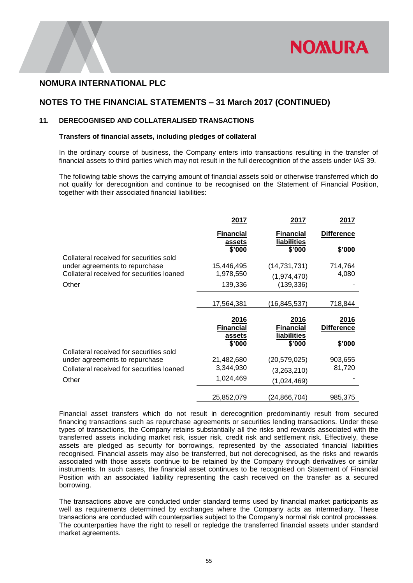

### **NOTES TO THE FINANCIAL STATEMENTS – 31 March 2017 (CONTINUED)**

### **11. DERECOGNISED AND COLLATERALISED TRANSACTIONS**

#### **Transfers of financial assets, including pledges of collateral**

In the ordinary course of business, the Company enters into transactions resulting in the transfer of financial assets to third parties which may not result in the full derecognition of the assets under IAS 39.

The following table shows the carrying amount of financial assets sold or otherwise transferred which do not qualify for derecognition and continue to be recognised on the Statement of Financial Position, together with their associated financial liabilities:

|                                           | 2017                       | 2017                            | 2017              |
|-------------------------------------------|----------------------------|---------------------------------|-------------------|
|                                           | <b>Financial</b><br>assets | <b>Financial</b><br>liabilities | <b>Difference</b> |
|                                           | \$'000                     | \$'000                          | \$'000            |
| Collateral received for securities sold   |                            |                                 |                   |
| under agreements to repurchase            | 15,446,495                 | (14, 731, 731)                  | 714,764           |
| Collateral received for securities loaned | 1,978,550                  | (1,974,470)                     | 4,080             |
| Other                                     | 139,336                    | (139, 336)                      |                   |
|                                           |                            |                                 |                   |
|                                           | 17,564,381                 | (16,845,537)                    | 718,844           |
|                                           |                            |                                 |                   |
|                                           |                            |                                 |                   |
|                                           | 2016                       | 2016                            | <u>2016</u>       |
|                                           | <b>Financial</b>           | <b>Financial</b>                | <b>Difference</b> |
|                                           | assets<br>\$'000           | liabilities                     |                   |
| Collateral received for securities sold   |                            | \$'000                          | \$'000            |
| under agreements to repurchase            | 21,482,680                 | (20, 579, 025)                  | 903,655           |
| Collateral received for securities loaned | 3,344,930                  | (3,263,210)                     | 81,720            |
| Other                                     | 1,024,469                  | (1,024,469)                     |                   |
|                                           |                            |                                 |                   |

Financial asset transfers which do not result in derecognition predominantly result from secured financing transactions such as repurchase agreements or securities lending transactions. Under these types of transactions, the Company retains substantially all the risks and rewards associated with the transferred assets including market risk, issuer risk, credit risk and settlement risk. Effectively, these assets are pledged as security for borrowings, represented by the associated financial liabilities recognised. Financial assets may also be transferred, but not derecognised, as the risks and rewards associated with those assets continue to be retained by the Company through derivatives or similar instruments. In such cases, the financial asset continues to be recognised on Statement of Financial Position with an associated liability representing the cash received on the transfer as a secured borrowing.

The transactions above are conducted under standard terms used by financial market participants as well as requirements determined by exchanges where the Company acts as intermediary. These transactions are conducted with counterparties subject to the Company's normal risk control processes. The counterparties have the right to resell or repledge the transferred financial assets under standard market agreements.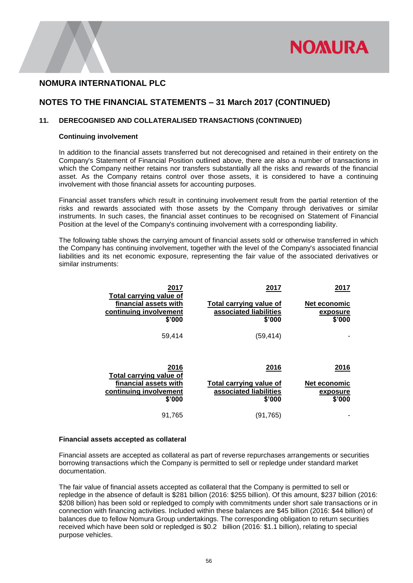

## **NOTES TO THE FINANCIAL STATEMENTS – 31 March 2017 (CONTINUED)**

#### **11. DERECOGNISED AND COLLATERALISED TRANSACTIONS (CONTINUED)**

#### **Continuing involvement**

In addition to the financial assets transferred but not derecognised and retained in their entirety on the Company's Statement of Financial Position outlined above, there are also a number of transactions in which the Company neither retains nor transfers substantially all the risks and rewards of the financial asset. As the Company retains control over those assets, it is considered to have a continuing involvement with those financial assets for accounting purposes.

Financial asset transfers which result in continuing involvement result from the partial retention of the risks and rewards associated with those assets by the Company through derivatives or similar instruments. In such cases, the financial asset continues to be recognised on Statement of Financial Position at the level of the Company's continuing involvement with a corresponding liability.

The following table shows the carrying amount of financial assets sold or otherwise transferred in which the Company has continuing involvement, together with the level of the Company's associated financial liabilities and its net economic exposure, representing the fair value of the associated derivatives or similar instruments:

| 2017<br>Total carrying value of<br>financial assets with<br>continuing involvement<br>\$'000 | 2017<br>Total carrying value of<br>associated liabilities<br>\$'000 | 2017<br><b>Net economic</b><br>exposure<br>\$'000 |
|----------------------------------------------------------------------------------------------|---------------------------------------------------------------------|---------------------------------------------------|
|                                                                                              |                                                                     |                                                   |
| 59,414                                                                                       | (59, 414)                                                           |                                                   |
| 2016<br>Total carrying value of                                                              | 2016                                                                | 2016                                              |
| financial assets with                                                                        | <b>Total carrying value of</b>                                      | Net economic                                      |
| continuing involvement                                                                       | associated liabilities                                              | exposure                                          |
| \$'000                                                                                       | \$'000                                                              | \$'000                                            |
| 91,765                                                                                       | (91, 765)                                                           |                                                   |

#### **Financial assets accepted as collateral**

Financial assets are accepted as collateral as part of reverse repurchases arrangements or securities borrowing transactions which the Company is permitted to sell or repledge under standard market documentation.

The fair value of financial assets accepted as collateral that the Company is permitted to sell or repledge in the absence of default is \$281 billion (2016: \$255 billion). Of this amount, \$237 billion (2016: \$208 billion) has been sold or repledged to comply with commitments under short sale transactions or in connection with financing activities. Included within these balances are \$45 billion (2016: \$44 billion) of balances due to fellow Nomura Group undertakings. The corresponding obligation to return securities received which have been sold or repledged is \$0.2 billion (2016: \$1.1 billion), relating to special purpose vehicles.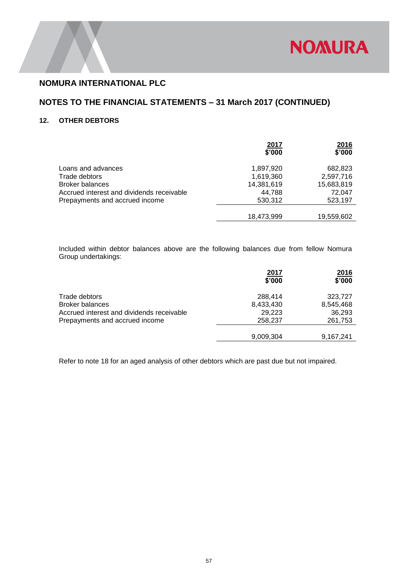

## **NOTES TO THE FINANCIAL STATEMENTS – 31 March 2017 (CONTINUED)**

### **12. OTHER DEBTORS**

|                                           | 2017<br>\$'000 | 2016<br>\$'000 |
|-------------------------------------------|----------------|----------------|
| Loans and advances                        | 1,897,920      | 682,823        |
| Trade debtors                             | 1,619,360      | 2,597,716      |
| <b>Broker balances</b>                    | 14,381,619     | 15,683,819     |
| Accrued interest and dividends receivable | 44,788         | 72.047         |
| Prepayments and accrued income            | 530,312        | 523,197        |
|                                           |                |                |
|                                           | 18,473,999     | 19,559,602     |
|                                           |                |                |

Included within debtor balances above are the following balances due from fellow Nomura Group undertakings:

|                                           | 2017<br>\$'000 | <u>2016</u><br>\$'000 |
|-------------------------------------------|----------------|-----------------------|
| Trade debtors                             | 288.414        | 323,727               |
| <b>Broker balances</b>                    | 8,433,430      | 8,545,468             |
| Accrued interest and dividends receivable | 29,223         | 36,293                |
| Prepayments and accrued income            | 258,237        | 261,753               |
|                                           |                |                       |
|                                           | 9,009,304      | 9,167,241             |
|                                           |                |                       |

Refer to note 18 for an aged analysis of other debtors which are past due but not impaired.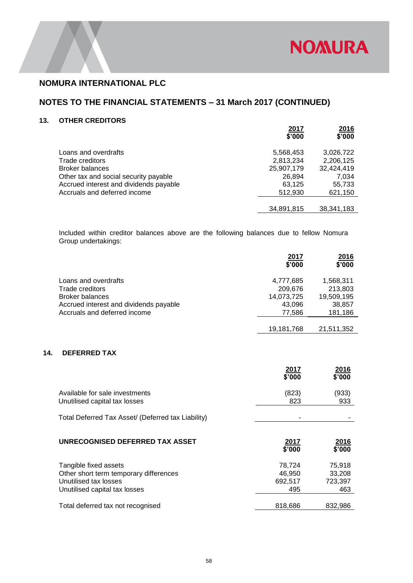

## **NOTES TO THE FINANCIAL STATEMENTS – 31 March 2017 (CONTINUED)**

### **13. OTHER CREDITORS**

|                                        | 2017<br>\$'000 | 2016<br>\$'000 |
|----------------------------------------|----------------|----------------|
| Loans and overdrafts                   | 5,568,453      | 3,026,722      |
| Trade creditors                        | 2,813,234      | 2,206,125      |
| <b>Broker balances</b>                 | 25,907,179     | 32,424,419     |
| Other tax and social security payable  | 26,894         | 7.034          |
| Accrued interest and dividends payable | 63,125         | 55,733         |
| Accruals and deferred income           | 512,930        | 621,150        |
|                                        |                |                |
|                                        | 34,891,815     | 38.341.183     |

Included within creditor balances above are the following balances due to fellow Nomura Group undertakings:

|                                        | 2017<br>\$'000 | 2016<br>\$'000 |
|----------------------------------------|----------------|----------------|
| Loans and overdrafts                   | 4,777,685      | 1,568,311      |
| Trade creditors                        | 209,676        | 213,803        |
| <b>Broker balances</b>                 | 14,073,725     | 19,509,195     |
| Accrued interest and dividends payable | 43,096         | 38,857         |
| Accruals and deferred income           | 77,586         | 181,186        |
|                                        |                |                |
|                                        | 19,181,768     | 21,511,352     |

### **14. DEFERRED TAX**

|                                                                                                                           | 2017<br>\$'000                     | <u>2016</u><br>\$'000              |
|---------------------------------------------------------------------------------------------------------------------------|------------------------------------|------------------------------------|
| Available for sale investments<br>Unutilised capital tax losses                                                           | (823)<br>823                       | (933)<br>933                       |
| Total Deferred Tax Asset/ (Deferred tax Liability)                                                                        |                                    |                                    |
| UNRECOGNISED DEFERRED TAX ASSET                                                                                           | 2017<br>\$'000                     | 2016<br>\$'000                     |
|                                                                                                                           |                                    |                                    |
| Tangible fixed assets<br>Other short term temporary differences<br>Unutilised tax losses<br>Unutilised capital tax losses | 78,724<br>46,950<br>692,517<br>495 | 75,918<br>33,208<br>723,397<br>463 |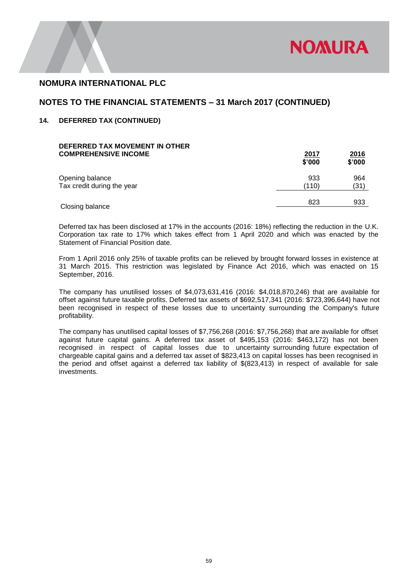

### **NOTES TO THE FINANCIAL STATEMENTS – 31 March 2017 (CONTINUED)**

### **14. DEFERRED TAX (CONTINUED)**

| <u>2017</u><br>\$'000 | <u>2016</u><br>\$'000 |
|-----------------------|-----------------------|
| 933                   | 964                   |
| (110)                 | (31)                  |
| 823                   | 933                   |
|                       |                       |

Deferred tax has been disclosed at 17% in the accounts (2016: 18%) reflecting the reduction in the U.K. Corporation tax rate to 17% which takes effect from 1 April 2020 and which was enacted by the Statement of Financial Position date.

From 1 April 2016 only 25% of taxable profits can be relieved by brought forward losses in existence at 31 March 2015. This restriction was legislated by Finance Act 2016, which was enacted on 15 September, 2016.

The company has unutilised losses of \$4,073,631,416 (2016: \$4,018,870,246) that are available for offset against future taxable profits. Deferred tax assets of \$692,517,341 (2016: \$723,396,644) have not been recognised in respect of these losses due to uncertainty surrounding the Company's future profitability.

The company has unutilised capital losses of \$7,756,268 (2016: \$7,756,268) that are available for offset against future capital gains. A deferred tax asset of \$495,153 (2016: \$463,172) has not been recognised in respect of capital losses due to uncertainty surrounding future expectation of chargeable capital gains and a deferred tax asset of \$823,413 on capital losses has been recognised in the period and offset against a deferred tax liability of \$(823,413) in respect of available for sale investments.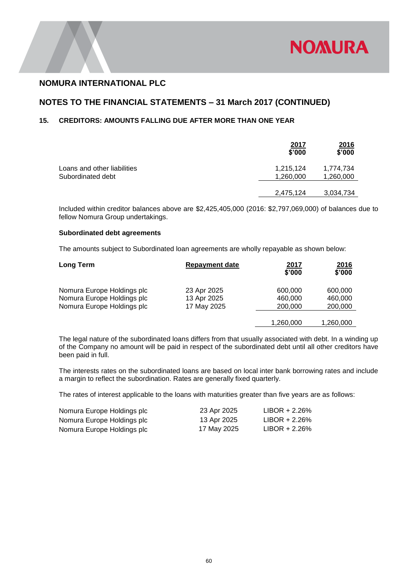

## **NOTES TO THE FINANCIAL STATEMENTS – 31 March 2017 (CONTINUED)**

### **15. CREDITORS: AMOUNTS FALLING DUE AFTER MORE THAN ONE YEAR**

|                                                  | <u>2017</u><br>\$'000  | <u>2016</u><br>\$'000  |
|--------------------------------------------------|------------------------|------------------------|
| Loans and other liabilities<br>Subordinated debt | 1,215,124<br>1,260,000 | 1,774,734<br>1,260,000 |
|                                                  | 2,475,124              | 3,034,734              |

Included within creditor balances above are \$2,425,405,000 (2016: \$2,797,069,000) of balances due to fellow Nomura Group undertakings.

#### **Subordinated debt agreements**

The amounts subject to Subordinated loan agreements are wholly repayable as shown below:

| Long Term                  | <b>Repayment date</b> | 2017<br>\$'000 | 2016<br>\$'000 |
|----------------------------|-----------------------|----------------|----------------|
| Nomura Europe Holdings plc | 23 Apr 2025           | 600,000        | 600,000        |
| Nomura Europe Holdings plc | 13 Apr 2025           | 460,000        | 460,000        |
| Nomura Europe Holdings plc | 17 May 2025           | 200,000        | 200,000        |
|                            |                       |                |                |
|                            |                       | 1,260,000      | 1,260,000      |

The legal nature of the subordinated loans differs from that usually associated with debt. In a winding up of the Company no amount will be paid in respect of the subordinated debt until all other creditors have been paid in full.

The interests rates on the subordinated loans are based on local inter bank borrowing rates and include a margin to reflect the subordination. Rates are generally fixed quarterly.

The rates of interest applicable to the loans with maturities greater than five years are as follows:

| Nomura Europe Holdings plc | 23 Apr 2025 | $LIBOR + 2.26%$ |
|----------------------------|-------------|-----------------|
| Nomura Europe Holdings plc | 13 Apr 2025 | $LIBOR + 2.26%$ |
| Nomura Europe Holdings plc | 17 May 2025 | $LIBOR + 2.26%$ |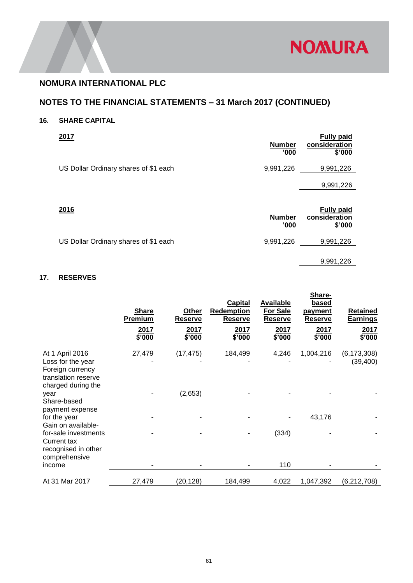

# **NOTES TO THE FINANCIAL STATEMENTS – 31 March 2017 (CONTINUED)**

## **16. SHARE CAPITAL**

| <b>Number</b><br>'000' | <b>Fully paid</b><br>consideration<br>\$'000 |
|------------------------|----------------------------------------------|
| 9,991,226              | 9,991,226                                    |
|                        | 9,991,226                                    |
|                        |                                              |

| 2016                                  | <b>Number</b><br>'000 | <b>Fully paid</b><br>consideration<br>\$'000 |
|---------------------------------------|-----------------------|----------------------------------------------|
| US Dollar Ordinary shares of \$1 each | 9,991,226             | 9,991,226                                    |
|                                       |                       | 9,991,226                                    |

## **17. RESERVES**

|                                                                                    | <b>Share</b><br>Premium<br>2017<br>\$'000 | Other<br>Reserve<br>2017<br>\$'000 | <b>Capital</b><br><b>Redemption</b><br><b>Reserve</b><br>2017<br>\$'000 | <b>Available</b><br>For Sale<br>Reserve<br>2017<br>\$'000 | Share-<br><b>based</b><br><u>payment</u><br><b>Reserve</b><br>2017<br>\$'000 | <b>Retained</b><br><b>Earnings</b><br>2017<br>\$'000 |
|------------------------------------------------------------------------------------|-------------------------------------------|------------------------------------|-------------------------------------------------------------------------|-----------------------------------------------------------|------------------------------------------------------------------------------|------------------------------------------------------|
| At 1 April 2016                                                                    | 27,479                                    | (17, 475)                          | 184,499                                                                 | 4,246                                                     | 1,004,216                                                                    | (6, 173, 308)                                        |
| Loss for the year<br>Foreign currency<br>translation reserve<br>charged during the |                                           |                                    |                                                                         |                                                           |                                                                              | (39, 400)                                            |
| year<br>Share-based<br>payment expense                                             |                                           | (2,653)                            |                                                                         |                                                           |                                                                              |                                                      |
| for the year<br>Gain on available-                                                 |                                           |                                    |                                                                         |                                                           | 43,176                                                                       |                                                      |
| for-sale investments<br>Current tax<br>recognised in other<br>comprehensive        |                                           |                                    |                                                                         | (334)                                                     |                                                                              |                                                      |
| income                                                                             |                                           |                                    |                                                                         | 110                                                       |                                                                              |                                                      |
| At 31 Mar 2017                                                                     | 27,479                                    | (20, 128)                          | 184,499                                                                 | 4,022                                                     | 1,047,392                                                                    | (6, 212, 708)                                        |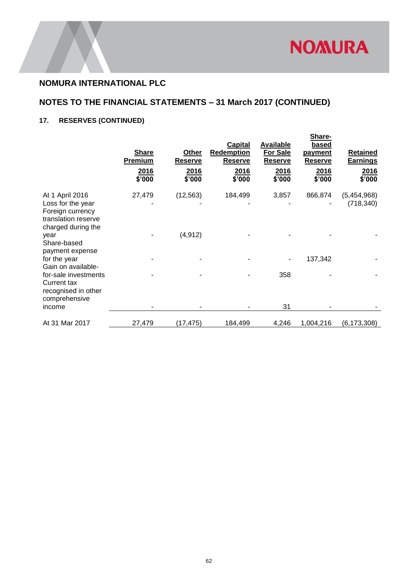

# **NOTES TO THE FINANCIAL STATEMENTS – 31 March 2017 (CONTINUED)**

# **17. RESERVES (CONTINUED)**

|                                                                                    | <b>Share</b><br>Premium<br>2016<br>\$'000 | Other<br><b>Reserve</b><br>2016<br>\$'000 | Capital<br>Redemption<br><b>Reserve</b><br>2016<br>\$'000 | <b>Available</b><br><b>For Sale</b><br><b>Reserve</b><br>2016<br>\$'000 | Share-<br>based<br><u>payment</u><br><b>Reserve</b><br>2016<br>\$'000 | <b>Retained</b><br><u>Earnings</u><br>2016<br>\$'000 |
|------------------------------------------------------------------------------------|-------------------------------------------|-------------------------------------------|-----------------------------------------------------------|-------------------------------------------------------------------------|-----------------------------------------------------------------------|------------------------------------------------------|
| At 1 April 2016<br>Loss for the year                                               | 27,479                                    | (12, 563)                                 | 184,499                                                   | 3,857                                                                   | 866,874                                                               | (5,454,968)<br>(718, 340)                            |
| Foreign currency<br>translation reserve<br>charged during the                      |                                           |                                           |                                                           |                                                                         |                                                                       |                                                      |
| year<br>Share-based<br>payment expense                                             |                                           | (4, 912)                                  |                                                           |                                                                         |                                                                       |                                                      |
| for the year<br>Gain on available-                                                 |                                           |                                           |                                                           |                                                                         | 137,342                                                               |                                                      |
| for-sale investments<br><b>Current tax</b><br>recognised in other<br>comprehensive |                                           |                                           |                                                           | 358                                                                     |                                                                       |                                                      |
| income                                                                             |                                           |                                           |                                                           | 31                                                                      |                                                                       |                                                      |
| At 31 Mar 2017                                                                     | 27,479                                    | (17, 475)                                 | 184,499                                                   | 4,246                                                                   | 1,004,216                                                             | (6, 173, 308)                                        |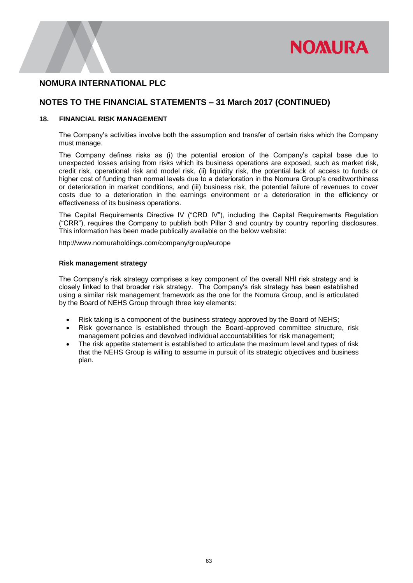

## **NOTES TO THE FINANCIAL STATEMENTS – 31 March 2017 (CONTINUED)**

### **18. FINANCIAL RISK MANAGEMENT**

The Company's activities involve both the assumption and transfer of certain risks which the Company must manage.

The Company defines risks as (i) the potential erosion of the Company's capital base due to unexpected losses arising from risks which its business operations are exposed, such as market risk, credit risk, operational risk and model risk, (ii) liquidity risk, the potential lack of access to funds or higher cost of funding than normal levels due to a deterioration in the Nomura Group's creditworthiness or deterioration in market conditions, and (iii) business risk, the potential failure of revenues to cover costs due to a deterioration in the earnings environment or a deterioration in the efficiency or effectiveness of its business operations.

The Capital Requirements Directive IV ("CRD IV"), including the Capital Requirements Regulation ("CRR"), requires the Company to publish both Pillar 3 and country by country reporting disclosures. This information has been made publically available on the below website:

[http://www.nomuraholdings.com/company/group/europe](http://www.nomuraholdings.com/company/group/europe/pdf/p3d.pdf)

#### **Risk management strategy**

The Company's risk strategy comprises a key component of the overall NHI risk strategy and is closely linked to that broader risk strategy. The Company's risk strategy has been established using a similar risk management framework as the one for the Nomura Group, and is articulated by the Board of NEHS Group through three key elements:

- Risk taking is a component of the business strategy approved by the Board of NEHS;
- Risk governance is established through the Board-approved committee structure, risk management policies and devolved individual accountabilities for risk management;
- The risk appetite statement is established to articulate the maximum level and types of risk that the NEHS Group is willing to assume in pursuit of its strategic objectives and business plan.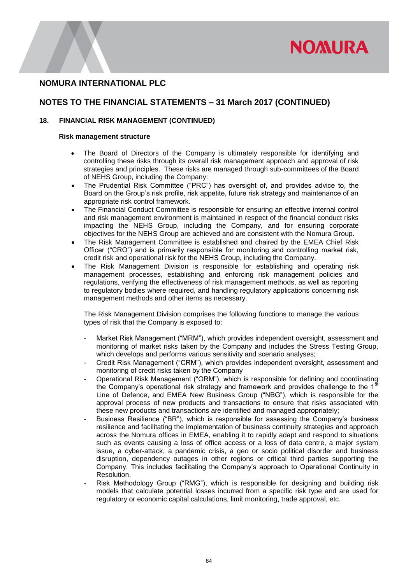

## **NOTES TO THE FINANCIAL STATEMENTS – 31 March 2017 (CONTINUED)**

### **18. FINANCIAL RISK MANAGEMENT (CONTINUED)**

#### **Risk management structure**

- The Board of Directors of the Company is ultimately responsible for identifying and controlling these risks through its overall risk management approach and approval of risk strategies and principles. These risks are managed through sub-committees of the Board of NEHS Group, including the Company:
- The Prudential Risk Committee ("PRC") has oversight of, and provides advice to, the Board on the Group's risk profile, risk appetite, future risk strategy and maintenance of an appropriate risk control framework.
- The Financial Conduct Committee is responsible for ensuring an effective internal control and risk management environment is maintained in respect of the financial conduct risks impacting the NEHS Group, including the Company, and for ensuring corporate objectives for the NEHS Group are achieved and are consistent with the Nomura Group.
- The Risk Management Committee is established and chaired by the EMEA Chief Risk Officer ("CRO") and is primarily responsible for monitoring and controlling market risk, credit risk and operational risk for the NEHS Group, including the Company.
- The Risk Management Division is responsible for establishing and operating risk management processes, establishing and enforcing risk management policies and regulations, verifying the effectiveness of risk management methods, as well as reporting to regulatory bodies where required, and handling regulatory applications concerning risk management methods and other items as necessary.

The Risk Management Division comprises the following functions to manage the various types of risk that the Company is exposed to:

- Market Risk Management ("MRM"), which provides independent oversight, assessment and monitoring of market risks taken by the Company and includes the Stress Testing Group, which develops and performs various sensitivity and scenario analyses;
- Credit Risk Management ("CRM"), which provides independent oversight, assessment and monitoring of credit risks taken by the Company
- Operational Risk Management ("ORM"), which is responsible for defining and coordinating the Company's operational risk strategy and framework and provides challenge to the  $1<sup>st</sup>$ Line of Defence, and EMEA New Business Group ("NBG"), which is responsible for the approval process of new products and transactions to ensure that risks associated with these new products and transactions are identified and managed appropriately;
- Business Resilience ("BR"), which is responsible for assessing the Company's business resilience and facilitating the implementation of business continuity strategies and approach across the Nomura offices in EMEA, enabling it to rapidly adapt and respond to situations such as events causing a loss of office access or a loss of data centre, a major system issue, a cyber-attack, a pandemic crisis, a geo or socio political disorder and business disruption, dependency outages in other regions or critical third parties supporting the Company. This includes facilitating the Company's approach to Operational Continuity in Resolution.
- Risk Methodology Group ("RMG"), which is responsible for designing and building risk models that calculate potential losses incurred from a specific risk type and are used for regulatory or economic capital calculations, limit monitoring, trade approval, etc.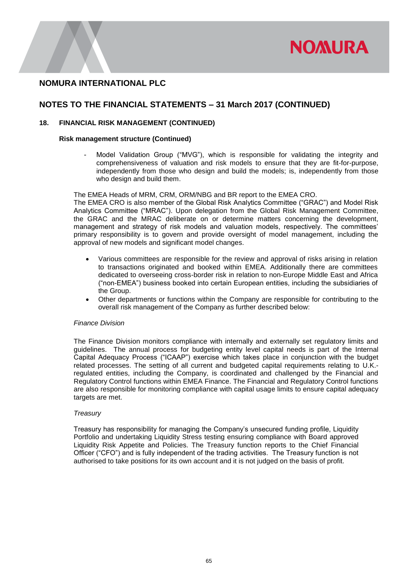

## **NOTES TO THE FINANCIAL STATEMENTS – 31 March 2017 (CONTINUED)**

### **18. FINANCIAL RISK MANAGEMENT (CONTINUED)**

#### **Risk management structure (Continued)**

Model Validation Group ("MVG"), which is responsible for validating the integrity and comprehensiveness of valuation and risk models to ensure that they are fit-for-purpose, independently from those who design and build the models; is, independently from those who design and build them.

The EMEA Heads of MRM, CRM, ORM/NBG and BR report to the EMEA CRO.

The EMEA CRO is also member of the Global Risk Analytics Committee ("GRAC") and Model Risk Analytics Committee ("MRAC"). Upon delegation from the Global Risk Management Committee, the GRAC and the MRAC deliberate on or determine matters concerning the development, management and strategy of risk models and valuation models, respectively. The committees' primary responsibility is to govern and provide oversight of model management, including the approval of new models and significant model changes.

- Various committees are responsible for the review and approval of risks arising in relation to transactions originated and booked within EMEA. Additionally there are committees dedicated to overseeing cross-border risk in relation to non-Europe Middle East and Africa ("non-EMEA") business booked into certain European entities, including the subsidiaries of the Group.
- Other departments or functions within the Company are responsible for contributing to the overall risk management of the Company as further described below:

#### *Finance Division*

The Finance Division monitors compliance with internally and externally set regulatory limits and guidelines. The annual process for budgeting entity level capital needs is part of the Internal Capital Adequacy Process ("ICAAP") exercise which takes place in conjunction with the budget related processes. The setting of all current and budgeted capital requirements relating to U.K. regulated entities, including the Company, is coordinated and challenged by the Financial and Regulatory Control functions within EMEA Finance. The Financial and Regulatory Control functions are also responsible for monitoring compliance with capital usage limits to ensure capital adequacy targets are met.

#### *Treasury*

Treasury has responsibility for managing the Company's unsecured funding profile, Liquidity Portfolio and undertaking Liquidity Stress testing ensuring compliance with Board approved Liquidity Risk Appetite and Policies. The Treasury function reports to the Chief Financial Officer ("CFO") and is fully independent of the trading activities. The Treasury function is not authorised to take positions for its own account and it is not judged on the basis of profit.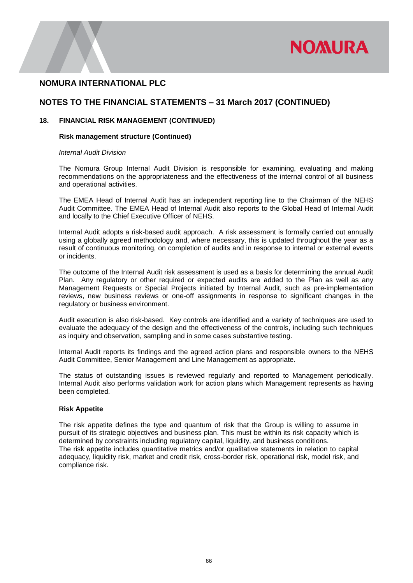

## **NOTES TO THE FINANCIAL STATEMENTS – 31 March 2017 (CONTINUED)**

### **18. FINANCIAL RISK MANAGEMENT (CONTINUED)**

#### **Risk management structure (Continued)**

#### *Internal Audit Division*

The Nomura Group Internal Audit Division is responsible for examining, evaluating and making recommendations on the appropriateness and the effectiveness of the internal control of all business and operational activities.

The EMEA Head of Internal Audit has an independent reporting line to the Chairman of the NEHS Audit Committee. The EMEA Head of Internal Audit also reports to the Global Head of Internal Audit and locally to the Chief Executive Officer of NEHS.

Internal Audit adopts a risk-based audit approach. A risk assessment is formally carried out annually using a globally agreed methodology and, where necessary, this is updated throughout the year as a result of continuous monitoring, on completion of audits and in response to internal or external events or incidents.

The outcome of the Internal Audit risk assessment is used as a basis for determining the annual Audit Plan. Any regulatory or other required or expected audits are added to the Plan as well as any Management Requests or Special Projects initiated by Internal Audit, such as pre-implementation reviews, new business reviews or one-off assignments in response to significant changes in the regulatory or business environment.

Audit execution is also risk-based. Key controls are identified and a variety of techniques are used to evaluate the adequacy of the design and the effectiveness of the controls, including such techniques as inquiry and observation, sampling and in some cases substantive testing.

Internal Audit reports its findings and the agreed action plans and responsible owners to the NEHS Audit Committee, Senior Management and Line Management as appropriate.

The status of outstanding issues is reviewed regularly and reported to Management periodically. Internal Audit also performs validation work for action plans which Management represents as having been completed.

### **Risk Appetite**

The risk appetite defines the type and quantum of risk that the Group is willing to assume in pursuit of its strategic objectives and business plan. This must be within its risk capacity which is determined by constraints including regulatory capital, liquidity, and business conditions. The risk appetite includes quantitative metrics and/or qualitative statements in relation to capital adequacy, liquidity risk, market and credit risk, cross-border risk, operational risk, model risk, and compliance risk.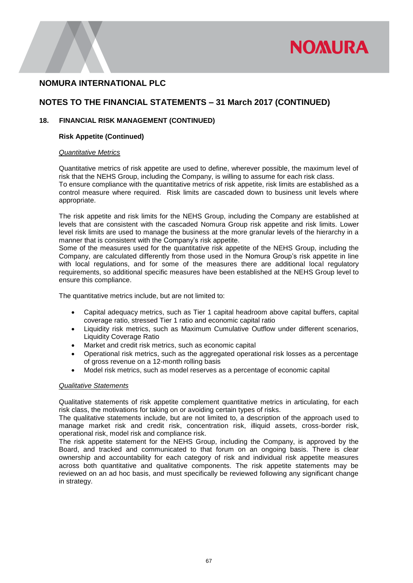

## **NOTES TO THE FINANCIAL STATEMENTS – 31 March 2017 (CONTINUED)**

### **18. FINANCIAL RISK MANAGEMENT (CONTINUED)**

### **Risk Appetite (Continued)**

#### *Quantitative Metrics*

Quantitative metrics of risk appetite are used to define, wherever possible, the maximum level of risk that the NEHS Group, including the Company, is willing to assume for each risk class. To ensure compliance with the quantitative metrics of risk appetite, risk limits are established as a control measure where required. Risk limits are cascaded down to business unit levels where appropriate.

The risk appetite and risk limits for the NEHS Group, including the Company are established at levels that are consistent with the cascaded Nomura Group risk appetite and risk limits. Lower level risk limits are used to manage the business at the more granular levels of the hierarchy in a manner that is consistent with the Company's risk appetite.

Some of the measures used for the quantitative risk appetite of the NEHS Group, including the Company, are calculated differently from those used in the Nomura Group's risk appetite in line with local regulations, and for some of the measures there are additional local regulatory requirements, so additional specific measures have been established at the NEHS Group level to ensure this compliance.

The quantitative metrics include, but are not limited to:

- Capital adequacy metrics, such as Tier 1 capital headroom above capital buffers, capital coverage ratio, stressed Tier 1 ratio and economic capital ratio
- Liquidity risk metrics, such as Maximum Cumulative Outflow under different scenarios, Liquidity Coverage Ratio
- Market and credit risk metrics, such as economic capital
- Operational risk metrics, such as the aggregated operational risk losses as a percentage of gross revenue on a 12-month rolling basis
- Model risk metrics, such as model reserves as a percentage of economic capital

#### *Qualitative Statements*

Qualitative statements of risk appetite complement quantitative metrics in articulating, for each risk class, the motivations for taking on or avoiding certain types of risks.

The qualitative statements include, but are not limited to, a description of the approach used to manage market risk and credit risk, concentration risk, illiquid assets, cross-border risk, operational risk, model risk and compliance risk.

The risk appetite statement for the NEHS Group, including the Company, is approved by the Board, and tracked and communicated to that forum on an ongoing basis. There is clear ownership and accountability for each category of risk and individual risk appetite measures across both quantitative and qualitative components. The risk appetite statements may be reviewed on an ad hoc basis, and must specifically be reviewed following any significant change in strategy.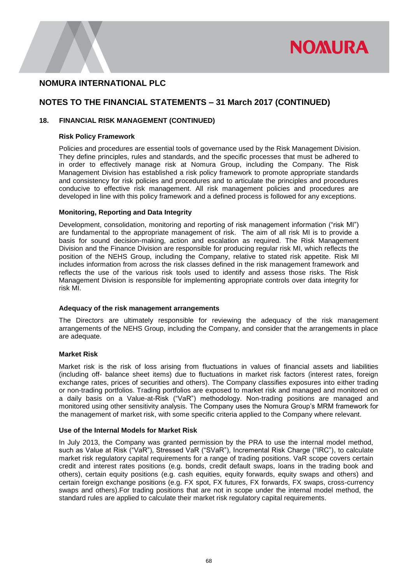

## **NOTES TO THE FINANCIAL STATEMENTS – 31 March 2017 (CONTINUED)**

### **18. FINANCIAL RISK MANAGEMENT (CONTINUED)**

#### **Risk Policy Framework**

Policies and procedures are essential tools of governance used by the Risk Management Division. They define principles, rules and standards, and the specific processes that must be adhered to in order to effectively manage risk at Nomura Group, including the Company. The Risk Management Division has established a risk policy framework to promote appropriate standards and consistency for risk policies and procedures and to articulate the principles and procedures conducive to effective risk management. All risk management policies and procedures are developed in line with this policy framework and a defined process is followed for any exceptions.

#### **Monitoring, Reporting and Data Integrity**

Development, consolidation, monitoring and reporting of risk management information ("risk MI") are fundamental to the appropriate management of risk. The aim of all risk MI is to provide a basis for sound decision-making, action and escalation as required. The Risk Management Division and the Finance Division are responsible for producing regular risk MI, which reflects the position of the NEHS Group, including the Company, relative to stated risk appetite. Risk MI includes information from across the risk classes defined in the risk management framework and reflects the use of the various risk tools used to identify and assess those risks. The Risk Management Division is responsible for implementing appropriate controls over data integrity for risk MI.

#### **Adequacy of the risk management arrangements**

The Directors are ultimately responsible for reviewing the adequacy of the risk management arrangements of the NEHS Group, including the Company, and consider that the arrangements in place are adequate.

#### **Market Risk**

Market risk is the risk of loss arising from fluctuations in values of financial assets and liabilities (including off- balance sheet items) due to fluctuations in market risk factors (interest rates, foreign exchange rates, prices of securities and others). The Company classifies exposures into either trading or non-trading portfolios. Trading portfolios are exposed to market risk and managed and monitored on a daily basis on a Value-at-Risk ("VaR") methodology. Non-trading positions are managed and monitored using other sensitivity analysis. The Company uses the Nomura Group's MRM framework for the management of market risk, with some specific criteria applied to the Company where relevant.

#### **Use of the Internal Models for Market Risk**

In July 2013, the Company was granted permission by the PRA to use the internal model method, such as Value at Risk ("VaR"), Stressed VaR ("SVaR"), Incremental Risk Charge ("IRC"), to calculate market risk regulatory capital requirements for a range of trading positions. VaR scope covers certain credit and interest rates positions (e.g. bonds, credit default swaps, loans in the trading book and others), certain equity positions (e.g. cash equities, equity forwards, equity swaps and others) and certain foreign exchange positions (e.g. FX spot, FX futures, FX forwards, FX swaps, cross-currency swaps and others).For trading positions that are not in scope under the internal model method, the standard rules are applied to calculate their market risk regulatory capital requirements.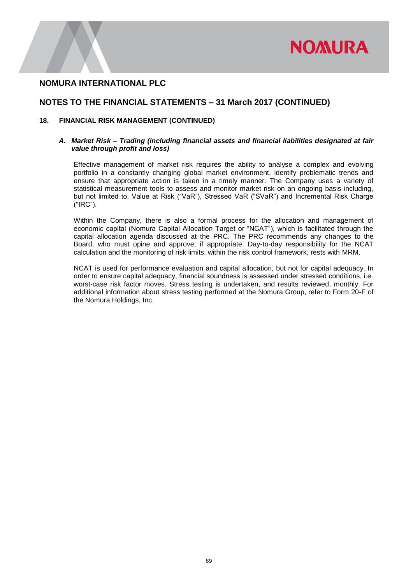

### **NOTES TO THE FINANCIAL STATEMENTS – 31 March 2017 (CONTINUED)**

#### **18. FINANCIAL RISK MANAGEMENT (CONTINUED)**

### *A. Market Risk – Trading (including financial assets and financial liabilities designated at fair value through profit and loss)*

Effective management of market risk requires the ability to analyse a complex and evolving portfolio in a constantly changing global market environment, identify problematic trends and ensure that appropriate action is taken in a timely manner. The Company uses a variety of statistical measurement tools to assess and monitor market risk on an ongoing basis including, but not limited to, Value at Risk ("VaR"), Stressed VaR ("SVaR") and Incremental Risk Charge ("IRC").

Within the Company, there is also a formal process for the allocation and management of economic capital (Nomura Capital Allocation Target or "NCAT"), which is facilitated through the capital allocation agenda discussed at the PRC. The PRC recommends any changes to the Board, who must opine and approve, if appropriate. Day-to-day responsibility for the NCAT calculation and the monitoring of risk limits, within the risk control framework, rests with MRM.

NCAT is used for performance evaluation and capital allocation, but not for capital adequacy. In order to ensure capital adequacy, financial soundness is assessed under stressed conditions, i.e. worst-case risk factor moves. Stress testing is undertaken, and results reviewed, monthly. For additional information about stress testing performed at the Nomura Group, refer to Form 20-F of the Nomura Holdings, Inc.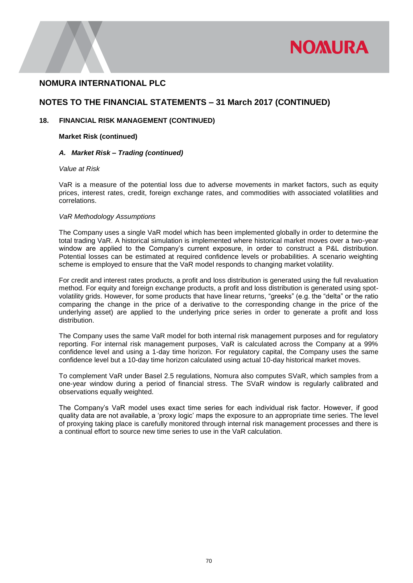

## **NOTES TO THE FINANCIAL STATEMENTS – 31 March 2017 (CONTINUED)**

### **18. FINANCIAL RISK MANAGEMENT (CONTINUED)**

### **Market Risk (continued)**

#### *A. Market Risk – Trading (continued)*

#### *Value at Risk*

VaR is a measure of the potential loss due to adverse movements in market factors, such as equity prices, interest rates, credit, foreign exchange rates, and commodities with associated volatilities and correlations.

#### *VaR Methodology Assumptions*

The Company uses a single VaR model which has been implemented globally in order to determine the total trading VaR. A historical simulation is implemented where historical market moves over a two-year window are applied to the Company's current exposure, in order to construct a P&L distribution. Potential losses can be estimated at required confidence levels or probabilities. A scenario weighting scheme is employed to ensure that the VaR model responds to changing market volatility.

For credit and interest rates products, a profit and loss distribution is generated using the full revaluation method. For equity and foreign exchange products, a profit and loss distribution is generated using spotvolatility grids. However, for some products that have linear returns, "greeks" (e.g. the "delta" or the ratio comparing the change in the price of a derivative to the corresponding change in the price of the underlying asset) are applied to the underlying price series in order to generate a profit and loss distribution.

The Company uses the same VaR model for both internal risk management purposes and for regulatory reporting. For internal risk management purposes, VaR is calculated across the Company at a 99% confidence level and using a 1-day time horizon. For regulatory capital, the Company uses the same confidence level but a 10-day time horizon calculated using actual 10-day historical market moves.

To complement VaR under Basel 2.5 regulations, Nomura also computes SVaR, which samples from a one-year window during a period of financial stress. The SVaR window is regularly calibrated and observations equally weighted.

The Company's VaR model uses exact time series for each individual risk factor. However, if good quality data are not available, a 'proxy logic' maps the exposure to an appropriate time series. The level of proxying taking place is carefully monitored through internal risk management processes and there is a continual effort to source new time series to use in the VaR calculation.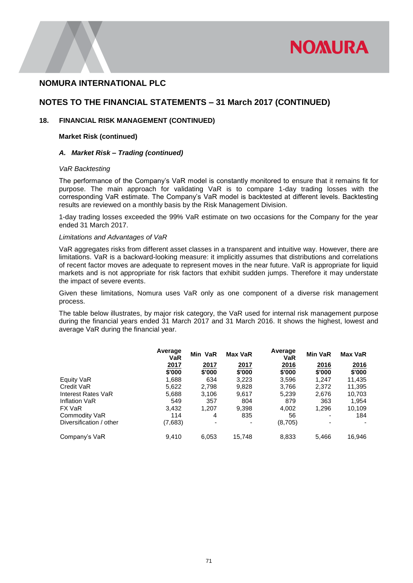

### **NOTES TO THE FINANCIAL STATEMENTS – 31 March 2017 (CONTINUED)**

#### **18. FINANCIAL RISK MANAGEMENT (CONTINUED)**

#### **Market Risk (continued)**

#### *A. Market Risk – Trading (continued)*

#### *VaR Backtesting*

The performance of the Company's VaR model is constantly monitored to ensure that it remains fit for purpose. The main approach for validating VaR is to compare 1-day trading losses with the corresponding VaR estimate. The Company's VaR model is backtested at different levels. Backtesting results are reviewed on a monthly basis by the Risk Management Division.

1-day trading losses exceeded the 99% VaR estimate on two occasions for the Company for the year ended 31 March 2017.

#### *Limitations and Advantages of VaR*

VaR aggregates risks from different asset classes in a transparent and intuitive way. However, there are limitations. VaR is a backward-looking measure: it implicitly assumes that distributions and correlations of recent factor moves are adequate to represent moves in the near future. VaR is appropriate for liquid markets and is not appropriate for risk factors that exhibit sudden jumps. Therefore it may understate the impact of severe events.

Given these limitations, Nomura uses VaR only as one component of a diverse risk management process.

The table below illustrates, by major risk category, the VaR used for internal risk management purpose during the financial years ended 31 March 2017 and 31 March 2016. It shows the highest, lowest and average VaR during the financial year.

|                         | Average<br><b>VaR</b> | Min VaR                  | <b>Max VaR</b> | Average<br><b>VaR</b> | <b>Min VaR</b> | <b>Max VaR</b> |
|-------------------------|-----------------------|--------------------------|----------------|-----------------------|----------------|----------------|
|                         | <u>2017</u><br>\$'000 | 2017<br>\$'000           | 2017<br>\$'000 | <u>2016</u><br>\$'000 | 2016<br>\$'000 | 2016<br>\$'000 |
| Equity VaR              | 1,688                 | 634                      | 3,223          | 3,596                 | 1.247          | 11,435         |
| Credit VaR              | 5,622                 | 2,798                    | 9,828          | 3,766                 | 2,372          | 11,395         |
| Interest Rates VaR      | 5,688                 | 3,106                    | 9,617          | 5,239                 | 2,676          | 10,703         |
| Inflation VaR           | 549                   | 357                      | 804            | 879                   | 363            | 1,954          |
| FX VaR                  | 3.432                 | 1.207                    | 9,398          | 4,002                 | 1.296          | 10,109         |
| Commodity VaR           | 114                   | 4                        | 835            | 56                    |                | 184            |
| Diversification / other | (7,683)               | $\overline{\phantom{a}}$ | ٠              | (8,705)               | ٠              |                |
| Company's VaR           | 9.410                 | 6,053                    | 15,748         | 8,833                 | 5.466          | 16,946         |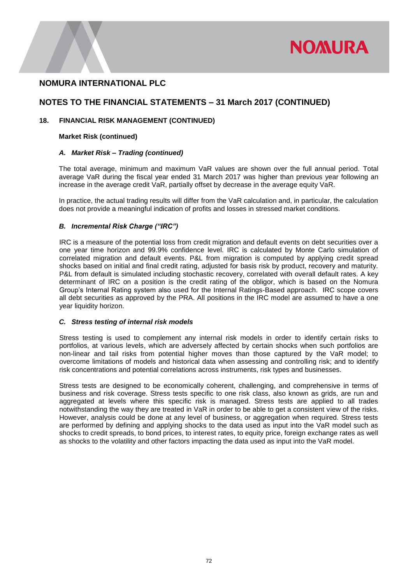

### **NOTES TO THE FINANCIAL STATEMENTS – 31 March 2017 (CONTINUED)**

### **18. FINANCIAL RISK MANAGEMENT (CONTINUED)**

#### **Market Risk (continued)**

#### *A. Market Risk – Trading (continued)*

The total average, minimum and maximum VaR values are shown over the full annual period. Total average VaR during the fiscal year ended 31 March 2017 was higher than previous year following an increase in the average credit VaR, partially offset by decrease in the average equity VaR.

In practice, the actual trading results will differ from the VaR calculation and, in particular, the calculation does not provide a meaningful indication of profits and losses in stressed market conditions.

### *B. Incremental Risk Charge ("IRC")*

IRC is a measure of the potential loss from credit migration and default events on debt securities over a one year time horizon and 99.9% confidence level. IRC is calculated by Monte Carlo simulation of correlated migration and default events. P&L from migration is computed by applying credit spread shocks based on initial and final credit rating, adjusted for basis risk by product, recovery and maturity. P&L from default is simulated including stochastic recovery, correlated with overall default rates. A key determinant of IRC on a position is the credit rating of the obligor, which is based on the Nomura Group's Internal Rating system also used for the Internal Ratings-Based approach. IRC scope covers all debt securities as approved by the PRA. All positions in the IRC model are assumed to have a one year liquidity horizon.

### *C. Stress testing of internal risk models*

Stress testing is used to complement any internal risk models in order to identify certain risks to portfolios, at various levels, which are adversely affected by certain shocks when such portfolios are non-linear and tail risks from potential higher moves than those captured by the VaR model; to overcome limitations of models and historical data when assessing and controlling risk; and to identify risk concentrations and potential correlations across instruments, risk types and businesses.

Stress tests are designed to be economically coherent, challenging, and comprehensive in terms of business and risk coverage. Stress tests specific to one risk class, also known as grids, are run and aggregated at levels where this specific risk is managed. Stress tests are applied to all trades notwithstanding the way they are treated in VaR in order to be able to get a consistent view of the risks. However, analysis could be done at any level of business, or aggregation when required. Stress tests are performed by defining and applying shocks to the data used as input into the VaR model such as shocks to credit spreads, to bond prices, to interest rates, to equity price, foreign exchange rates as well as shocks to the volatility and other factors impacting the data used as input into the VaR model.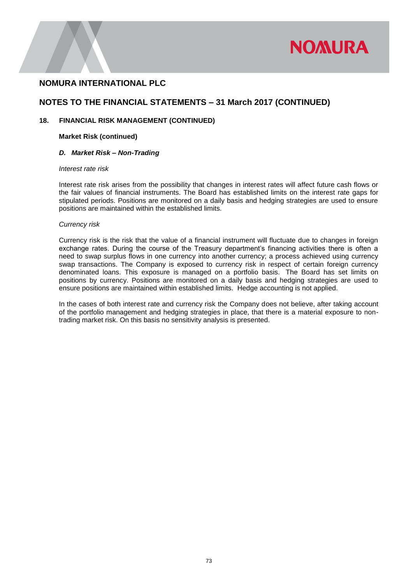

### **NOTES TO THE FINANCIAL STATEMENTS – 31 March 2017 (CONTINUED)**

### **18. FINANCIAL RISK MANAGEMENT (CONTINUED)**

### **Market Risk (continued)**

#### *D. Market Risk – Non-Trading*

#### *Interest rate risk*

Interest rate risk arises from the possibility that changes in interest rates will affect future cash flows or the fair values of financial instruments. The Board has established limits on the interest rate gaps for stipulated periods. Positions are monitored on a daily basis and hedging strategies are used to ensure positions are maintained within the established limits.

#### *Currency risk*

Currency risk is the risk that the value of a financial instrument will fluctuate due to changes in foreign exchange rates. During the course of the Treasury department's financing activities there is often a need to swap surplus flows in one currency into another currency; a process achieved using currency swap transactions. The Company is exposed to currency risk in respect of certain foreign currency denominated loans. This exposure is managed on a portfolio basis. The Board has set limits on positions by currency. Positions are monitored on a daily basis and hedging strategies are used to ensure positions are maintained within established limits. Hedge accounting is not applied.

In the cases of both interest rate and currency risk the Company does not believe, after taking account of the portfolio management and hedging strategies in place, that there is a material exposure to nontrading market risk. On this basis no sensitivity analysis is presented.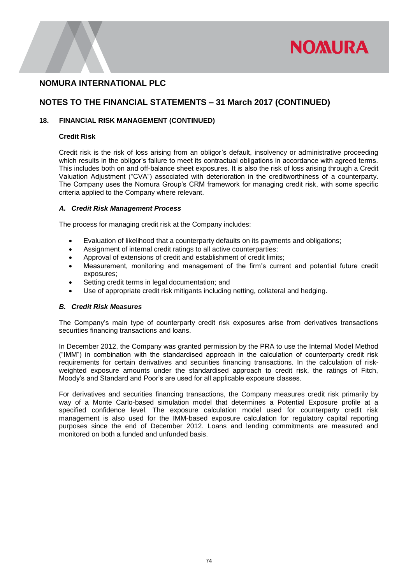

## **NOTES TO THE FINANCIAL STATEMENTS – 31 March 2017 (CONTINUED)**

### **18. FINANCIAL RISK MANAGEMENT (CONTINUED)**

#### **Credit Risk**

Credit risk is the risk of loss arising from an obligor's default, insolvency or administrative proceeding which results in the obligor's failure to meet its contractual obligations in accordance with agreed terms. This includes both on and off-balance sheet exposures. It is also the risk of loss arising through a Credit Valuation Adjustment ("CVA") associated with deterioration in the creditworthiness of a counterparty. The Company uses the Nomura Group's CRM framework for managing credit risk, with some specific criteria applied to the Company where relevant.

### *A. Credit Risk Management Process*

The process for managing credit risk at the Company includes:

- Evaluation of likelihood that a counterparty defaults on its payments and obligations;
- Assignment of internal credit ratings to all active counterparties;
- Approval of extensions of credit and establishment of credit limits;
- Measurement, monitoring and management of the firm's current and potential future credit exposures;
- Setting credit terms in legal documentation; and
- Use of appropriate credit risk mitigants including netting, collateral and hedging.

#### *B. Credit Risk Measures*

The Company's main type of counterparty credit risk exposures arise from derivatives transactions securities financing transactions and loans.

In December 2012, the Company was granted permission by the PRA to use the Internal Model Method ("IMM") in combination with the standardised approach in the calculation of counterparty credit risk requirements for certain derivatives and securities financing transactions. In the calculation of riskweighted exposure amounts under the standardised approach to credit risk, the ratings of Fitch, Moody's and Standard and Poor's are used for all applicable exposure classes.

For derivatives and securities financing transactions, the Company measures credit risk primarily by way of a Monte Carlo-based simulation model that determines a Potential Exposure profile at a specified confidence level. The exposure calculation model used for counterparty credit risk management is also used for the IMM-based exposure calculation for regulatory capital reporting purposes since the end of December 2012. Loans and lending commitments are measured and monitored on both a funded and unfunded basis.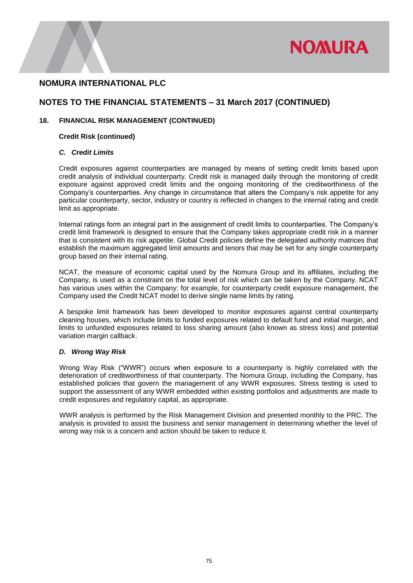

### **NOTES TO THE FINANCIAL STATEMENTS – 31 March 2017 (CONTINUED)**

### **18. FINANCIAL RISK MANAGEMENT (CONTINUED)**

### **Credit Risk (continued)**

### *C. Credit Limits*

Credit exposures against counterparties are managed by means of setting credit limits based upon credit analysis of individual counterparty. Credit risk is managed daily through the monitoring of credit exposure against approved credit limits and the ongoing monitoring of the creditworthiness of the Company's counterparties. Any change in circumstance that alters the Company's risk appetite for any particular counterparty, sector, industry or country is reflected in changes to the internal rating and credit limit as appropriate.

Internal ratings form an integral part in the assignment of credit limits to counterparties. The Company's credit limit framework is designed to ensure that the Company takes appropriate credit risk in a manner that is consistent with its risk appetite. Global Credit policies define the delegated authority matrices that establish the maximum aggregated limit amounts and tenors that may be set for any single counterparty group based on their internal rating.

NCAT, the measure of economic capital used by the Nomura Group and its affiliates, including the Company, is used as a constraint on the total level of risk which can be taken by the Company. NCAT has various uses within the Company: for example, for counterparty credit exposure management, the Company used the Credit NCAT model to derive single name limits by rating.

A bespoke limit framework has been developed to monitor exposures against central counterparty cleaning houses, which include limits to funded exposures related to default fund and initial margin, and limits to unfunded exposures related to loss sharing amount (also known as stress loss) and potential variation margin callback.

### *D. Wrong Way Risk*

Wrong Way Risk ("WWR") occurs when exposure to a counterparty is highly correlated with the deterioration of creditworthiness of that counterparty. The Nomura Group, including the Company, has established policies that govern the management of any WWR exposures. Stress testing is used to support the assessment of any WWR embedded within existing portfolios and adjustments are made to credit exposures and regulatory capital, as appropriate.

WWR analysis is performed by the Risk Management Division and presented monthly to the PRC. The analysis is provided to assist the business and senior management in determining whether the level of wrong way risk is a concern and action should be taken to reduce it.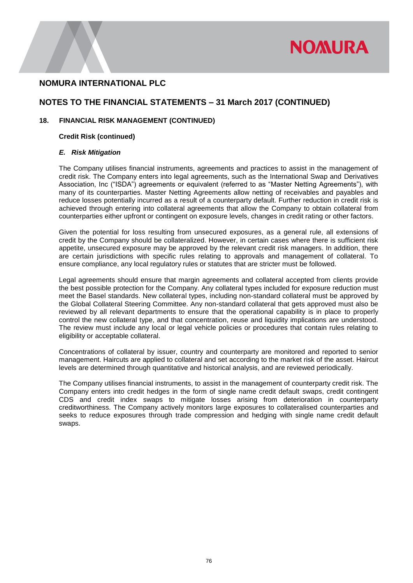

### **NOTES TO THE FINANCIAL STATEMENTS – 31 March 2017 (CONTINUED)**

### **18. FINANCIAL RISK MANAGEMENT (CONTINUED)**

### **Credit Risk (continued)**

#### *E. Risk Mitigation*

The Company utilises financial instruments, agreements and practices to assist in the management of credit risk. The Company enters into legal agreements, such as the International Swap and Derivatives Association, Inc ("ISDA") agreements or equivalent (referred to as "Master Netting Agreements"), with many of its counterparties. Master Netting Agreements allow netting of receivables and payables and reduce losses potentially incurred as a result of a counterparty default. Further reduction in credit risk is achieved through entering into collateral agreements that allow the Company to obtain collateral from counterparties either upfront or contingent on exposure levels, changes in credit rating or other factors.

Given the potential for loss resulting from unsecured exposures, as a general rule, all extensions of credit by the Company should be collateralized. However, in certain cases where there is sufficient risk appetite, unsecured exposure may be approved by the relevant credit risk managers. In addition, there are certain jurisdictions with specific rules relating to approvals and management of collateral. To ensure compliance, any local regulatory rules or statutes that are stricter must be followed.

Legal agreements should ensure that margin agreements and collateral accepted from clients provide the best possible protection for the Company. Any collateral types included for exposure reduction must meet the Basel standards. New collateral types, including non-standard collateral must be approved by the Global Collateral Steering Committee. Any non-standard collateral that gets approved must also be reviewed by all relevant departments to ensure that the operational capability is in place to properly control the new collateral type, and that concentration, reuse and liquidity implications are understood. The review must include any local or legal vehicle policies or procedures that contain rules relating to eligibility or acceptable collateral.

Concentrations of collateral by issuer, country and counterparty are monitored and reported to senior management. Haircuts are applied to collateral and set according to the market risk of the asset. Haircut levels are determined through quantitative and historical analysis, and are reviewed periodically.

The Company utilises financial instruments, to assist in the management of counterparty credit risk. The Company enters into credit hedges in the form of single name credit default swaps, credit contingent CDS and credit index swaps to mitigate losses arising from deterioration in counterparty creditworthiness. The Company actively monitors large exposures to collateralised counterparties and seeks to reduce exposures through trade compression and hedging with single name credit default swaps.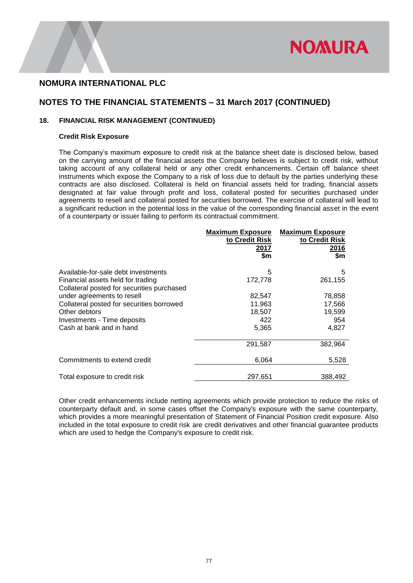

### **NOTES TO THE FINANCIAL STATEMENTS – 31 March 2017 (CONTINUED)**

### **18. FINANCIAL RISK MANAGEMENT (CONTINUED)**

#### **Credit Risk Exposure**

The Company's maximum exposure to credit risk at the balance sheet date is disclosed below, based on the carrying amount of the financial assets the Company believes is subject to credit risk, without taking account of any collateral held or any other credit enhancements. Certain off balance sheet instruments which expose the Company to a risk of loss due to default by the parties underlying these contracts are also disclosed. Collateral is held on financial assets held for trading, financial assets designated at fair value through profit and loss, collateral posted for securities purchased under agreements to resell and collateral posted for securities borrowed. The exercise of collateral will lead to a significant reduction in the potential loss in the value of the corresponding financial asset in the event of a counterparty or issuer failing to perform its contractual commitment.

|                                                                                 | <b>Maximum Exposure</b><br>to Credit Risk<br>2017<br>\$m | <b>Maximum Exposure</b><br>to Credit Risk<br>2016<br>\$m\$ |
|---------------------------------------------------------------------------------|----------------------------------------------------------|------------------------------------------------------------|
| Available-for-sale debt investments                                             | 5                                                        | 5                                                          |
| Financial assets held for trading<br>Collateral posted for securities purchased | 172,778                                                  | 261,155                                                    |
| under agreements to resell                                                      | 82,547                                                   | 78,858                                                     |
| Collateral posted for securities borrowed                                       | 11,963                                                   | 17,566                                                     |
| Other debtors                                                                   | 18,507                                                   | 19,599                                                     |
| Investments - Time deposits                                                     | 422                                                      | 954                                                        |
| Cash at bank and in hand                                                        | 5,365                                                    | 4,827                                                      |
|                                                                                 | 291,587                                                  | 382,964                                                    |
| Commitments to extend credit                                                    | 6,064                                                    | 5,528                                                      |
| Total exposure to credit risk                                                   | 297,651                                                  | 388,492                                                    |

Other credit enhancements include netting agreements which provide protection to reduce the risks of counterparty default and, in some cases offset the Company's exposure with the same counterparty, which provides a more meaningful presentation of Statement of Financial Position credit exposure. Also included in the total exposure to credit risk are credit derivatives and other financial guarantee products which are used to hedge the Company's exposure to credit risk.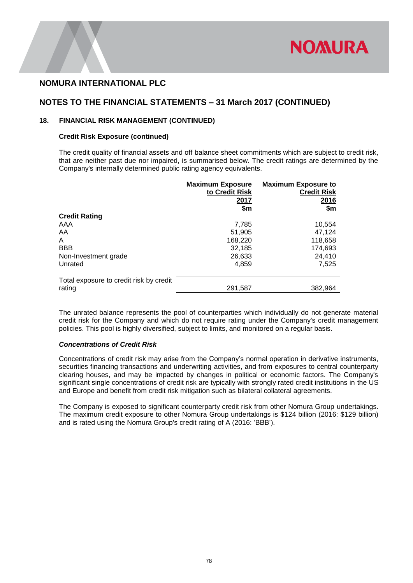

### **NOTES TO THE FINANCIAL STATEMENTS – 31 March 2017 (CONTINUED)**

### **18. FINANCIAL RISK MANAGEMENT (CONTINUED)**

#### **Credit Risk Exposure (continued)**

The credit quality of financial assets and off balance sheet commitments which are subject to credit risk, that are neither past due nor impaired, is summarised below. The credit ratings are determined by the Company's internally determined public rating agency equivalents.

|                                         | <b>Maximum Exposure</b> | <b>Maximum Exposure to</b> |
|-----------------------------------------|-------------------------|----------------------------|
|                                         | to Credit Risk          | <b>Credit Risk</b>         |
|                                         | 2017                    | 2016                       |
|                                         | \$m                     | \$m                        |
| <b>Credit Rating</b>                    |                         |                            |
| AAA                                     | 7,785                   | 10,554                     |
| AA                                      | 51,905                  | 47,124                     |
| A                                       | 168,220                 | 118,658                    |
| <b>BBB</b>                              | 32,185                  | 174,693                    |
| Non-Investment grade                    | 26,633                  | 24,410                     |
| Unrated                                 | 4,859                   | 7.525                      |
| Total exposure to credit risk by credit |                         |                            |
| rating                                  | 291,587                 | 382,964                    |

The unrated balance represents the pool of counterparties which individually do not generate material credit risk for the Company and which do not require rating under the Company's credit management policies. This pool is highly diversified, subject to limits, and monitored on a regular basis.

### *Concentrations of Credit Risk*

Concentrations of credit risk may arise from the Company's normal operation in derivative instruments, securities financing transactions and underwriting activities, and from exposures to central counterparty clearing houses, and may be impacted by changes in political or economic factors. The Company's significant single concentrations of credit risk are typically with strongly rated credit institutions in the US and Europe and benefit from credit risk mitigation such as bilateral collateral agreements.

The Company is exposed to significant counterparty credit risk from other Nomura Group undertakings. The maximum credit exposure to other Nomura Group undertakings is \$124 billion (2016: \$129 billion) and is rated using the Nomura Group's credit rating of A (2016: 'BBB').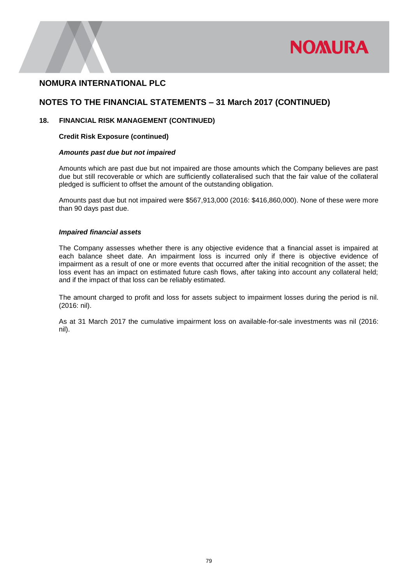

### **NOTES TO THE FINANCIAL STATEMENTS – 31 March 2017 (CONTINUED)**

### **18. FINANCIAL RISK MANAGEMENT (CONTINUED)**

#### **Credit Risk Exposure (continued)**

#### *Amounts past due but not impaired*

Amounts which are past due but not impaired are those amounts which the Company believes are past due but still recoverable or which are sufficiently collateralised such that the fair value of the collateral pledged is sufficient to offset the amount of the outstanding obligation.

Amounts past due but not impaired were \$567,913,000 (2016: \$416,860,000). None of these were more than 90 days past due.

#### *Impaired financial assets*

The Company assesses whether there is any objective evidence that a financial asset is impaired at each balance sheet date. An impairment loss is incurred only if there is objective evidence of impairment as a result of one or more events that occurred after the initial recognition of the asset; the loss event has an impact on estimated future cash flows, after taking into account any collateral held; and if the impact of that loss can be reliably estimated.

The amount charged to profit and loss for assets subject to impairment losses during the period is nil. (2016: nil).

As at 31 March 2017 the cumulative impairment loss on available-for-sale investments was nil (2016: nil).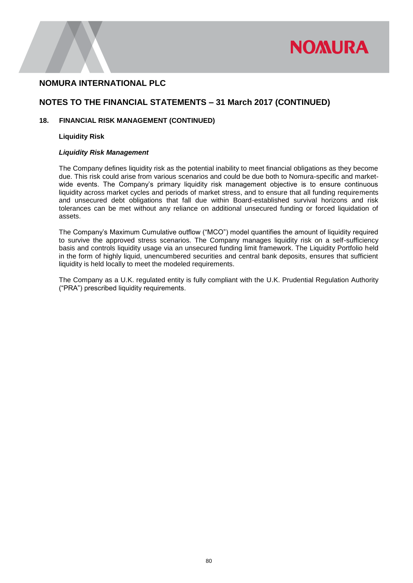

### **NOTES TO THE FINANCIAL STATEMENTS – 31 March 2017 (CONTINUED)**

### **18. FINANCIAL RISK MANAGEMENT (CONTINUED)**

#### **Liquidity Risk**

#### *Liquidity Risk Management*

The Company defines liquidity risk as the potential inability to meet financial obligations as they become due. This risk could arise from various scenarios and could be due both to Nomura-specific and marketwide events. The Company's primary liquidity risk management objective is to ensure continuous liquidity across market cycles and periods of market stress, and to ensure that all funding requirements and unsecured debt obligations that fall due within Board-established survival horizons and risk tolerances can be met without any reliance on additional unsecured funding or forced liquidation of assets.

The Company's Maximum Cumulative outflow ("MCO") model quantifies the amount of liquidity required to survive the approved stress scenarios. The Company manages liquidity risk on a self-sufficiency basis and controls liquidity usage via an unsecured funding limit framework. The Liquidity Portfolio held in the form of highly liquid, unencumbered securities and central bank deposits, ensures that sufficient liquidity is held locally to meet the modeled requirements.

The Company as a U.K. regulated entity is fully compliant with the U.K. Prudential Regulation Authority ("PRA") prescribed liquidity requirements.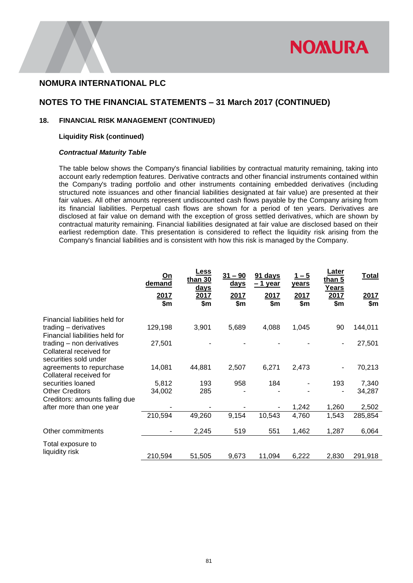

### **NOTES TO THE FINANCIAL STATEMENTS – 31 March 2017 (CONTINUED)**

### **18. FINANCIAL RISK MANAGEMENT (CONTINUED)**

#### **Liquidity Risk (continued)**

#### *Contractual Maturity Table*

The table below shows the Company's financial liabilities by contractual maturity remaining, taking into account early redemption features. Derivative contracts and other financial instruments contained within the Company's trading portfolio and other instruments containing embedded derivatives (including structured note issuances and other financial liabilities designated at fair value) are presented at their fair values. All other amounts represent undiscounted cash flows payable by the Company arising from its financial liabilities. Perpetual cash flows are shown for a period of ten years. Derivatives are disclosed at fair value on demand with the exception of gross settled derivatives, which are shown by contractual maturity remaining. Financial liabilities designated at fair value are disclosed based on their earliest redemption date. This presentation is considered to reflect the liquidity risk arising from the Company's financial liabilities and is consistent with how this risk is managed by the Company.

|                                                                               | <u>On</u><br>demand<br>2017<br>\$m | Less<br>than 30<br><u>days</u><br>2017<br>\$m | $31 - 90$<br><u>days</u><br>2017<br>\$m | 91 days<br>$-1$ year<br>2017<br>\$m | <u> 1 – 5</u><br><u>years</u><br>2017<br>\$m\$ | <u>Later</u><br>than 5<br>Years<br>2017<br>\$m\$ | <b>Total</b><br>2017<br>\$m |
|-------------------------------------------------------------------------------|------------------------------------|-----------------------------------------------|-----------------------------------------|-------------------------------------|------------------------------------------------|--------------------------------------------------|-----------------------------|
| Financial liabilities held for                                                |                                    |                                               |                                         |                                     |                                                |                                                  |                             |
| trading - derivatives<br>Financial liabilities held for                       | 129,198                            | 3,901                                         | 5,689                                   | 4,088                               | 1,045                                          | 90                                               | 144,011                     |
| trading - non derivatives<br>Collateral received for<br>securities sold under | 27,501                             |                                               |                                         |                                     |                                                | ۰                                                | 27,501                      |
| agreements to repurchase<br>Collateral received for                           | 14,081                             | 44,881                                        | 2,507                                   | 6,271                               | 2,473                                          | ۰                                                | 70,213                      |
| securities loaned                                                             | 5,812                              | 193                                           | 958                                     | 184                                 |                                                | 193                                              | 7,340                       |
| <b>Other Creditors</b><br>Creditors: amounts falling due                      | 34,002                             | 285                                           |                                         |                                     |                                                |                                                  | 34,287                      |
| after more than one year                                                      |                                    |                                               |                                         |                                     | 1,242                                          | 1,260                                            | 2,502                       |
|                                                                               | 210,594                            | 49,260                                        | 9,154                                   | 10,543                              | 4,760                                          | 1,543                                            | 285,854                     |
| Other commitments                                                             | $\blacksquare$                     | 2,245                                         | 519                                     | 551                                 | 1,462                                          | 1,287                                            | 6,064                       |
| Total exposure to<br>liquidity risk                                           |                                    |                                               |                                         |                                     |                                                |                                                  |                             |
|                                                                               | 210,594                            | 51,505                                        | 9,673                                   | 11,094                              | 6,222                                          | 2,830                                            | 291,918                     |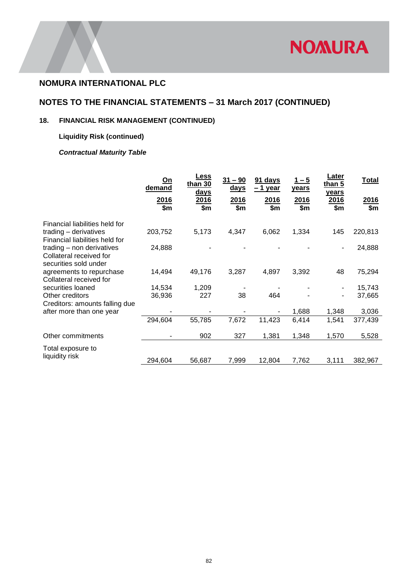

## **NOTES TO THE FINANCIAL STATEMENTS – 31 March 2017 (CONTINUED)**

## **18. FINANCIAL RISK MANAGEMENT (CONTINUED)**

## **Liquidity Risk (continued)**

## *Contractual Maturity Table*

|                                | <u>On</u><br>demand<br>2016<br>\$m | Less<br>than $30$<br>days<br>2016<br>\$m | $31 - 90$<br><u>days</u><br>2016<br>\$m\$ | 91 days<br>$-1$ year<br>2016<br>\$m | $1 - 5$<br>years<br>2016<br>\$m | Later<br>than 5<br>years<br>2016<br>\$m | <b>Total</b><br>2016<br>\$m |
|--------------------------------|------------------------------------|------------------------------------------|-------------------------------------------|-------------------------------------|---------------------------------|-----------------------------------------|-----------------------------|
|                                |                                    |                                          |                                           |                                     |                                 |                                         |                             |
| Financial liabilities held for |                                    |                                          |                                           |                                     |                                 |                                         |                             |
| trading - derivatives          | 203,752                            | 5,173                                    | 4,347                                     | 6,062                               | 1,334                           | 145                                     | 220,813                     |
| Financial liabilities held for |                                    |                                          |                                           |                                     |                                 |                                         |                             |
| trading - non derivatives      | 24,888                             |                                          |                                           |                                     |                                 | $\overline{\phantom{a}}$                | 24,888                      |
| Collateral received for        |                                    |                                          |                                           |                                     |                                 |                                         |                             |
| securities sold under          |                                    |                                          |                                           |                                     |                                 |                                         |                             |
| agreements to repurchase       | 14,494                             | 49,176                                   | 3,287                                     | 4,897                               | 3,392                           | 48                                      | 75,294                      |
| Collateral received for        |                                    |                                          |                                           |                                     |                                 |                                         |                             |
| securities loaned              | 14,534                             | 1,209                                    |                                           |                                     |                                 | ۰                                       | 15,743                      |
| Other creditors                | 36,936                             | 227                                      | 38                                        | 464                                 |                                 | $\blacksquare$                          | 37,665                      |
| Creditors: amounts falling due |                                    |                                          |                                           |                                     |                                 |                                         |                             |
| after more than one year       |                                    |                                          |                                           |                                     | 1,688                           | 1,348                                   | 3,036                       |
|                                | 294,604                            | 55,785                                   | 7,672                                     | 11,423                              | 6,414                           | 1,541                                   | 377,439                     |
|                                |                                    |                                          |                                           |                                     |                                 |                                         |                             |
| Other commitments              |                                    | 902                                      | 327                                       | 1,381                               | 1,348                           | 1,570                                   | 5,528                       |
| Total exposure to              |                                    |                                          |                                           |                                     |                                 |                                         |                             |
| liquidity risk                 |                                    |                                          |                                           |                                     |                                 |                                         |                             |
|                                | 294,604                            | 56,687                                   | 7,999                                     | 12,804                              | 7,762                           | 3,111                                   | 382,967                     |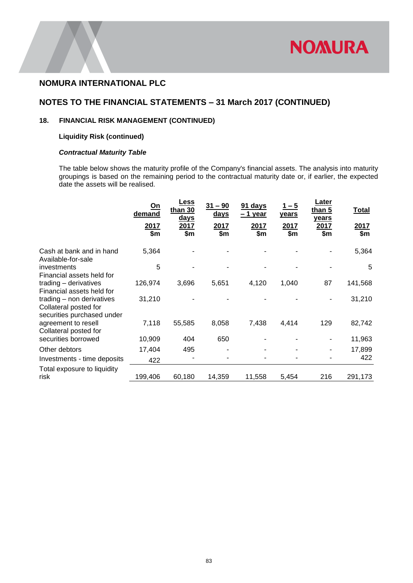

### **NOTES TO THE FINANCIAL STATEMENTS – 31 March 2017 (CONTINUED)**

### **18. FINANCIAL RISK MANAGEMENT (CONTINUED)**

### **Liquidity Risk (continued)**

### *Contractual Maturity Table*

The table below shows the maturity profile of the Company's financial assets. The analysis into maturity groupings is based on the remaining period to the contractual maturity date or, if earlier, the expected date the assets will be realised.

|                                                                                  | On<br>demand<br>2017<br>\$m\$ | <b>Less</b><br>than 30<br><u>days</u><br>2017<br>\$m | 31 – 90<br><u>days</u><br>2017<br>\$m | 91 days<br>$-1$ year<br>2017<br>\$m | <u> 1 – 5</u><br><b>years</b><br>2017<br>\$m | Later<br>than 5<br>years<br>2017<br>\$m | Total<br>2017<br>\$m |
|----------------------------------------------------------------------------------|-------------------------------|------------------------------------------------------|---------------------------------------|-------------------------------------|----------------------------------------------|-----------------------------------------|----------------------|
| Cash at bank and in hand<br>Available-for-sale                                   | 5,364                         |                                                      |                                       |                                     |                                              |                                         | 5,364                |
| investments<br>Financial assets held for                                         | 5                             |                                                      |                                       |                                     |                                              |                                         | 5                    |
| trading - derivatives<br>Financial assets held for                               | 126,974                       | 3,696                                                | 5,651                                 | 4,120                               | 1,040                                        | 87                                      | 141,568              |
| trading - non derivatives<br>Collateral posted for<br>securities purchased under | 31,210                        |                                                      |                                       |                                     |                                              |                                         | 31,210               |
| agreement to resell<br>Collateral posted for                                     | 7,118                         | 55,585                                               | 8,058                                 | 7,438                               | 4,414                                        | 129                                     | 82,742               |
| securities borrowed                                                              | 10,909                        | 404                                                  | 650                                   |                                     |                                              |                                         | 11,963               |
| Other debtors                                                                    | 17,404                        | 495                                                  |                                       |                                     |                                              |                                         | 17,899               |
| Investments - time deposits                                                      | 422                           |                                                      |                                       |                                     |                                              |                                         | 422                  |
| Total exposure to liquidity<br>risk                                              | 199,406                       | 60,180                                               | 14,359                                | 11,558                              | 5.454                                        | 216                                     | 291,173              |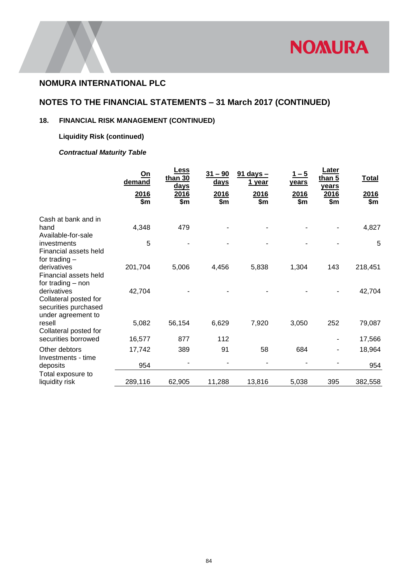

## **NOTES TO THE FINANCIAL STATEMENTS – 31 March 2017 (CONTINUED)**

## **18. FINANCIAL RISK MANAGEMENT (CONTINUED)**

## **Liquidity Risk (continued)**

## *Contractual Maturity Table*

|                                                                                    | <u>On</u><br>demand<br>2016<br>\$m | Less<br>than $30$<br>days<br>2016<br>\$m | $31 - 90$<br><u>days</u><br>2016<br>\$m | $91$ days $-$<br>1 year<br>2016<br>\$m | <u> 1 – 5</u><br><u>years</u><br>2016<br>\$m | Later<br>than 5<br>years<br>2016<br>\$m | <b>Total</b><br>2016<br>\$m |
|------------------------------------------------------------------------------------|------------------------------------|------------------------------------------|-----------------------------------------|----------------------------------------|----------------------------------------------|-----------------------------------------|-----------------------------|
| Cash at bank and in                                                                |                                    |                                          |                                         |                                        |                                              |                                         |                             |
| hand<br>Available-for-sale                                                         | 4,348                              | 479                                      |                                         |                                        |                                              |                                         | 4,827                       |
| investments<br>Financial assets held<br>for trading $-$                            | 5                                  |                                          |                                         |                                        |                                              |                                         | 5                           |
| derivatives<br>Financial assets held<br>for trading - non                          | 201,704                            | 5,006                                    | 4,456                                   | 5,838                                  | 1,304                                        | 143                                     | 218,451                     |
| derivatives<br>Collateral posted for<br>securities purchased<br>under agreement to | 42,704                             |                                          |                                         |                                        |                                              |                                         | 42,704                      |
| resell<br>Collateral posted for                                                    | 5,082                              | 56,154                                   | 6,629                                   | 7,920                                  | 3,050                                        | 252                                     | 79,087                      |
| securities borrowed                                                                | 16,577                             | 877                                      | 112                                     |                                        |                                              |                                         | 17,566                      |
| Other debtors<br>Investments - time                                                | 17,742                             | 389                                      | 91                                      | 58                                     | 684                                          |                                         | 18,964                      |
| deposits                                                                           | 954                                |                                          |                                         |                                        |                                              |                                         | 954                         |
| Total exposure to<br>liquidity risk                                                | 289,116                            | 62,905                                   | 11,288                                  | 13,816                                 | 5,038                                        | 395                                     | 382,558                     |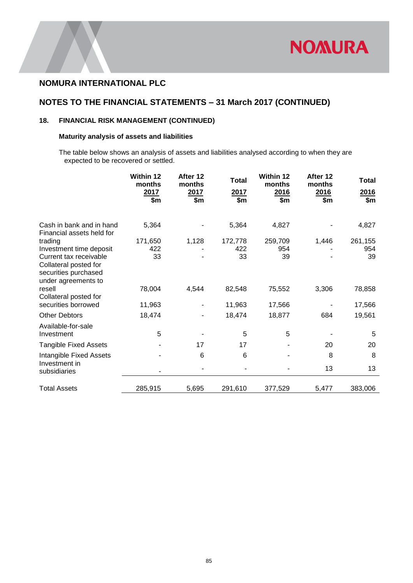

## **NOTES TO THE FINANCIAL STATEMENTS – 31 March 2017 (CONTINUED)**

### **18. FINANCIAL RISK MANAGEMENT (CONTINUED)**

### **Maturity analysis of assets and liabilities**

The table below shows an analysis of assets and liabilities analysed according to when they are expected to be recovered or settled.

|                                                                                                | Within 12<br>months<br>2017<br>\$m | After 12<br>months<br>2017<br>\$m | <b>Total</b><br>2017<br>\$m\$ | Within 12<br>months<br>2016<br>\$m | After 12<br>months<br>2016<br>\$m | <b>Total</b><br>2016<br>\$m |
|------------------------------------------------------------------------------------------------|------------------------------------|-----------------------------------|-------------------------------|------------------------------------|-----------------------------------|-----------------------------|
|                                                                                                |                                    |                                   |                               |                                    |                                   |                             |
| Cash in bank and in hand<br>Financial assets held for                                          | 5,364                              |                                   | 5,364                         | 4,827                              |                                   | 4,827                       |
| trading                                                                                        | 171,650                            | 1,128                             | 172,778                       | 259,709                            | 1,446                             | 261,155                     |
| Investment time deposit                                                                        | 422                                |                                   | 422                           | 954                                |                                   | 954                         |
| Current tax receivable<br>Collateral posted for<br>securities purchased<br>under agreements to | 33                                 |                                   | 33                            | 39                                 |                                   | 39                          |
| resell<br>Collateral posted for                                                                | 78,004                             | 4,544                             | 82,548                        | 75,552                             | 3,306                             | 78,858                      |
| securities borrowed                                                                            | 11,963                             | ۰                                 | 11,963                        | 17,566                             |                                   | 17,566                      |
| <b>Other Debtors</b>                                                                           | 18,474                             |                                   | 18,474                        | 18,877                             | 684                               | 19,561                      |
| Available-for-sale<br>Investment                                                               | 5                                  |                                   | 5                             | 5                                  |                                   | 5                           |
| <b>Tangible Fixed Assets</b>                                                                   |                                    | 17                                | 17                            |                                    | 20                                | 20                          |
| Intangible Fixed Assets<br>Investment in                                                       |                                    | 6                                 | 6                             |                                    | 8                                 | 8                           |
| subsidiaries                                                                                   |                                    |                                   |                               |                                    | 13                                | 13                          |
| <b>Total Assets</b>                                                                            | 285,915                            | 5,695                             | 291,610                       | 377,529                            | 5,477                             | 383,006                     |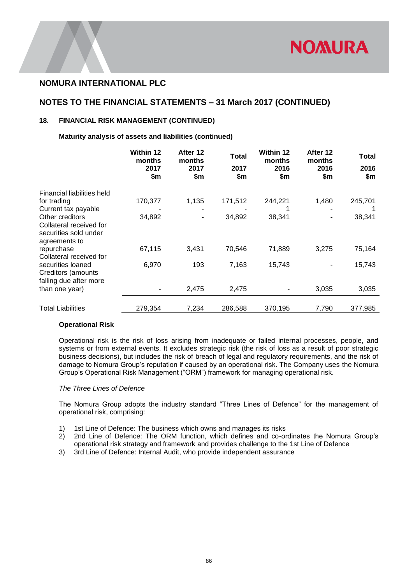

### **NOTES TO THE FINANCIAL STATEMENTS – 31 March 2017 (CONTINUED)**

### **18. FINANCIAL RISK MANAGEMENT (CONTINUED)**

**Maturity analysis of assets and liabilities (continued)**

|                                                                                      | Within 12<br>months<br>2017<br>\$m | After 12<br>months<br>2017<br>\$m\$ | Total<br>2017<br>\$m | <b>Within 12</b><br>months<br>2016<br>\$m | After 12<br>months<br>2016<br>\$m\$ | Total<br>2016<br>\$m\$ |
|--------------------------------------------------------------------------------------|------------------------------------|-------------------------------------|----------------------|-------------------------------------------|-------------------------------------|------------------------|
| Financial liabilities held                                                           |                                    |                                     |                      |                                           |                                     |                        |
| for trading                                                                          | 170,377                            | 1,135                               | 171,512              | 244,221                                   | 1,480                               | 245,701                |
| Current tax payable                                                                  |                                    |                                     |                      |                                           |                                     |                        |
| Other creditors<br>Collateral received for<br>securities sold under<br>agreements to | 34,892                             |                                     | 34,892               | 38,341                                    | ٠                                   | 38,341                 |
| repurchase<br>Collateral received for                                                | 67,115                             | 3,431                               | 70,546               | 71,889                                    | 3,275                               | 75,164                 |
| securities loaned<br>Creditors (amounts<br>falling due after more                    | 6,970                              | 193                                 | 7,163                | 15,743                                    |                                     | 15,743                 |
| than one year)                                                                       |                                    | 2,475                               | 2,475                |                                           | 3,035                               | 3,035                  |
| <b>Total Liabilities</b>                                                             | 279,354                            | 7,234                               | 286,588              | 370,195                                   | 7,790                               | 377,985                |

#### **Operational Risk**

Operational risk is the risk of loss arising from inadequate or failed internal processes, people, and systems or from external events. It excludes strategic risk (the risk of loss as a result of poor strategic business decisions), but includes the risk of breach of legal and regulatory requirements, and the risk of damage to Nomura Group's reputation if caused by an operational risk. The Company uses the Nomura Group's Operational Risk Management ("ORM") framework for managing operational risk.

#### *The Three Lines of Defence*

The Nomura Group adopts the industry standard "Three Lines of Defence" for the management of operational risk, comprising:

- 1) 1st Line of Defence: The business which owns and manages its risks
- 2) 2nd Line of Defence: The ORM function, which defines and co-ordinates the Nomura Group's operational risk strategy and framework and provides challenge to the 1st Line of Defence
- 3) 3rd Line of Defence: Internal Audit, who provide independent assurance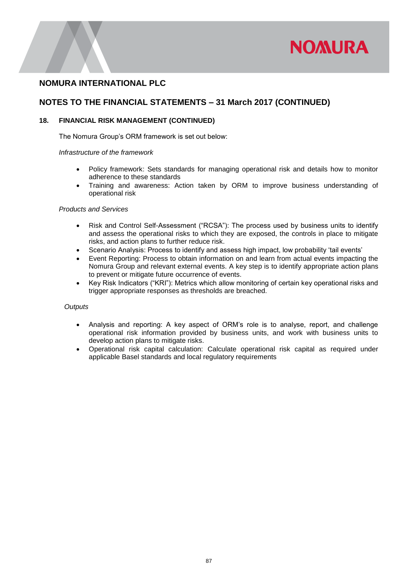

### **NOTES TO THE FINANCIAL STATEMENTS – 31 March 2017 (CONTINUED)**

### **18. FINANCIAL RISK MANAGEMENT (CONTINUED)**

The Nomura Group's ORM framework is set out below:

#### *Infrastructure of the framework*

- Policy framework: Sets standards for managing operational risk and details how to monitor adherence to these standards
- Training and awareness: Action taken by ORM to improve business understanding of operational risk

### *Products and Services*

- Risk and Control Self-Assessment ("RCSA"): The process used by business units to identify and assess the operational risks to which they are exposed, the controls in place to mitigate risks, and action plans to further reduce risk.
- Scenario Analysis: Process to identify and assess high impact, low probability 'tail events'
- Event Reporting: Process to obtain information on and learn from actual events impacting the Nomura Group and relevant external events. A key step is to identify appropriate action plans to prevent or mitigate future occurrence of events.
- Key Risk Indicators ("KRI"): Metrics which allow monitoring of certain key operational risks and trigger appropriate responses as thresholds are breached.

#### *Outputs*

- Analysis and reporting: A key aspect of ORM's role is to analyse, report, and challenge operational risk information provided by business units, and work with business units to develop action plans to mitigate risks.
- Operational risk capital calculation: Calculate operational risk capital as required under applicable Basel standards and local regulatory requirements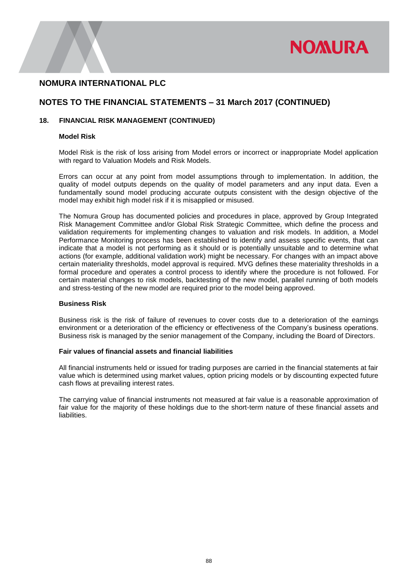

### **NOTES TO THE FINANCIAL STATEMENTS – 31 March 2017 (CONTINUED)**

#### **18. FINANCIAL RISK MANAGEMENT (CONTINUED)**

#### **Model Risk**

Model Risk is the risk of loss arising from Model errors or incorrect or inappropriate Model application with regard to Valuation Models and Risk Models.

Errors can occur at any point from model assumptions through to implementation. In addition, the quality of model outputs depends on the quality of model parameters and any input data. Even a fundamentally sound model producing accurate outputs consistent with the design objective of the model may exhibit high model risk if it is misapplied or misused.

The Nomura Group has documented policies and procedures in place, approved by Group Integrated Risk Management Committee and/or Global Risk Strategic Committee, which define the process and validation requirements for implementing changes to valuation and risk models. In addition, a Model Performance Monitoring process has been established to identify and assess specific events, that can indicate that a model is not performing as it should or is potentially unsuitable and to determine what actions (for example, additional validation work) might be necessary. For changes with an impact above certain materiality thresholds, model approval is required. MVG defines these materiality thresholds in a formal procedure and operates a control process to identify where the procedure is not followed. For certain material changes to risk models, backtesting of the new model, parallel running of both models and stress-testing of the new model are required prior to the model being approved.

#### **Business Risk**

Business risk is the risk of failure of revenues to cover costs due to a deterioration of the earnings environment or a deterioration of the efficiency or effectiveness of the Company's business operations. Business risk is managed by the senior management of the Company, including the Board of Directors.

#### **Fair values of financial assets and financial liabilities**

All financial instruments held or issued for trading purposes are carried in the financial statements at fair value which is determined using market values, option pricing models or by discounting expected future cash flows at prevailing interest rates.

The carrying value of financial instruments not measured at fair value is a reasonable approximation of fair value for the majority of these holdings due to the short-term nature of these financial assets and liabilities.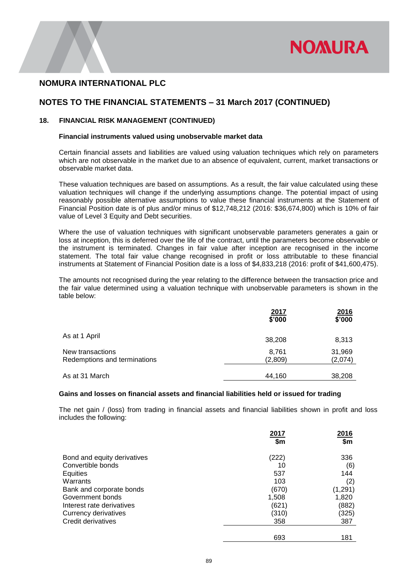

### **NOTES TO THE FINANCIAL STATEMENTS – 31 March 2017 (CONTINUED)**

#### **18. FINANCIAL RISK MANAGEMENT (CONTINUED)**

#### **Financial instruments valued using unobservable market data**

Certain financial assets and liabilities are valued using valuation techniques which rely on parameters which are not observable in the market due to an absence of equivalent, current, market transactions or observable market data.

These valuation techniques are based on assumptions. As a result, the fair value calculated using these valuation techniques will change if the underlying assumptions change. The potential impact of using reasonably possible alternative assumptions to value these financial instruments at the Statement of Financial Position date is of plus and/or minus of \$12,748,212 (2016: \$36,674,800) which is 10% of fair value of Level 3 Equity and Debt securities.

Where the use of valuation techniques with significant unobservable parameters generates a gain or loss at inception, this is deferred over the life of the contract, until the parameters become observable or the instrument is terminated. Changes in fair value after inception are recognised in the income statement. The total fair value change recognised in profit or loss attributable to these financial instruments at Statement of Financial Position date is a loss of \$4,833,218 (2016: profit of \$41,600,475).

The amounts not recognised during the year relating to the difference between the transaction price and the fair value determined using a valuation technique with unobservable parameters is shown in the table below:

|                                                  | 2017<br>\$'000   | 2016<br>\$'000    |
|--------------------------------------------------|------------------|-------------------|
| As at 1 April                                    | 38,208           | 8,313             |
| New transactions<br>Redemptions and terminations | 8,761<br>(2,809) | 31,969<br>(2,074) |
| As at 31 March                                   | 44,160           | 38,208            |

#### **Gains and losses on financial assets and financial liabilities held or issued for trading**

The net gain / (loss) from trading in financial assets and financial liabilities shown in profit and loss includes the following:

|                             | 2017  | 2016     |
|-----------------------------|-------|----------|
|                             | \$m   | \$m      |
| Bond and equity derivatives | (222) | 336      |
| Convertible bonds           | 10    | (6)      |
| Equities                    | 537   | 144      |
| Warrants                    | 103   | (2)      |
| Bank and corporate bonds    | (670) | (1, 291) |
| Government bonds            | 1,508 | 1,820    |
| Interest rate derivatives   | (621) | (882)    |
| Currency derivatives        | (310) | (325)    |
| Credit derivatives          | 358   | 387      |
|                             | 693   | 181      |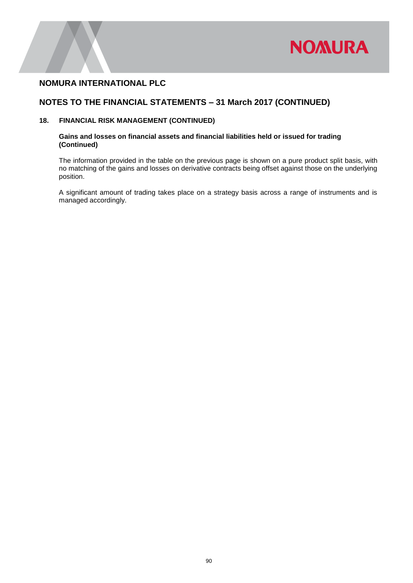

### **NOTES TO THE FINANCIAL STATEMENTS – 31 March 2017 (CONTINUED)**

### **18. FINANCIAL RISK MANAGEMENT (CONTINUED)**

### **Gains and losses on financial assets and financial liabilities held or issued for trading (Continued)**

The information provided in the table on the previous page is shown on a pure product split basis, with no matching of the gains and losses on derivative contracts being offset against those on the underlying position.

A significant amount of trading takes place on a strategy basis across a range of instruments and is managed accordingly.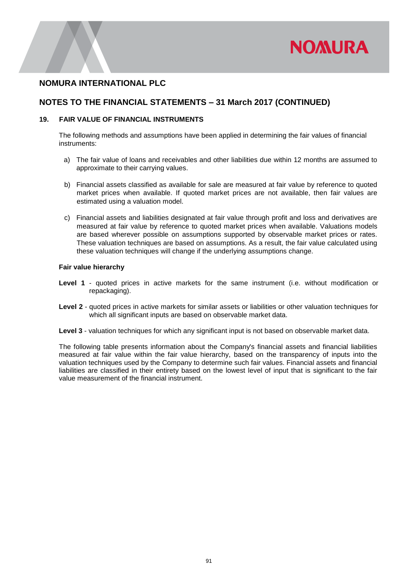

### **NOTES TO THE FINANCIAL STATEMENTS – 31 March 2017 (CONTINUED)**

### **19. FAIR VALUE OF FINANCIAL INSTRUMENTS**

The following methods and assumptions have been applied in determining the fair values of financial instruments:

- a) The fair value of loans and receivables and other liabilities due within 12 months are assumed to approximate to their carrying values.
- b) Financial assets classified as available for sale are measured at fair value by reference to quoted market prices when available. If quoted market prices are not available, then fair values are estimated using a valuation model.
- c) Financial assets and liabilities designated at fair value through profit and loss and derivatives are measured at fair value by reference to quoted market prices when available. Valuations models are based wherever possible on assumptions supported by observable market prices or rates. These valuation techniques are based on assumptions. As a result, the fair value calculated using these valuation techniques will change if the underlying assumptions change.

#### **Fair value hierarchy**

- **Level 1** quoted prices in active markets for the same instrument (i.e. without modification or repackaging).
- **Level 2** quoted prices in active markets for similar assets or liabilities or other valuation techniques for which all significant inputs are based on observable market data.
- **Level 3** valuation techniques for which any significant input is not based on observable market data.

The following table presents information about the Company's financial assets and financial liabilities measured at fair value within the fair value hierarchy, based on the transparency of inputs into the valuation techniques used by the Company to determine such fair values. Financial assets and financial liabilities are classified in their entirety based on the lowest level of input that is significant to the fair value measurement of the financial instrument.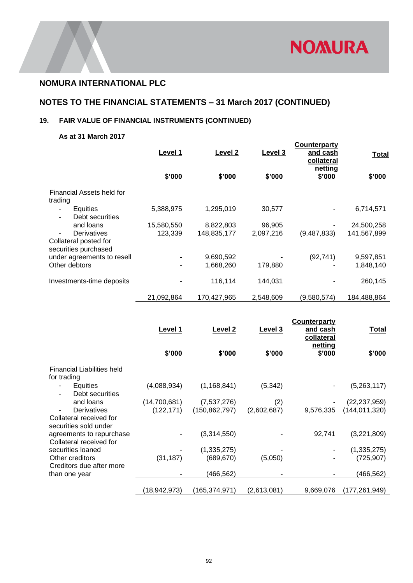

# **NOTES TO THE FINANCIAL STATEMENTS – 31 March 2017 (CONTINUED)**

## **19. FAIR VALUE OF FINANCIAL INSTRUMENTS (CONTINUED)**

### **As at 31 March 2017**

|                                                                     | Level 1    | Level <sub>2</sub> | Level 3   | Counterparty<br>and cash<br>collateral<br>netting | <b>Total</b> |
|---------------------------------------------------------------------|------------|--------------------|-----------|---------------------------------------------------|--------------|
|                                                                     | \$'000     | \$'000             | \$'000    | \$'000                                            | \$'000       |
| Financial Assets held for<br>trading                                |            |                    |           |                                                   |              |
| Equities<br>Debt securities                                         | 5,388,975  | 1,295,019          | 30,577    |                                                   | 6,714,571    |
| and loans                                                           | 15,580,550 | 8,822,803          | 96,905    |                                                   | 24,500,258   |
| <b>Derivatives</b><br>Collateral posted for<br>securities purchased | 123,339    | 148,835,177        | 2,097,216 | (9,487,833)                                       | 141,567,899  |
| under agreements to resell                                          |            | 9,690,592          |           | (92, 741)                                         | 9,597,851    |
| Other debtors                                                       |            | 1,668,260          | 179,880   |                                                   | 1,848,140    |
| Investments-time deposits                                           |            | 116,114            | 144,031   |                                                   | 260,145      |
|                                                                     | 21,092,864 | 170,427,965        | 2.548.609 | (9,580,574)                                       | 184.488.864  |

|                                                     | Level 1      | <b>Level 2</b>  | Level 3     | <b>Counterparty</b><br>and cash<br>collateral | <b>Total</b>    |
|-----------------------------------------------------|--------------|-----------------|-------------|-----------------------------------------------|-----------------|
|                                                     | \$'000       | \$'000          | \$'000      | netting<br>\$'000                             | \$'000          |
| <b>Financial Liabilities held</b><br>for trading    |              |                 |             |                                               |                 |
| Equities<br>Debt securities                         | (4,088,934)  | (1, 168, 841)   | (5,342)     |                                               | (5,263,117)     |
| and loans                                           | (14,700,681) | (7,537,276)     | (2)         |                                               | (22, 237, 959)  |
| Derivatives                                         | (122, 171)   | (150, 862, 797) | (2,602,687) | 9,576,335                                     | (144, 011, 320) |
| Collateral received for<br>securities sold under    |              |                 |             |                                               |                 |
| agreements to repurchase<br>Collateral received for |              | (3,314,550)     |             | 92,741                                        | (3,221,809)     |
| securities loaned                                   |              | (1, 335, 275)   |             |                                               | (1,335,275)     |
| Other creditors<br>Creditors due after more         | (31, 187)    | (689, 670)      | (5,050)     |                                               | (725, 907)      |
| than one year                                       |              | (466,562)       |             |                                               | (466,562)       |
|                                                     | (18,942,973) | (165,374,971)   | (2,613,081) | 9,669,076                                     | (177,261,949)   |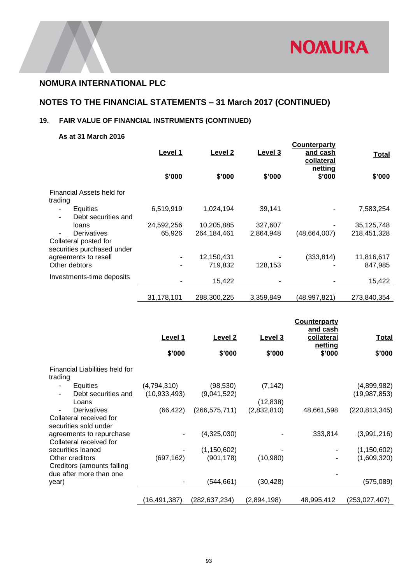

# **NOTES TO THE FINANCIAL STATEMENTS – 31 March 2017 (CONTINUED)**

## **19. FAIR VALUE OF FINANCIAL INSTRUMENTS (CONTINUED)**

### **As at 31 March 2016**

|                                                                    | Level 1    | Level 2       | Level 3   | Counterparty<br>and cash<br>collateral<br>netting | <b>Total</b> |
|--------------------------------------------------------------------|------------|---------------|-----------|---------------------------------------------------|--------------|
|                                                                    | \$'000     | \$'000        | \$'000    | \$'000                                            | \$'000       |
| Financial Assets held for<br>trading                               |            |               |           |                                                   |              |
| Equities<br>Debt securities and                                    | 6,519,919  | 1,024,194     | 39,141    |                                                   | 7,583,254    |
| loans                                                              | 24,592,256 | 10,205,885    | 327,607   |                                                   | 35,125,748   |
| Derivatives<br>Collateral posted for<br>securities purchased under | 65,926     | 264, 184, 461 | 2,864,948 | (48,664,007)                                      | 218,451,328  |
| agreements to resell                                               |            | 12,150,431    |           | (333, 814)                                        | 11,816,617   |
| Other debtors                                                      |            | 719.832       | 128,153   |                                                   | 847,985      |
| Investments-time deposits                                          |            | 15,422        |           |                                                   | 15,422       |
|                                                                    | 31,178,101 | 288,300,225   | 3,359,849 | (48,997,821)                                      | 273,840,354  |

|                                                                 | Level 1                       | <b>Level 2</b>              | Level 3                  | <b>Counterparty</b><br>and cash<br>collateral<br>netting | <u>Total</u>                  |
|-----------------------------------------------------------------|-------------------------------|-----------------------------|--------------------------|----------------------------------------------------------|-------------------------------|
|                                                                 | \$'000                        | \$'000                      | \$'000                   | \$'000                                                   | \$'000                        |
| Financial Liabilities held for<br>trading                       |                               |                             |                          |                                                          |                               |
| Equities<br>$\overline{\phantom{a}}$<br>Debt securities and     | (4,794,310)<br>(10, 933, 493) | (98, 530)<br>(9,041,522)    | (7, 142)                 |                                                          | (4,899,982)<br>(19, 987, 853) |
| Loans<br>Derivatives<br>Collateral received for                 | (66, 422)                     | (266, 575, 711)             | (12, 838)<br>(2,832,810) | 48,661,598                                               | (220, 813, 345)               |
| securities sold under<br>agreements to repurchase               |                               | (4,325,030)                 |                          | 333,814                                                  | (3,991,216)                   |
| Collateral received for<br>securities loaned<br>Other creditors | (697, 162)                    | (1, 150, 602)<br>(901, 178) | (10,980)                 |                                                          | (1, 150, 602)<br>(1,609,320)  |
| Creditors (amounts falling<br>due after more than one<br>year)  |                               | (544, 661)                  | (30, 428)                |                                                          | (575,089)                     |
|                                                                 | (16, 491, 387)                | (282, 637, 234)             | (2,894,198)              | 48,995,412                                               | (253,027,407)                 |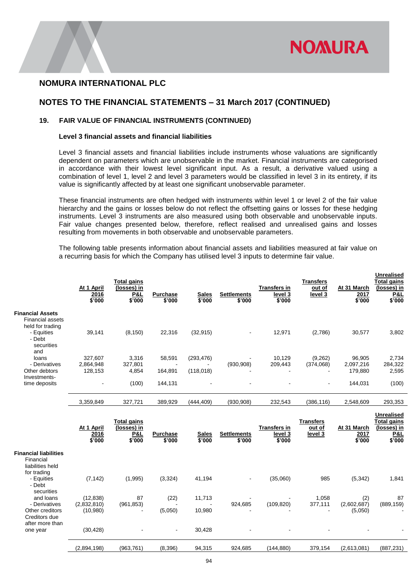

### **NOTES TO THE FINANCIAL STATEMENTS – 31 March 2017 (CONTINUED)**

### **19. FAIR VALUE OF FINANCIAL INSTRUMENTS (CONTINUED)**

#### **Level 3 financial assets and financial liabilities**

Level 3 financial assets and financial liabilities include instruments whose valuations are significantly dependent on parameters which are unobservable in the market. Financial instruments are categorised in accordance with their lowest level significant input. As a result, a derivative valued using a combination of level 1, level 2 and level 3 parameters would be classified in level 3 in its entirety, if its value is significantly affected by at least one significant unobservable parameter.

These financial instruments are often hedged with instruments within level 1 or level 2 of the fair value hierarchy and the gains or losses below do not reflect the offsetting gains or losses for these hedging instruments. Level 3 instruments are also measured using both observable and unobservable inputs. Fair value changes presented below, therefore, reflect realised and unrealised gains and losses resulting from movements in both observable and unobservable parameters.

The following table presents information about financial assets and liabilities measured at fair value on a recurring basis for which the Company has utilised level 3 inputs to determine fair value.

|                                                                        | At 1 April<br>2016<br>\$'000 | <b>Total gains</b><br>(losses) in<br>P&L<br>\$'000 | <b>Purchase</b><br>\$'000 | <b>Sales</b><br>\$'000 | <b>Settlements</b><br>\$'000 | <b>Transfers in</b><br>level 3<br>\$'000 | Transfers<br>out of<br>level 3 | At 31 March<br>2017<br>\$'000 | <b>Unrealised</b><br>Total gains<br>(losses) in<br><b>P&amp;L</b><br>\$'000 |
|------------------------------------------------------------------------|------------------------------|----------------------------------------------------|---------------------------|------------------------|------------------------------|------------------------------------------|--------------------------------|-------------------------------|-----------------------------------------------------------------------------|
| <b>Financial Assets</b><br><b>Financial assets</b><br>held for trading |                              |                                                    |                           |                        |                              |                                          |                                |                               |                                                                             |
| - Equities<br>- Debt<br>securities<br>and                              | 39,141                       | (8, 150)                                           | 22,316                    | (32, 915)              | ٠                            | 12,971                                   | (2,786)                        | 30,577                        | 3,802                                                                       |
| loans                                                                  | 327.607                      | 3,316                                              | 58,591                    | (293, 476)             |                              | 10,129                                   | (9,262)                        | 96,905                        | 2,734                                                                       |
| - Derivatives                                                          | 2,864,948                    | 327,801                                            |                           |                        | (930, 908)                   | 209,443                                  | (374,068)                      | 2,097,216                     | 284,322                                                                     |
| Other debtors<br>Investments-                                          | 128,153                      | 4,854                                              | 164,891                   | (118,018)              |                              |                                          |                                | 179,880                       | 2,595                                                                       |
| time deposits                                                          |                              | (100)                                              | 144,131                   |                        |                              |                                          | $\blacksquare$                 | 144,031                       | (100)                                                                       |
|                                                                        | 3,359,849                    | 327,721                                            | 389,929                   | (444, 409)             | (930, 908)                   | 232,543                                  | (386,116)                      | 2,548,609                     | 293,353                                                                     |
|                                                                        |                              |                                                    |                           |                        |                              |                                          |                                |                               |                                                                             |

|                                                                                    | At 1 April<br>2016<br>\$'000 | Total gains<br>(losses) in<br><u>P&amp;L</u><br>\$'000 | <b>Purchase</b><br>\$'000 | <b>Sales</b><br>\$'000 | <b>Settlements</b><br>\$'000 | <b>Transfers in</b><br>level 3<br>\$'000 | Transfers<br><u>out of</u><br>level 3 | At 31 March<br>2017<br>\$'000     | <b>Unrealised</b><br><b>Total gains</b><br>(losses) in<br><b>P&amp;L</b><br>\$'000 |
|------------------------------------------------------------------------------------|------------------------------|--------------------------------------------------------|---------------------------|------------------------|------------------------------|------------------------------------------|---------------------------------------|-----------------------------------|------------------------------------------------------------------------------------|
| <b>Financial liabilities</b><br>Financial                                          |                              |                                                        |                           |                        |                              |                                          |                                       |                                   |                                                                                    |
| liabilities held                                                                   |                              |                                                        |                           |                        |                              |                                          |                                       |                                   |                                                                                    |
| for trading                                                                        |                              |                                                        |                           |                        |                              |                                          |                                       |                                   |                                                                                    |
|                                                                                    |                              |                                                        |                           |                        | $\blacksquare$               |                                          |                                       |                                   | 1,841                                                                              |
|                                                                                    |                              |                                                        |                           |                        |                              |                                          |                                       |                                   |                                                                                    |
| and loans                                                                          | (12, 838)                    | 87                                                     | (22)                      | 11,713                 |                              |                                          | 1,058                                 | (2)                               | 87                                                                                 |
| - Derivatives                                                                      | (2,832,810)                  | (961, 853)                                             |                           |                        | 924,685                      | (109, 820)                               |                                       |                                   | (889, 159)                                                                         |
| Other creditors                                                                    | (10,980)                     |                                                        | (5,050)                   | 10,980                 |                              |                                          |                                       |                                   |                                                                                    |
|                                                                                    |                              |                                                        |                           |                        |                              |                                          |                                       |                                   |                                                                                    |
|                                                                                    |                              |                                                        | $\sim$                    |                        |                              |                                          |                                       |                                   |                                                                                    |
|                                                                                    |                              |                                                        |                           |                        |                              |                                          |                                       |                                   |                                                                                    |
|                                                                                    | (2,894,198)                  | (963,761)                                              | (8,396)                   | 94,315                 | 924,685                      | (144,880)                                | 379,154                               | (2,613,081)                       | (887, 231)                                                                         |
| - Equities<br>- Debt<br>securities<br>Creditors due<br>after more than<br>one year | (7, 142)<br>(30, 428)        | (1,995)                                                | (3,324)                   | 41,194<br>30,428       |                              | (35,060)                                 | 985<br>377,111                        | (5,342)<br>(2,602,687)<br>(5,050) |                                                                                    |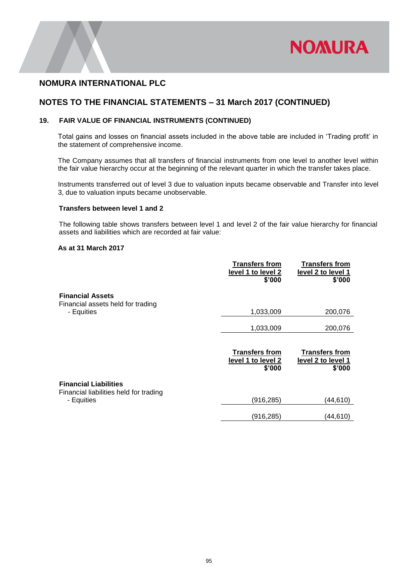

### **NOTES TO THE FINANCIAL STATEMENTS – 31 March 2017 (CONTINUED)**

### **19. FAIR VALUE OF FINANCIAL INSTRUMENTS (CONTINUED)**

Total gains and losses on financial assets included in the above table are included in 'Trading profit' in the statement of comprehensive income.

The Company assumes that all transfers of financial instruments from one level to another level within the fair value hierarchy occur at the beginning of the relevant quarter in which the transfer takes place.

Instruments transferred out of level 3 due to valuation inputs became observable and Transfer into level 3, due to valuation inputs became unobservable.

#### **Transfers between level 1 and 2**

The following table shows transfers between level 1 and level 2 of the fair value hierarchy for financial assets and liabilities which are recorded at fair value:

### **As at 31 March 2017**

|                                                                        | <b>Transfers from</b><br>level 1 to level 2<br>\$'000 | <b>Transfers from</b><br>level 2 to level 1<br>\$'000 |
|------------------------------------------------------------------------|-------------------------------------------------------|-------------------------------------------------------|
| <b>Financial Assets</b><br>Financial assets held for trading           |                                                       |                                                       |
| - Equities                                                             | 1,033,009                                             | 200,076                                               |
|                                                                        | 1,033,009                                             | 200,076                                               |
|                                                                        |                                                       |                                                       |
|                                                                        | <b>Transfers from</b><br>level 1 to level 2<br>\$'000 | <b>Transfers from</b><br>level 2 to level 1<br>\$'000 |
| <b>Financial Liabilities</b><br>Financial liabilities held for trading |                                                       |                                                       |
| - Equities                                                             | (916, 285)                                            | (44,610)                                              |
|                                                                        | (916, 285)                                            | (44,610)                                              |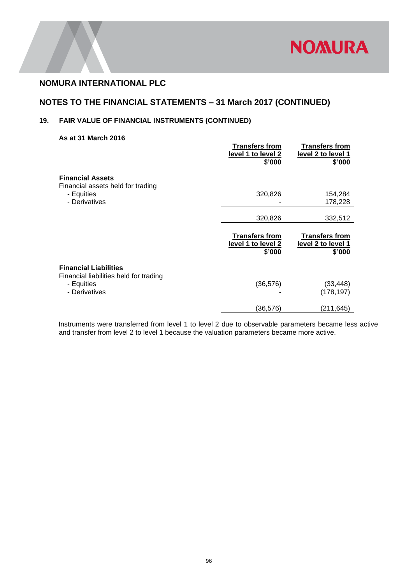

## **NOTES TO THE FINANCIAL STATEMENTS – 31 March 2017 (CONTINUED)**

### **19. FAIR VALUE OF FINANCIAL INSTRUMENTS (CONTINUED)**

#### **As at 31 March 2016**

|                                                                        | <b>Transfers from</b><br>level 1 to level 2<br>\$'000 | <b>Transfers from</b><br>level 2 to level 1<br>\$'000 |
|------------------------------------------------------------------------|-------------------------------------------------------|-------------------------------------------------------|
| <b>Financial Assets</b><br>Financial assets held for trading           |                                                       |                                                       |
| - Equities<br>- Derivatives                                            | 320,826                                               | 154,284<br>178,228                                    |
|                                                                        | 320,826                                               | 332,512                                               |
|                                                                        |                                                       |                                                       |
|                                                                        | <b>Transfers from</b><br>level 1 to level 2<br>\$'000 | <b>Transfers from</b><br>level 2 to level 1<br>\$'000 |
| <b>Financial Liabilities</b><br>Financial liabilities held for trading |                                                       |                                                       |
| - Equities<br>- Derivatives                                            | (36, 576)                                             | (33,448)<br>(178,197)                                 |

 Instruments were transferred from level 1 to level 2 due to observable parameters became less active and transfer from level 2 to level 1 because the valuation parameters became more active.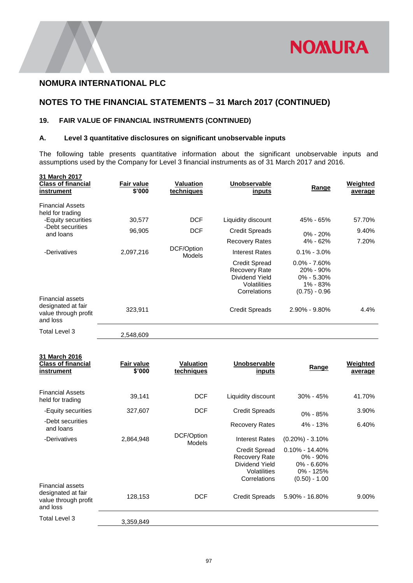

**31 March 2016**

## **NOTES TO THE FINANCIAL STATEMENTS – 31 March 2017 (CONTINUED)**

### **19. FAIR VALUE OF FINANCIAL INSTRUMENTS (CONTINUED)**

### **A. Level 3 quantitative disclosures on significant unobservable inputs**

The following table presents quantitative information about the significant unobservable inputs and assumptions used by the Company for Level 3 financial instruments as of 31 March 2017 and 2016.

| 31 March 2017<br><b>Class of financial</b><br>instrument                          | <b>Fair value</b><br>\$'000 | <b>Valuation</b><br>techniques | <b>Unobservable</b><br>inputs                                                                  | Range                                                                              | Weighted<br>average |
|-----------------------------------------------------------------------------------|-----------------------------|--------------------------------|------------------------------------------------------------------------------------------------|------------------------------------------------------------------------------------|---------------------|
| <b>Financial Assets</b><br>held for trading                                       |                             |                                |                                                                                                |                                                                                    |                     |
| -Equity securities                                                                | 30,577                      | <b>DCF</b>                     | Liquidity discount                                                                             | 45% - 65%                                                                          | 57.70%              |
| -Debt securities<br>and loans                                                     | 96,905                      | <b>DCF</b>                     | <b>Credit Spreads</b>                                                                          | $0\% - 20\%$                                                                       | 9.40%               |
|                                                                                   |                             |                                | <b>Recovery Rates</b>                                                                          | $4\% - 62\%$                                                                       | 7.20%               |
| -Derivatives                                                                      | 2,097,216                   | DCF/Option<br><b>Models</b>    | Interest Rates                                                                                 | $0.1\% - 3.0\%$                                                                    |                     |
|                                                                                   |                             |                                | <b>Credit Spread</b><br><b>Recovery Rate</b><br>Dividend Yield<br>Volatilities<br>Correlations | $0.0\% - 7.60\%$<br>$20\% - 90\%$<br>$0\% - 5.30\%$<br>1% - 83%<br>$(0.75) - 0.96$ |                     |
| <b>Financial assets</b><br>designated at fair<br>value through profit<br>and loss | 323,911                     |                                | <b>Credit Spreads</b>                                                                          | $2.90\% - 9.80\%$                                                                  | 4.4%                |
| Total Level 3                                                                     | 2,548,609                   |                                |                                                                                                |                                                                                    |                     |

| <b>Class of financial</b><br>instrument                                           | <b>Fair value</b><br>\$'000 | <b>Valuation</b><br>techniques | <b>Unobservable</b><br><u>inputs</u>                                                    | Range                                                                                | Weighted<br>average |
|-----------------------------------------------------------------------------------|-----------------------------|--------------------------------|-----------------------------------------------------------------------------------------|--------------------------------------------------------------------------------------|---------------------|
| <b>Financial Assets</b>                                                           |                             |                                |                                                                                         |                                                                                      |                     |
| held for trading                                                                  | 39,141                      | <b>DCF</b>                     | Liquidity discount                                                                      | $30\% - 45\%$                                                                        | 41.70%              |
| -Equity securities                                                                | 327,607                     | <b>DCF</b>                     | <b>Credit Spreads</b>                                                                   | $0\% - 85\%$                                                                         | 3.90%               |
| -Debt securities<br>and loans                                                     |                             |                                | <b>Recovery Rates</b>                                                                   | 4% - 13%                                                                             | 6.40%               |
| -Derivatives                                                                      | 2,864,948                   | DCF/Option<br>Models           | Interest Rates                                                                          | $(0.20\%) - 3.10\%$                                                                  |                     |
|                                                                                   |                             |                                | <b>Credit Spread</b><br>Recovery Rate<br>Dividend Yield<br>Volatilities<br>Correlations | $0.10\% - 14.40\%$<br>$0\% - 90\%$<br>$0\% - 6.60\%$<br>0% - 125%<br>$(0.50) - 1.00$ |                     |
| <b>Financial assets</b><br>designated at fair<br>value through profit<br>and loss | 128,153                     | <b>DCF</b>                     | Credit Spreads                                                                          | $5.90\% - 16.80\%$                                                                   | 9.00%               |
| Total Level 3                                                                     | 3,359,849                   |                                |                                                                                         |                                                                                      |                     |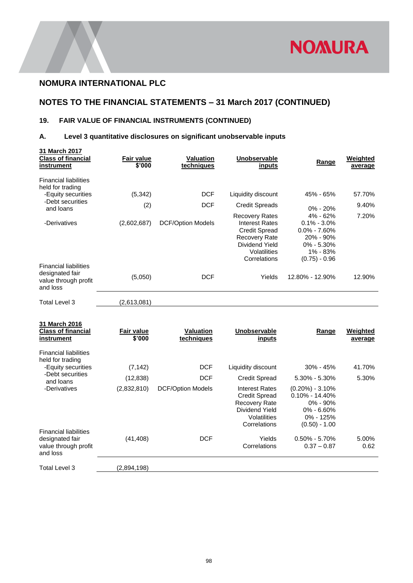

## **NOTES TO THE FINANCIAL STATEMENTS – 31 March 2017 (CONTINUED)**

## **19. FAIR VALUE OF FINANCIAL INSTRUMENTS (CONTINUED)**

### **A. Level 3 quantitative disclosures on significant unobservable inputs**

| 31 March 2017<br><b>Class of financial</b><br>instrument                                                | Fair value<br>\$'000        | <b>Valuation</b><br>techniques         | Unobservable<br>inputs                                                                                                                           | Range                                                                                                                            | <b>Weighted</b><br>average |
|---------------------------------------------------------------------------------------------------------|-----------------------------|----------------------------------------|--------------------------------------------------------------------------------------------------------------------------------------------------|----------------------------------------------------------------------------------------------------------------------------------|----------------------------|
| <b>Financial liabilities</b><br>held for trading<br>-Equity securities<br>-Debt securities<br>and loans | (5, 342)<br>(2)             | <b>DCF</b><br><b>DCF</b>               | Liquidity discount<br><b>Credit Spreads</b>                                                                                                      | 45% - 65%<br>$0\% - 20\%$                                                                                                        | 57.70%<br>9.40%            |
| -Derivatives                                                                                            | (2,602,687)                 | <b>DCF/Option Models</b>               | <b>Recovery Rates</b><br><b>Interest Rates</b><br><b>Credit Spread</b><br><b>Recovery Rate</b><br>Dividend Yield<br>Volatilities<br>Correlations | 4% - 62%<br>$0.1\% - 3.0\%$<br>$0.0\% - 7.60\%$<br>20% - 90%<br>$0\% - 5.30\%$<br>1% - 83%<br>$(0.75) - 0.96$                    | 7.20%                      |
| <b>Financial liabilities</b><br>designated fair<br>value through profit<br>and loss                     | (5,050)                     | <b>DCF</b>                             | Yields                                                                                                                                           | 12.80% - 12.90%                                                                                                                  | 12.90%                     |
| Total Level 3                                                                                           | (2,613,081)                 |                                        |                                                                                                                                                  |                                                                                                                                  |                            |
| 31 March 2016<br><b>Class of financial</b><br>instrument                                                | <b>Fair value</b><br>\$'000 | <b>Valuation</b><br>techniques         | Unobservable<br>inputs                                                                                                                           | <b>Range</b>                                                                                                                     | Weighted<br>average        |
| <b>Financial liabilities</b><br>held for trading                                                        |                             |                                        |                                                                                                                                                  |                                                                                                                                  |                            |
| -Equity securities<br>-Debt securities                                                                  | (7, 142)                    | <b>DCF</b>                             | Liquidity discount                                                                                                                               | 30% - 45%                                                                                                                        | 41.70%                     |
| and loans<br>-Derivatives                                                                               | (12, 838)<br>(2,832,810)    | <b>DCF</b><br><b>DCF/Option Models</b> | <b>Credit Spread</b><br><b>Interest Rates</b><br><b>Credit Spread</b><br><b>Recovery Rate</b><br>Dividend Yield<br>Volatilities<br>Correlations  | $5.30\% - 5.30\%$<br>$(0.20\%) - 3.10\%$<br>$0.10\% - 14.40\%$<br>$0\% - 90\%$<br>$0\% - 6.60\%$<br>0% - 125%<br>$(0.50) - 1.00$ | 5.30%                      |
| <b>Financial liabilities</b><br>designated fair<br>value through profit<br>and loss                     | (41, 408)                   | <b>DCF</b>                             | Yields<br>Correlations                                                                                                                           | $0.50\% - 5.70\%$<br>$0.37 - 0.87$                                                                                               | 5.00%<br>0.62              |

Total Level 3 (2,894,198)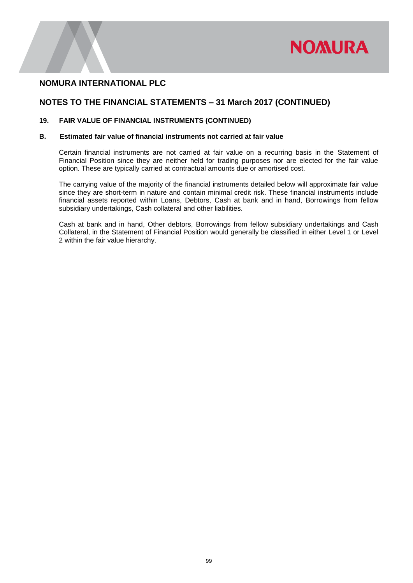

### **NOTES TO THE FINANCIAL STATEMENTS – 31 March 2017 (CONTINUED)**

### **19. FAIR VALUE OF FINANCIAL INSTRUMENTS (CONTINUED)**

### **B. Estimated fair value of financial instruments not carried at fair value**

Certain financial instruments are not carried at fair value on a recurring basis in the Statement of Financial Position since they are neither held for trading purposes nor are elected for the fair value option. These are typically carried at contractual amounts due or amortised cost.

The carrying value of the majority of the financial instruments detailed below will approximate fair value since they are short-term in nature and contain minimal credit risk. These financial instruments include financial assets reported within Loans, Debtors, Cash at bank and in hand, Borrowings from fellow subsidiary undertakings, Cash collateral and other liabilities.

Cash at bank and in hand, Other debtors, Borrowings from fellow subsidiary undertakings and Cash Collateral, in the Statement of Financial Position would generally be classified in either Level 1 or Level 2 within the fair value hierarchy.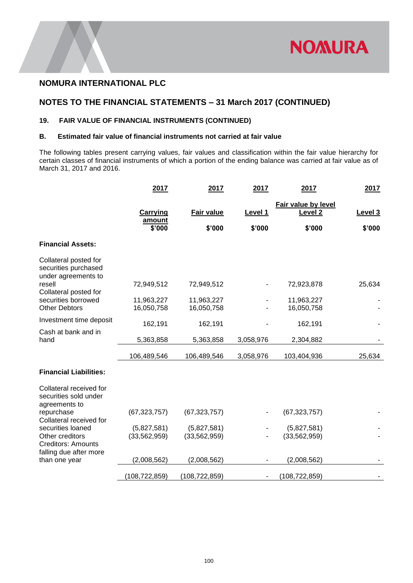

### **NOTES TO THE FINANCIAL STATEMENTS – 31 March 2017 (CONTINUED)**

### **19. FAIR VALUE OF FINANCIAL INSTRUMENTS (CONTINUED)**

### **B. Estimated fair value of financial instruments not carried at fair value**

The following tables present carrying values, fair values and classification within the fair value hierarchy for certain classes of financial instruments of which a portion of the ending balance was carried at fair value as of March 31, 2017 and 2016.

|                                                                        | 2017                         | 2017                        | 2017              | 2017                                                | 2017              |
|------------------------------------------------------------------------|------------------------------|-----------------------------|-------------------|-----------------------------------------------------|-------------------|
|                                                                        | Carrying<br>amount<br>\$'000 | <b>Fair value</b><br>\$'000 | Level 1<br>\$'000 | Fair value by level<br>Level <sub>2</sub><br>\$'000 | Level 3<br>\$'000 |
|                                                                        |                              |                             |                   |                                                     |                   |
| <b>Financial Assets:</b>                                               |                              |                             |                   |                                                     |                   |
| Collateral posted for<br>securities purchased<br>under agreements to   |                              |                             |                   |                                                     |                   |
| resell<br>Collateral posted for                                        | 72,949,512                   | 72,949,512                  |                   | 72,923,878                                          | 25,634            |
| securities borrowed<br><b>Other Debtors</b>                            | 11,963,227<br>16,050,758     | 11,963,227<br>16,050,758    |                   | 11,963,227<br>16,050,758                            |                   |
| Investment time deposit                                                | 162,191                      | 162,191                     |                   | 162,191                                             |                   |
| Cash at bank and in<br>hand                                            | 5,363,858                    | 5,363,858                   | 3,058,976         | 2,304,882                                           |                   |
|                                                                        | 106,489,546                  | 106,489,546                 | 3,058,976         | 103,404,936                                         | 25,634            |
| <b>Financial Liabilities:</b>                                          |                              |                             |                   |                                                     |                   |
| Collateral received for<br>securities sold under<br>agreements to      |                              |                             |                   |                                                     |                   |
| repurchase<br>Collateral received for                                  | (67, 323, 757)               | (67, 323, 757)              |                   | (67, 323, 757)                                      |                   |
| securities loaned                                                      | (5,827,581)                  | (5,827,581)                 |                   | (5,827,581)                                         |                   |
| Other creditors<br><b>Creditors: Amounts</b><br>falling due after more | (33, 562, 959)               | (33,562,959)                |                   | (33,562,959)                                        |                   |
| than one year                                                          | (2,008,562)                  | (2,008,562)                 |                   | (2,008,562)                                         |                   |
|                                                                        | (108, 722, 859)              | (108, 722, 859)             |                   | (108, 722, 859)                                     |                   |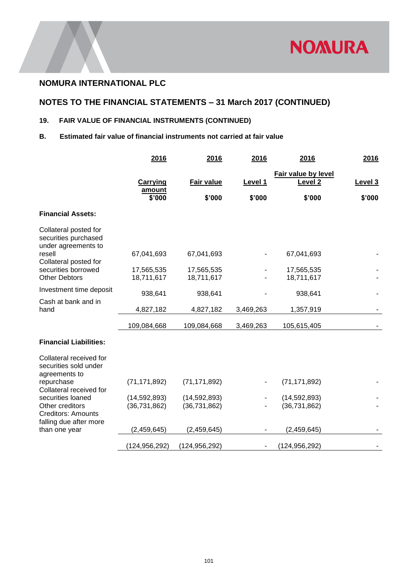

## **NOTES TO THE FINANCIAL STATEMENTS – 31 March 2017 (CONTINUED)**

## **19. FAIR VALUE OF FINANCIAL INSTRUMENTS (CONTINUED)**

### **B. Estimated fair value of financial instruments not carried at fair value**

|                                                                        | 2016                         | 2016                        | 2016              | 2016                                                | 2016              |
|------------------------------------------------------------------------|------------------------------|-----------------------------|-------------------|-----------------------------------------------------|-------------------|
|                                                                        | Carrying<br>amount<br>\$'000 | <b>Fair value</b><br>\$'000 | Level 1<br>\$'000 | Fair value by level<br>Level <sub>2</sub><br>\$'000 | Level 3<br>\$'000 |
| <b>Financial Assets:</b>                                               |                              |                             |                   |                                                     |                   |
| Collateral posted for<br>securities purchased<br>under agreements to   |                              |                             |                   |                                                     |                   |
| resell<br>Collateral posted for                                        | 67,041,693                   | 67,041,693                  |                   | 67,041,693                                          |                   |
| securities borrowed                                                    | 17,565,535                   | 17,565,535                  |                   | 17,565,535                                          |                   |
| <b>Other Debtors</b>                                                   | 18,711,617                   | 18,711,617                  |                   | 18,711,617                                          |                   |
| Investment time deposit                                                | 938,641                      | 938,641                     |                   | 938,641                                             |                   |
| Cash at bank and in<br>hand                                            | 4,827,182                    | 4,827,182                   | 3,469,263         | 1,357,919                                           |                   |
|                                                                        | 109,084,668                  | 109,084,668                 | 3,469,263         | 105,615,405                                         |                   |
| <b>Financial Liabilities:</b>                                          |                              |                             |                   |                                                     |                   |
| Collateral received for<br>securities sold under<br>agreements to      |                              |                             |                   |                                                     |                   |
| repurchase<br>Collateral received for                                  | (71, 171, 892)               | (71, 171, 892)              |                   | (71, 171, 892)                                      |                   |
| securities loaned                                                      | (14, 592, 893)               | (14, 592, 893)              |                   | (14,592,893)                                        |                   |
| Other creditors<br><b>Creditors: Amounts</b><br>falling due after more | (36, 731, 862)               | (36, 731, 862)              |                   | (36, 731, 862)                                      |                   |
| than one year                                                          | (2,459,645)                  | (2,459,645)                 |                   | (2,459,645)                                         |                   |
|                                                                        | (124,956,292)                | (124, 956, 292)             |                   | (124, 956, 292)                                     |                   |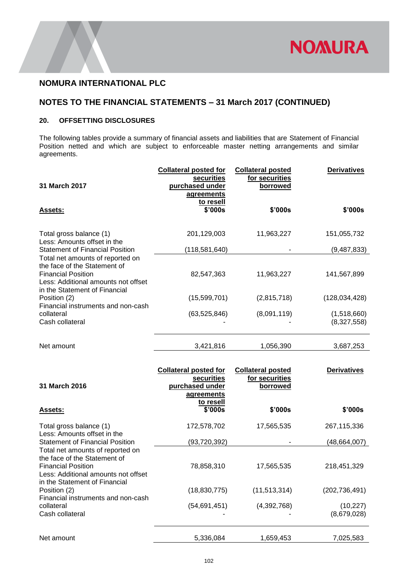

## **NOTES TO THE FINANCIAL STATEMENTS – 31 March 2017 (CONTINUED)**

### **20. OFFSETTING DISCLOSURES**

The following tables provide a summary of financial assets and liabilities that are Statement of Financial Position netted and which are subject to enforceable master netting arrangements and similar agreements.

| 31 March 2017                                                                                                                                                         | <b>Collateral posted for</b><br>securities<br>purchased under<br>agreements<br>to resell | <b>Collateral posted</b><br>for securities<br>borrowed | <b>Derivatives</b>         |
|-----------------------------------------------------------------------------------------------------------------------------------------------------------------------|------------------------------------------------------------------------------------------|--------------------------------------------------------|----------------------------|
| <b>Assets:</b>                                                                                                                                                        | \$'000s                                                                                  | \$'000s                                                | \$'000s                    |
| Total gross balance (1)<br>Less: Amounts offset in the<br><b>Statement of Financial Position</b>                                                                      | 201,129,003<br>(118,581,640)                                                             | 11,963,227                                             | 151,055,732<br>(9,487,833) |
| Total net amounts of reported on<br>the face of the Statement of<br><b>Financial Position</b><br>Less: Additional amounts not offset<br>in the Statement of Financial | 82,547,363                                                                               | 11,963,227                                             | 141,567,899                |
| Position (2)<br>Financial instruments and non-cash                                                                                                                    | (15,599,701)                                                                             | (2,815,718)                                            | (128, 034, 428)            |
| collateral<br>Cash collateral                                                                                                                                         | (63,525,846)                                                                             | (8,091,119)                                            | (1,518,660)<br>(8,327,558) |
| Net amount                                                                                                                                                            | 3,421,816                                                                                | 1,056,390                                              | 3,687,253                  |
|                                                                                                                                                                       |                                                                                          |                                                        |                            |
| 31 March 2016                                                                                                                                                         | <b>Collateral posted for</b><br>securities<br>purchased under<br>agreements              | <b>Collateral posted</b><br>for securities<br>borrowed | <b>Derivatives</b>         |
| <b>Assets:</b>                                                                                                                                                        | to resell<br>\$'000s                                                                     | \$'000s                                                | \$'000s                    |
| Total gross balance (1)                                                                                                                                               | 172,578,702                                                                              | 17,565,535                                             | 267,115,336                |
| Less: Amounts offset in the<br><b>Statement of Financial Position</b>                                                                                                 | (93, 720, 392)                                                                           |                                                        | (48,664,007)               |
| Total net amounts of reported on<br>the face of the Statement of<br><b>Financial Position</b><br>Less: Additional amounts not offset                                  | 78,858,310                                                                               | 17,565,535                                             | 218,451,329                |
| in the Statement of Financial<br>Position (2)                                                                                                                         | (18, 830, 775)                                                                           | (11, 513, 314)                                         | (202, 736, 491)            |
| Financial instruments and non-cash<br>collateral<br>Cash collateral                                                                                                   | (54, 691, 451)                                                                           | (4,392,768)                                            | (10, 227)<br>(8,679,028)   |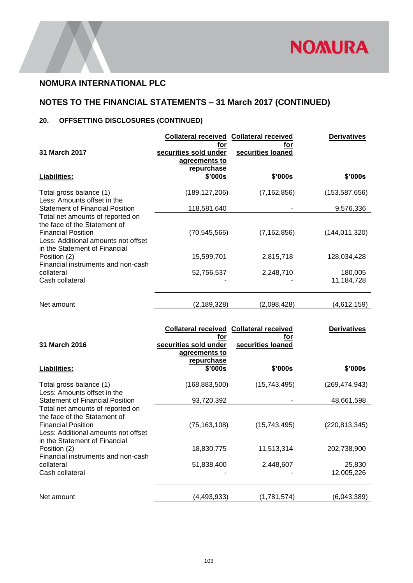

# **NOTES TO THE FINANCIAL STATEMENTS – 31 March 2017 (CONTINUED)**

## **20. OFFSETTING DISCLOSURES (CONTINUED)**

| 31 March 2017                                                                                                                                                         | <b>Collateral received Collateral received</b><br>tor<br>securities sold under<br>agreements to | for<br>securities loaned | <b>Derivatives</b>    |
|-----------------------------------------------------------------------------------------------------------------------------------------------------------------------|-------------------------------------------------------------------------------------------------|--------------------------|-----------------------|
| Liabilities:                                                                                                                                                          | repurchase<br>\$'000s                                                                           | \$'000s                  | \$'000s               |
| Total gross balance (1)<br>Less: Amounts offset in the                                                                                                                | (189, 127, 206)                                                                                 | (7, 162, 856)            | (153, 587, 656)       |
| <b>Statement of Financial Position</b>                                                                                                                                | 118,581,640                                                                                     |                          | 9,576,336             |
| Total net amounts of reported on<br>the face of the Statement of<br><b>Financial Position</b><br>Less: Additional amounts not offset<br>in the Statement of Financial | (70, 545, 566)                                                                                  | (7, 162, 856)            | (144, 011, 320)       |
| Position (2)<br>Financial instruments and non-cash                                                                                                                    | 15,599,701                                                                                      | 2,815,718                | 128,034,428           |
| collateral<br>Cash collateral                                                                                                                                         | 52,756,537                                                                                      | 2,248,710                | 180,005<br>11,184,728 |
| Net amount                                                                                                                                                            | (2, 189, 328)                                                                                   | (2,098,428)              | (4,612,159)           |

|                                                                                                                            | <b>Collateral received Collateral received</b><br>for | for               | <b>Derivatives</b>   |
|----------------------------------------------------------------------------------------------------------------------------|-------------------------------------------------------|-------------------|----------------------|
| 31 March 2016                                                                                                              | securities sold under                                 | securities loaned |                      |
|                                                                                                                            | agreements to<br>repurchase                           |                   |                      |
| Liabilities:                                                                                                               | \$'000s                                               | \$'000s           | \$'000s              |
| Total gross balance (1)<br>Less: Amounts offset in the                                                                     | (168, 883, 500)                                       | (15,743,495)      | (269, 474, 943)      |
| <b>Statement of Financial Position</b>                                                                                     | 93,720,392                                            |                   | 48,661,598           |
| Total net amounts of reported on<br>the face of the Statement of<br><b>Financial Position</b>                              | (75, 163, 108)                                        | (15,743,495)      | (220, 813, 345)      |
| Less: Additional amounts not offset<br>in the Statement of Financial<br>Position (2)<br>Financial instruments and non-cash | 18,830,775                                            | 11,513,314        | 202,738,900          |
| collateral<br>Cash collateral                                                                                              | 51,838,400                                            | 2,448,607         | 25,830<br>12,005,226 |
| Net amount                                                                                                                 | (4,493,933)                                           | (1,781,574)       | (6,043,389)          |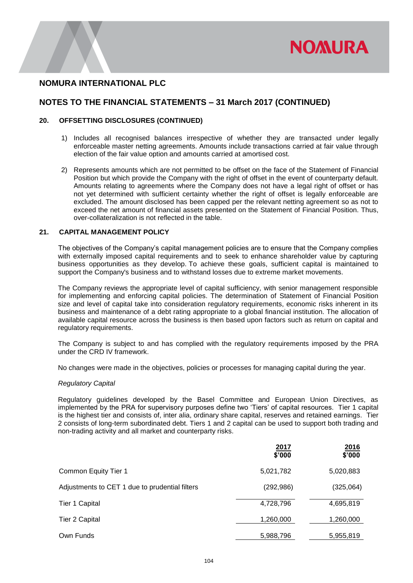

### **NOTES TO THE FINANCIAL STATEMENTS – 31 March 2017 (CONTINUED)**

#### **20. OFFSETTING DISCLOSURES (CONTINUED)**

- 1) Includes all recognised balances irrespective of whether they are transacted under legally enforceable master netting agreements. Amounts include transactions carried at fair value through election of the fair value option and amounts carried at amortised cost.
- 2) Represents amounts which are not permitted to be offset on the face of the Statement of Financial Position but which provide the Company with the right of offset in the event of counterparty default. Amounts relating to agreements where the Company does not have a legal right of offset or has not yet determined with sufficient certainty whether the right of offset is legally enforceable are excluded. The amount disclosed has been capped per the relevant netting agreement so as not to exceed the net amount of financial assets presented on the Statement of Financial Position. Thus, over-collateralization is not reflected in the table.

#### **21. CAPITAL MANAGEMENT POLICY**

The objectives of the Company's capital management policies are to ensure that the Company complies with externally imposed capital requirements and to seek to enhance shareholder value by capturing business opportunities as they develop. To achieve these goals, sufficient capital is maintained to support the Company's business and to withstand losses due to extreme market movements.

The Company reviews the appropriate level of capital sufficiency, with senior management responsible for implementing and enforcing capital policies. The determination of Statement of Financial Position size and level of capital take into consideration regulatory requirements, economic risks inherent in its business and maintenance of a debt rating appropriate to a global financial institution. The allocation of available capital resource across the business is then based upon factors such as return on capital and regulatory requirements.

The Company is subject to and has complied with the regulatory requirements imposed by the PRA under the CRD IV framework.

No changes were made in the objectives, policies or processes for managing capital during the year.

#### *Regulatory Capital*

Regulatory guidelines developed by the Basel Committee and European Union Directives, as implemented by the PRA for supervisory purposes define two 'Tiers' of capital resources. Tier 1 capital is the highest tier and consists of, inter alia, ordinary share capital, reserves and retained earnings. Tier 2 consists of long-term subordinated debt. Tiers 1 and 2 capital can be used to support both trading and non-trading activity and all market and counterparty risks.

|                                                | 2017<br>\$'000 | <u>2016</u><br>\$'000 |
|------------------------------------------------|----------------|-----------------------|
| Common Equity Tier 1                           | 5,021,782      | 5,020,883             |
| Adjustments to CET 1 due to prudential filters | (292, 986)     | (325,064)             |
| Tier 1 Capital                                 | 4,728,796      | 4,695,819             |
| Tier 2 Capital                                 | 1,260,000      | 1,260,000             |
| Own Funds                                      | 5,988,796      | 5,955,819             |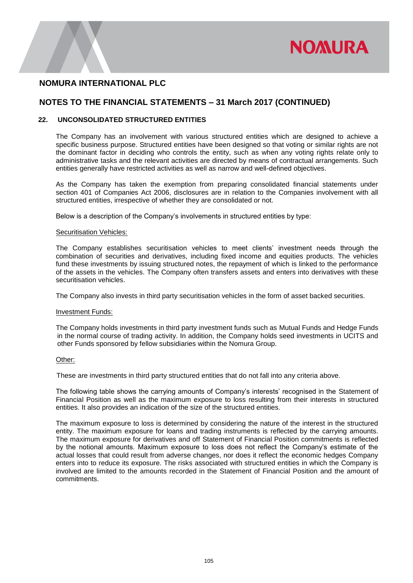

### **NOTES TO THE FINANCIAL STATEMENTS – 31 March 2017 (CONTINUED)**

### **22. UNCONSOLIDATED STRUCTURED ENTITIES**

The Company has an involvement with various structured entities which are designed to achieve a specific business purpose. Structured entities have been designed so that voting or similar rights are not the dominant factor in deciding who controls the entity, such as when any voting rights relate only to administrative tasks and the relevant activities are directed by means of contractual arrangements. Such entities generally have restricted activities as well as narrow and well-defined objectives.

As the Company has taken the exemption from preparing consolidated financial statements under section 401 of Companies Act 2006, disclosures are in relation to the Companies involvement with all structured entities, irrespective of whether they are consolidated or not.

Below is a description of the Company's involvements in structured entities by type:

#### Securitisation Vehicles:

The Company establishes securitisation vehicles to meet clients' investment needs through the combination of securities and derivatives, including fixed income and equities products. The vehicles fund these investments by issuing structured notes, the repayment of which is linked to the performance of the assets in the vehicles. The Company often transfers assets and enters into derivatives with these securitisation vehicles.

The Company also invests in third party securitisation vehicles in the form of asset backed securities.

#### Investment Funds:

The Company holds investments in third party investment funds such as Mutual Funds and Hedge Funds in the normal course of trading activity. In addition, the Company holds seed investments in UCITS and other Funds sponsored by fellow subsidiaries within the Nomura Group.

#### Other:

These are investments in third party structured entities that do not fall into any criteria above.

The following table shows the carrying amounts of Company's interests' recognised in the Statement of Financial Position as well as the maximum exposure to loss resulting from their interests in structured entities. It also provides an indication of the size of the structured entities.

The maximum exposure to loss is determined by considering the nature of the interest in the structured entity. The maximum exposure for loans and trading instruments is reflected by the carrying amounts. The maximum exposure for derivatives and off Statement of Financial Position commitments is reflected by the notional amounts. Maximum exposure to loss does not reflect the Company's estimate of the actual losses that could result from adverse changes, nor does it reflect the economic hedges Company enters into to reduce its exposure. The risks associated with structured entities in which the Company is involved are limited to the amounts recorded in the Statement of Financial Position and the amount of commitments.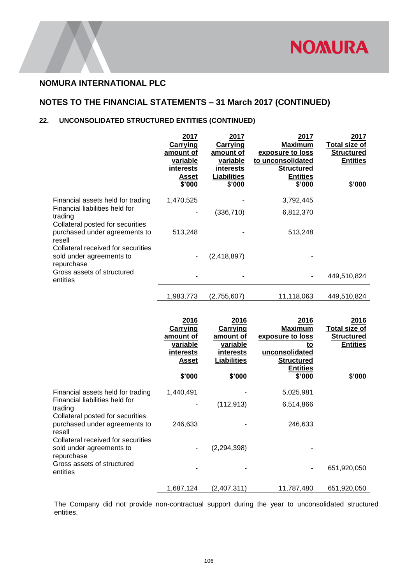

## **NOTES TO THE FINANCIAL STATEMENTS – 31 March 2017 (CONTINUED)**

### **22. UNCONSOLIDATED STRUCTURED ENTITIES (CONTINUED)**

|                                                                                        | 2017<br>Carrying<br>amount of<br>variable<br>interests<br>Asset<br>\$'000 | <u>2017</u><br>Carrying<br>amount of<br>variable<br>interests<br>Liabilities<br>\$'000 | 2017<br>Maximum<br>exposure to loss<br>to unconsolidated<br><b>Structured</b><br><b>Entities</b><br>\$'000 | <u> 2017 </u><br>Total size of<br><b>Structured</b><br><b>Entities</b><br>\$'000 |
|----------------------------------------------------------------------------------------|---------------------------------------------------------------------------|----------------------------------------------------------------------------------------|------------------------------------------------------------------------------------------------------------|----------------------------------------------------------------------------------|
| Financial assets held for trading<br>Financial liabilities held for                    | 1,470,525<br>۰                                                            | (336, 710)                                                                             | 3,792,445<br>6,812,370                                                                                     |                                                                                  |
| trading<br>Collateral posted for securities<br>purchased under agreements to<br>resell | 513,248                                                                   |                                                                                        | 513,248                                                                                                    |                                                                                  |
| Collateral received for securities<br>sold under agreements to<br>repurchase           | ٠                                                                         | (2,418,897)                                                                            |                                                                                                            |                                                                                  |
| Gross assets of structured<br>entities                                                 |                                                                           |                                                                                        |                                                                                                            | 449,510,824                                                                      |
|                                                                                        | 1,983,773                                                                 | (2,755,607)                                                                            | 11,118,063                                                                                                 | 449,510,824                                                                      |

|                                                                              | 2016<br><b>Carrying</b><br>amount of<br>variable<br>interests<br>Asset | 2016<br><b>Carrying</b><br>amount of<br>variable<br>interests<br>Liabilities | 2016<br><b>Maximum</b><br>exposure to loss<br>to<br>unconsolidated<br><b>Structured</b><br><b>Entities</b> | 2016<br>Total size of<br><b>Structured</b><br><b>Entities</b> |
|------------------------------------------------------------------------------|------------------------------------------------------------------------|------------------------------------------------------------------------------|------------------------------------------------------------------------------------------------------------|---------------------------------------------------------------|
|                                                                              | \$'000                                                                 | \$'000                                                                       | \$'000                                                                                                     | \$'000                                                        |
| Financial assets held for trading                                            | 1,440,491                                                              |                                                                              | 5,025,981                                                                                                  |                                                               |
| Financial liabilities held for<br>trading                                    |                                                                        | (112, 913)                                                                   | 6,514,866                                                                                                  |                                                               |
| Collateral posted for securities<br>purchased under agreements to<br>resell  | 246,633                                                                |                                                                              | 246,633                                                                                                    |                                                               |
| Collateral received for securities<br>sold under agreements to<br>repurchase |                                                                        | (2, 294, 398)                                                                |                                                                                                            |                                                               |
| Gross assets of structured<br>entities                                       |                                                                        |                                                                              |                                                                                                            | 651,920,050                                                   |
|                                                                              | 1,687,124                                                              | (2,407,311)                                                                  | 11,787,480                                                                                                 | 651,920,050                                                   |

The Company did not provide non-contractual support during the year to unconsolidated structured entities.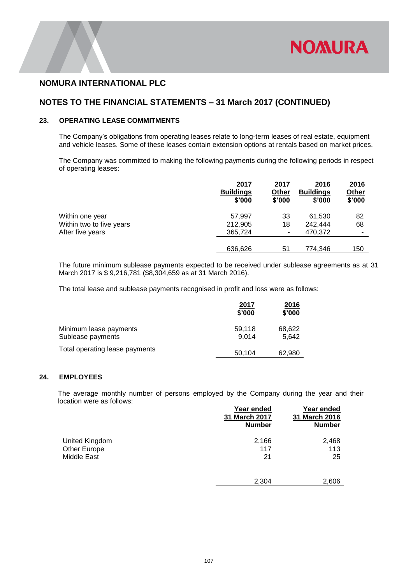

### **NOTES TO THE FINANCIAL STATEMENTS – 31 March 2017 (CONTINUED)**

### **23. OPERATING LEASE COMMITMENTS**

The Company's obligations from operating leases relate to long-term leases of real estate, equipment and vehicle leases. Some of these leases contain extension options at rentals based on market prices.

The Company was committed to making the following payments during the following periods in respect of operating leases:

|                          | 2017<br><b>Buildings</b><br>\$'000 | 2017<br>Other<br>\$'000 | 2016<br><b>Buildings</b><br>\$'000 | 2016<br>Other<br>\$'000 |
|--------------------------|------------------------------------|-------------------------|------------------------------------|-------------------------|
| Within one year          | 57,997                             | 33                      | 61,530                             | 82                      |
| Within two to five years | 212,905                            | 18                      | 242.444                            | 68                      |
| After five years         | 365,724                            | ۰                       | 470,372                            |                         |
|                          |                                    |                         |                                    |                         |
|                          | 636,626                            | 51                      | 774,346                            | 150                     |

The future minimum sublease payments expected to be received under sublease agreements as at 31 March 2017 is \$ 9,216,781 (\$8,304,659 as at 31 March 2016).

The total lease and sublease payments recognised in profit and loss were as follows:

|                                             | 2017<br>\$'000  | <u> 2016</u><br>\$'000 |
|---------------------------------------------|-----------------|------------------------|
| Minimum lease payments<br>Sublease payments | 59.118<br>9.014 | 68,622<br>5,642        |
| Total operating lease payments              | 50,104          | 62,980                 |

### **24. EMPLOYEES**

The average monthly number of persons employed by the Company during the year and their location were as follows:

|                | Year ended<br>31 March 2017<br><b>Number</b> | Year ended<br>31 March 2016<br><b>Number</b> |
|----------------|----------------------------------------------|----------------------------------------------|
| United Kingdom | 2,166                                        | 2,468                                        |
| Other Europe   | 117                                          | 113                                          |
| Middle East    | 21                                           | 25                                           |
|                | 2,304                                        | 2,606                                        |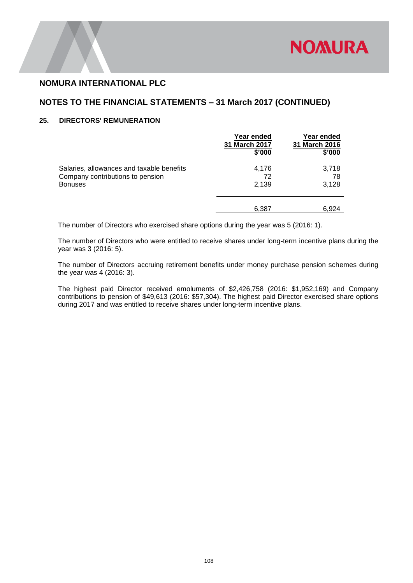

### **NOTES TO THE FINANCIAL STATEMENTS – 31 March 2017 (CONTINUED)**

### **25. DIRECTORS' REMUNERATION**

|                                                    | Year ended<br>31 March 2017<br>\$'000 | Year ended<br>31 March 2016<br>\$'000 |
|----------------------------------------------------|---------------------------------------|---------------------------------------|
| Salaries, allowances and taxable benefits          | 4,176                                 | 3,718                                 |
| Company contributions to pension<br><b>Bonuses</b> | 72<br>2.139                           | 78<br>3,128                           |
|                                                    | 6,387                                 | 6.924                                 |

The number of Directors who exercised share options during the year was 5 (2016: 1).

The number of Directors who were entitled to receive shares under long-term incentive plans during the year was 3 (2016: 5).

The number of Directors accruing retirement benefits under money purchase pension schemes during the year was 4 (2016: 3).

The highest paid Director received emoluments of \$2,426,758 (2016: \$1,952,169) and Company contributions to pension of \$49,613 (2016: \$57,304). The highest paid Director exercised share options during 2017 and was entitled to receive shares under long-term incentive plans.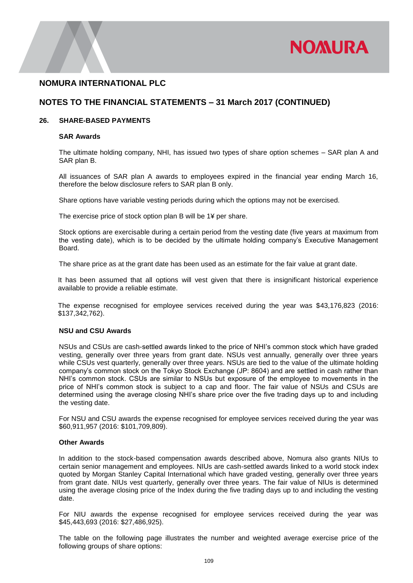

### **NOTES TO THE FINANCIAL STATEMENTS – 31 March 2017 (CONTINUED)**

#### **26. SHARE-BASED PAYMENTS**

#### **SAR Awards**

The ultimate holding company, NHI, has issued two types of share option schemes – SAR plan A and SAR plan B.

All issuances of SAR plan A awards to employees expired in the financial year ending March 16, therefore the below disclosure refers to SAR plan B only.

Share options have variable vesting periods during which the options may not be exercised.

The exercise price of stock option plan B will be 1¥ per share.

Stock options are exercisable during a certain period from the vesting date (five years at maximum from the vesting date), which is to be decided by the ultimate holding company's Executive Management Board.

The share price as at the grant date has been used as an estimate for the fair value at grant date.

It has been assumed that all options will vest given that there is insignificant historical experience available to provide a reliable estimate.

The expense recognised for employee services received during the year was \$43,176,823 (2016: \$137,342,762).

### **NSU and CSU Awards**

NSUs and CSUs are cash-settled awards linked to the price of NHI's common stock which have graded vesting, generally over three years from grant date. NSUs vest annually, generally over three years while CSUs vest quarterly, generally over three years. NSUs are tied to the value of the ultimate holding company's common stock on the Tokyo Stock Exchange (JP: 8604) and are settled in cash rather than NHI's common stock. CSUs are similar to NSUs but exposure of the employee to movements in the price of NHI's common stock is subject to a cap and floor. The fair value of NSUs and CSUs are determined using the average closing NHI's share price over the five trading days up to and including the vesting date.

For NSU and CSU awards the expense recognised for employee services received during the year was \$60,911,957 (2016: \$101,709,809).

### **Other Awards**

In addition to the stock-based compensation awards described above, Nomura also grants NIUs to certain senior management and employees. NIUs are cash-settled awards linked to a world stock index quoted by Morgan Stanley Capital International which have graded vesting, generally over three years from grant date. NIUs vest quarterly, generally over three years. The fair value of NIUs is determined using the average closing price of the Index during the five trading days up to and including the vesting date.

For NIU awards the expense recognised for employee services received during the year was \$45,443,693 (2016: \$27,486,925).

The table on the following page illustrates the number and weighted average exercise price of the following groups of share options: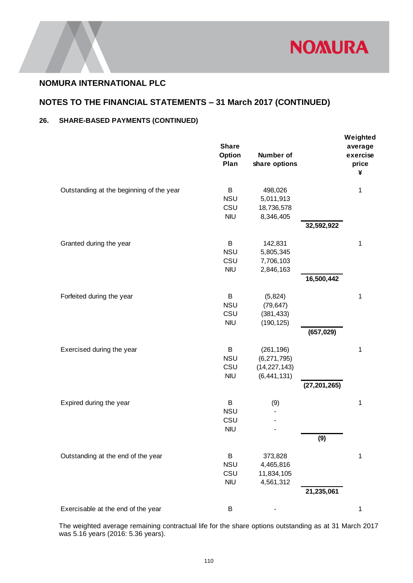

# **NOTES TO THE FINANCIAL STATEMENTS – 31 March 2017 (CONTINUED)**

## **26. SHARE-BASED PAYMENTS (CONTINUED)**

|                                                                                                                                             | <b>Share</b><br>Option<br>Plan       | <b>Number of</b><br>share options                              |                | Weighted<br>average<br>exercise<br>price<br>¥ |
|---------------------------------------------------------------------------------------------------------------------------------------------|--------------------------------------|----------------------------------------------------------------|----------------|-----------------------------------------------|
| Outstanding at the beginning of the year                                                                                                    | B<br><b>NSU</b><br>CSU<br><b>NIU</b> | 498,026<br>5,011,913<br>18,736,578<br>8,346,405                | 32,592,922     | 1                                             |
| Granted during the year                                                                                                                     | B<br><b>NSU</b><br>CSU<br><b>NIU</b> | 142,831<br>5,805,345<br>7,706,103<br>2,846,163                 | 16,500,442     | 1                                             |
| Forfeited during the year                                                                                                                   | B<br><b>NSU</b><br>CSU<br><b>NIU</b> | (5,824)<br>(79, 647)<br>(381, 433)<br>(190, 125)               | (657, 029)     | 1                                             |
| Exercised during the year                                                                                                                   | B<br><b>NSU</b><br>CSU<br><b>NIU</b> | (261, 196)<br>(6, 271, 795)<br>(14, 227, 143)<br>(6, 441, 131) | (27, 201, 265) | 1                                             |
| Expired during the year                                                                                                                     | B<br><b>NSU</b><br>CSU<br><b>NIU</b> | (9)                                                            | (9)            | 1                                             |
| Outstanding at the end of the year                                                                                                          | B<br><b>NSU</b><br>CSU<br><b>NIU</b> | 373,828<br>4,465,816<br>11,834,105<br>4,561,312                | 21,235,061     | 1                                             |
| Exercisable at the end of the year                                                                                                          | B                                    |                                                                |                | 1                                             |
| The weighted average remaining contractual life for the share options outstanding as at 31 March 2017<br>was 5.16 years (2016: 5.36 years). |                                      |                                                                |                |                                               |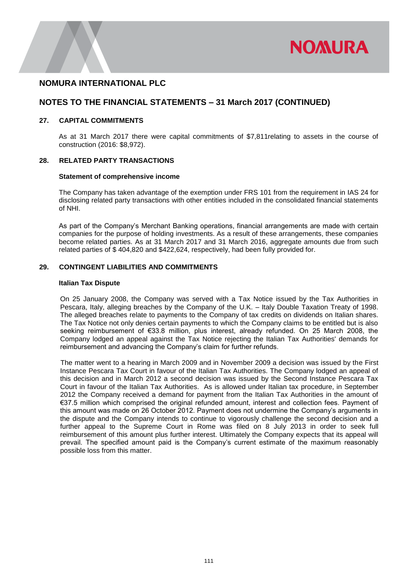

### **NOTES TO THE FINANCIAL STATEMENTS – 31 March 2017 (CONTINUED)**

### **27. CAPITAL COMMITMENTS**

As at 31 March 2017 there were capital commitments of \$7,811relating to assets in the course of construction (2016: \$8,972).

#### **28. RELATED PARTY TRANSACTIONS**

#### **Statement of comprehensive income**

The Company has taken advantage of the exemption under FRS 101 from the requirement in IAS 24 for disclosing related party transactions with other entities included in the consolidated financial statements of NHI.

As part of the Company's Merchant Banking operations, financial arrangements are made with certain companies for the purpose of holding investments. As a result of these arrangements, these companies become related parties. As at 31 March 2017 and 31 March 2016, aggregate amounts due from such related parties of \$ 404,820 and \$422,624, respectively, had been fully provided for.

### **29. CONTINGENT LIABILITIES AND COMMITMENTS**

#### **Italian Tax Dispute**

On 25 January 2008, the Company was served with a Tax Notice issued by the Tax Authorities in Pescara, Italy, alleging breaches by the Company of the U.K. – Italy Double Taxation Treaty of 1998. The alleged breaches relate to payments to the Company of tax credits on dividends on Italian shares. The Tax Notice not only denies certain payments to which the Company claims to be entitled but is also seeking reimbursement of €33.8 million, plus interest, already refunded. On 25 March 2008, the Company lodged an appeal against the Tax Notice rejecting the Italian Tax Authorities' demands for reimbursement and advancing the Company's claim for further refunds.

 The matter went to a hearing in March 2009 and in November 2009 a decision was issued by the First Instance Pescara Tax Court in favour of the Italian Tax Authorities. The Company lodged an appeal of this decision and in March 2012 a second decision was issued by the Second Instance Pescara Tax Court in favour of the Italian Tax Authorities. As is allowed under Italian tax procedure, in September 2012 the Company received a demand for payment from the Italian Tax Authorities in the amount of €37.5 million which comprised the original refunded amount, interest and collection fees. Payment of this amount was made on 26 October 2012. Payment does not undermine the Company's arguments in the dispute and the Company intends to continue to vigorously challenge the second decision and a further appeal to the Supreme Court in Rome was filed on 8 July 2013 in order to seek full reimbursement of this amount plus further interest. Ultimately the Company expects that its appeal will prevail. The specified amount paid is the Company's current estimate of the maximum reasonably possible loss from this matter.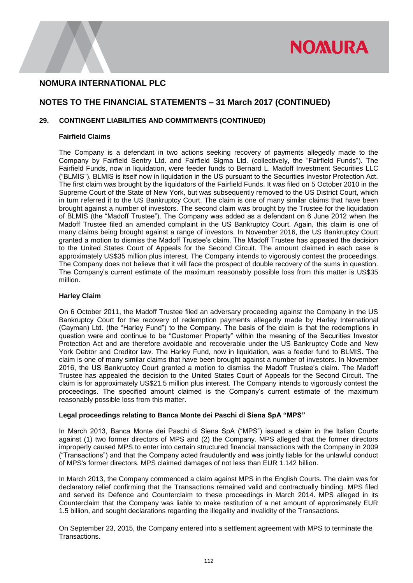

## **NOTES TO THE FINANCIAL STATEMENTS – 31 March 2017 (CONTINUED)**

### **29. CONTINGENT LIABILITIES AND COMMITMENTS (CONTINUED)**

#### **Fairfield Claims**

The Company is a defendant in two actions seeking recovery of payments allegedly made to the Company by Fairfield Sentry Ltd. and Fairfield Sigma Ltd. (collectively, the "Fairfield Funds"). The Fairfield Funds, now in liquidation, were feeder funds to Bernard L. Madoff Investment Securities LLC ("BLMIS"). BLMIS is itself now in liquidation in the US pursuant to the Securities Investor Protection Act. The first claim was brought by the liquidators of the Fairfield Funds. It was filed on 5 October 2010 in the Supreme Court of the State of New York, but was subsequently removed to the US District Court, which in turn referred it to the US Bankruptcy Court. The claim is one of many similar claims that have been brought against a number of investors. The second claim was brought by the Trustee for the liquidation of BLMIS (the "Madoff Trustee"). The Company was added as a defendant on 6 June 2012 when the Madoff Trustee filed an amended complaint in the US Bankruptcy Court. Again, this claim is one of many claims being brought against a range of investors. In November 2016, the US Bankruptcy Court granted a motion to dismiss the Madoff Trustee's claim. The Madoff Trustee has appealed the decision to the United States Court of Appeals for the Second Circuit. The amount claimed in each case is approximately US\$35 million plus interest. The Company intends to vigorously contest the proceedings. The Company does not believe that it will face the prospect of double recovery of the sums in question. The Company's current estimate of the maximum reasonably possible loss from this matter is US\$35 million.

### **Harley Claim**

On 6 October 2011, the Madoff Trustee filed an adversary proceeding against the Company in the US Bankruptcy Court for the recovery of redemption payments allegedly made by Harley International (Cayman) Ltd. (the "Harley Fund") to the Company. The basis of the claim is that the redemptions in question were and continue to be "Customer Property" within the meaning of the Securities Investor Protection Act and are therefore avoidable and recoverable under the US Bankruptcy Code and New York Debtor and Creditor law. The Harley Fund, now in liquidation, was a feeder fund to BLMIS. The claim is one of many similar claims that have been brought against a number of investors. In November 2016, the US Bankruptcy Court granted a motion to dismiss the Madoff Trustee's claim. The Madoff Trustee has appealed the decision to the United States Court of Appeals for the Second Circuit. The claim is for approximately US\$21.5 million plus interest. The Company intends to vigorously contest the proceedings. The specified amount claimed is the Company's current estimate of the maximum reasonably possible loss from this matter.

### **Legal proceedings relating to Banca Monte dei Paschi di Siena SpA "MPS"**

In March 2013, Banca Monte dei Paschi di Siena SpA ("MPS") issued a claim in the Italian Courts against (1) two former directors of MPS and (2) the Company. MPS alleged that the former directors improperly caused MPS to enter into certain structured financial transactions with the Company in 2009 ("Transactions") and that the Company acted fraudulently and was jointly liable for the unlawful conduct of MPS's former directors. MPS claimed damages of not less than EUR 1.142 billion.

In March 2013, the Company commenced a claim against MPS in the English Courts. The claim was for declaratory relief confirming that the Transactions remained valid and contractually binding. MPS filed and served its Defence and Counterclaim to these proceedings in March 2014. MPS alleged in its Counterclaim that the Company was liable to make restitution of a net amount of approximately EUR 1.5 billion, and sought declarations regarding the illegality and invalidity of the Transactions.

On September 23, 2015, the Company entered into a settlement agreement with MPS to terminate the Transactions.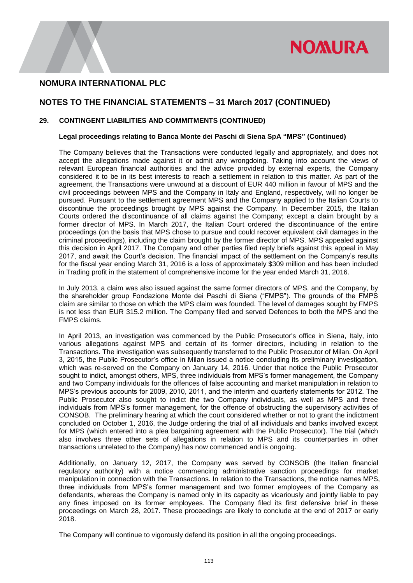

## **NOTES TO THE FINANCIAL STATEMENTS – 31 March 2017 (CONTINUED)**

### **29. CONTINGENT LIABILITIES AND COMMITMENTS (CONTINUED)**

### **Legal proceedings relating to Banca Monte dei Paschi di Siena SpA "MPS" (Continued)**

The Company believes that the Transactions were conducted legally and appropriately, and does not accept the allegations made against it or admit any wrongdoing. Taking into account the views of relevant European financial authorities and the advice provided by external experts, the Company considered it to be in its best interests to reach a settlement in relation to this matter. As part of the agreement, the Transactions were unwound at a discount of EUR 440 million in favour of MPS and the civil proceedings between MPS and the Company in Italy and England, respectively, will no longer be pursued. Pursuant to the settlement agreement MPS and the Company applied to the Italian Courts to discontinue the proceedings brought by MPS against the Company. In December 2015, the Italian Courts ordered the discontinuance of all claims against the Company; except a claim brought by a former director of MPS. In March 2017, the Italian Court ordered the discontinuance of the entire proceedings (on the basis that MPS chose to pursue and could recover equivalent civil damages in the criminal proceedings), including the claim brought by the former director of MPS. MPS appealed against this decision in April 2017. The Company and other parties filed reply briefs against this appeal in May 2017, and await the Court's decision. The financial impact of the settlement on the Company's results for the fiscal year ending March 31, 2016 is a loss of approximately \$309 million and has been included in Trading profit in the statement of comprehensive income for the year ended March 31, 2016.

In July 2013, a claim was also issued against the same former directors of MPS, and the Company, by the shareholder group Fondazione Monte dei Paschi di Siena ("FMPS"). The grounds of the FMPS claim are similar to those on which the MPS claim was founded. The level of damages sought by FMPS is not less than EUR 315.2 million. The Company filed and served Defences to both the MPS and the FMPS claims.

In April 2013, an investigation was commenced by the Public Prosecutor's office in Siena, Italy, into various allegations against MPS and certain of its former directors, including in relation to the Transactions. The investigation was subsequently transferred to the Public Prosecutor of Milan. On April 3, 2015, the Public Prosecutor's office in Milan issued a notice concluding its preliminary investigation, which was re-served on the Company on January 14, 2016. Under that notice the Public Prosecutor sought to indict, amongst others, MPS, three individuals from MPS's former management, the Company and two Company individuals for the offences of false accounting and market manipulation in relation to MPS's previous accounts for 2009, 2010, 2011, and the interim and quarterly statements for 2012. The Public Prosecutor also sought to indict the two Company individuals, as well as MPS and three individuals from MPS's former management, for the offence of obstructing the supervisory activities of CONSOB. The preliminary hearing at which the court considered whether or not to grant the indictment concluded on October 1, 2016, the Judge ordering the trial of all individuals and banks involved except for MPS (which entered into a plea bargaining agreement with the Public Prosecutor). The trial (which also involves three other sets of allegations in relation to MPS and its counterparties in other transactions unrelated to the Company) has now commenced and is ongoing.

Additionally, on January 12, 2017, the Company was served by CONSOB (the Italian financial regulatory authority) with a notice commencing administrative sanction proceedings for market manipulation in connection with the Transactions. In relation to the Transactions, the notice names MPS, three individuals from MPS's former management and two former employees of the Company as defendants, whereas the Company is named only in its capacity as vicariously and jointly liable to pay any fines imposed on its former employees. The Company filed its first defensive brief in these proceedings on March 28, 2017. These proceedings are likely to conclude at the end of 2017 or early 2018.

The Company will continue to vigorously defend its position in all the ongoing proceedings.